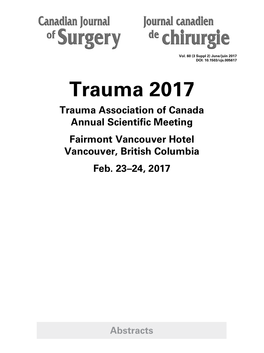**Canadian Journal** of Surgery



**Vol. 60 (3 Suppl 2) June/juin 2017 DOI: 10.1503/cjs.005617**

# **Trauma 2017**

**Trauma Association of Canada Annual Scientific Meeting**

**Fairmont Vancouver Hotel Vancouver, British Columbia**

**Feb. 23–24, 2017**

**Abstracts**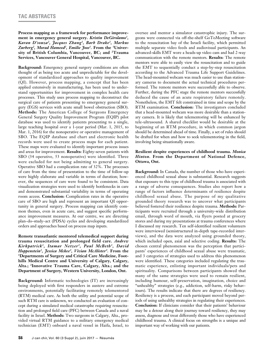**Process mapping as a framework for performance improvement in emergency general surgery.** *Kristin DeGirolamo1, Karan D'souza2, Jacques Zhang2, Barb Drake2, Markus*  Zurberg<sup>2</sup>, Morad Hameed<sup>2</sup>, Emilie Joos<sup>1</sup>. From the <sup>1</sup>Univer**sity of British Columbia, Vancouver, BC; and 2Trauma Services, Vancouver General Hospital, Vancouver, BC.**

**Background:** Emergency general surgery conditions are often thought of as being too acute and unpredictable for the development of standardized approaches to quality improvement (QI). However, process mapping, a concept that has been applied extensively in manufacturing, has been used to understand opportunities for improvement in complex health care processes. This study uses process mapping to deconstruct the surgical care of patients presenting to emergency general surgery (EGS) services with acute small bowel obstruction (SBO). **Methods:** The American College of Surgeons Emergency General Surgery Quality Improvement Program (EQIP) pilot database was used to identify patients presenting to a single, large teaching hospital over a 1-year period (Mar. 1, 2015, to Mar. 1, 2016) for the nonoperative or operative management of SBO. The EQIP database and chart and electronic health records were used to create process maps for each patient. These maps were evaluated to identify important process issues and areas for improvement. **Results:** Eighty-seven patients with SBO (34 operative, 53 nonoperative) were identified. Three were excluded for not being admitting to general surgery. Operative SBO had a complication rate of 32%. The processes of care from the time of presentation to the time of follow-up were highly elaborate and variable in terms of duration; however, the sequences of care were found to be consistent. Data visualization strategies were used to identify bottlenecks in care and demonstrated substantial variability in terms of operating room access. **Conclusion:** Complication rates in the operative care of SBO are high and represent an important QI opportunity in general surgery. Process mapping can identify common themes, even in acute care, and suggest specific performance improvement measures. At our centre, we are directing plan–do–study–act (PDSA) cycles and developing standardized orders and approaches based on process map inputs.

**Remote transatlantic mentored telemedical support during trauma resuscitation and prolonged field care.** *Andrew Kirkpatrick1, Itamar Netzer1, Paul McBeth1, David Hoppenstein1, Jessica Mckee2, Vivian McAlister3.* **From the 1Departments of Surgery and Critical Care Medicine, Foothills Medical Centre and University of Calgary, Calgary, Alta.; 2Innovative Trauma Care, Calgary, Alta.; and the Department of Surgery, Western University, London, Ont.**

**Background:** Informatic technologies (IT) are increasingly being deployed with first responders in austere and extreme environments, potentially facilitating remotely telementored (RTM) medical care. As both the utility and potential scope of such RTM care is unknown, we conducted an evaluation of concept during a simulated medical catastrophe requiring resuscitation and prolonged field care (PFC) between Canada and a naval facility in Israel. **Methods:** Two surgeons in Calgary, Alta., provided virtual RTM guidance to a military emergency medical technician (EMT) onboard a naval vessel in Haifa, Israel, to

oversee and mentor a simulator catastrophic injury. The surgeons were connected via off-the-shelf GoToMeeting software to the resuscitation bay of the Israeli facility, which permitted multiple separate video feeds and audiovisual participants. An advanced-skills EMT wore a heads-up video cam and had 2-way communication with the remote mentors. **Results:** The remote mentors were able to easily view the resuscitation and to guide the EMT to sequentially conduct a step-by-step resuscitation according to the Advanced Trauma Life Support Guidelines. The head-mounted webcam was much easier to use than stationary cameras to document the actual technical procedures performed. The remote mentors were successfully able to observe. Further, during the PFC stage the remote mentors successfully deduced the cause of an acute respiratory failure remotely. Nonetheless, the EMT felt constrained in time and scope by the RTM examination. **Conclusion:** The investigators concluded that a head-mounted webcam was more desirable than a stationary camera. It is likely that telementoring will be enhanced by tele-ultrasound. A shared checklist would be desirable at the beginning of an RTM procedure, in which common jargon should be determined ahead of time. Finally, a set of rules should be drafted for when and how to seek telementoring in the field, involving being situationally aware.

# **Resilient despite experiences of childhood trauma.** *Monica Hinton.* **From the Department of National Defence, Ottawa, Ont.**

**Background:** In Canada, the number of those who have experienced childhood sexual abuse is substantial. Research suggests that exposure to this type of childhood trauma is associated with a range of adverse consequences. Studies also report how a range of factors influence determinants of resilience despite childhood sexual abuse. The purpose of my qualitative grounded theory research was to uncover what participants believed fostered their resilience despite trauma. **Methods:** Participants were recruited through a university-wide distribution email, through word of mouth, via flyers posted at grocery stores and during my presentations at trauma conferences where I discussed my research. Ten self-identified resilient volunteers were interviewed (semistructured in-depth tape-recorded interviews), and the data were analyzed using grounded theory, which included open, axial and selective coding. **Results:** The chosen central phenomenon was the perception that participants' experiences of childhood sexual abuse were traumatic, and 3 categories of strategies used to address this phenomenon were identified. These categories included regulating the traumatic experience, enlisting important individuals/pets and spirituality. Comparisons between participants showed that many of the same strategies were used to remain resilient, including humour, self-preservation, imagination, choice and "unhealthy" strategies (e.g., addiction, self-harm, risky behaviours). The results indicate that there are degrees of resiliency. Resiliency is a process, and each participant moved beyond periods of using unhealthy strategies in regulating their experiences. **Conclusion:** If clinicians consider that their patients' behaviour may be a detour along their journey toward resiliency, they may assess, diagnose and treat differently those who have experienced childhood trauma. A clinical focus on strengths is a unique and important way of working with our patients.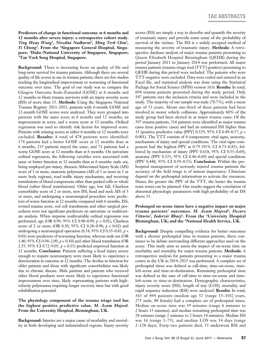**Predictors of change in functional outcome at 6 months and 12 months after severe injury: a retrospective cohort study.**  *Ting Hway Wong1, Nivedita Nadkarni2, Ming Terk Chiu3, Yi Chiong1.* **From the 1Singapore General Hospital, Singapore; 2Duke-National University of Singapore, Singapore; 3Tan Tock Seng Hospital, Singapore.**

**Background:** There is increasing focus on quality of life and long-term survival for trauma patients. Although there are several quality of life scores in use in trauma patients, there are few studies tracking the longitudinal improvement or worsening of functional outcome over time. The goal of our study was to compare the Glasgow Outcome Scale–Extended (GOSE) at 6 months and 12 months in blunt trauma survivors with an injury severity score (ISS) of more than 15. **Methods:** Using the Singapore National Trauma Registry 2011–2013, patients with 6-month GOSE and 12-month GOSE scores were analyzed. They were grouped into patients with the same score at 6 months and 12 months, an improvement in score, and a worse score at 12 months. Ordinal regression was used to identify risk factors for improved score. Patients with missing scores at either 6 months or 12 months were excluded. **Results:** A total of 478 patients were identified: 174 patients had a better GOSE score at 12 months than at 6 months, 233 patients stayed the same, and 71 patients had a worse GOSE score at 12 months than at 6 months. On univariate ordinal regression, the following variables were associated with same or better function at 12 months than at 6 months: male sex, being employed pre-injury, thoracic Abbreviated Injury Scale (AIS) score of 3 or more, anatomic polytrauma (AIS of 3 or more in 2 or more body regions), road traffic injury mechanism, and receiving transfusions of blood components other than packed cells or whole blood (other blood transfusions). Older age, low fall, Charlson comorbidity score of 2 or more, new ISS, head and neck AIS of 3 or more, and undergoing a neurosurgical procedure were predictors of worse function at 12 months compared with 6 months. ISS, revised trauma score, red cell transfusions and other surgical procedures were not significant predictors on univariate or multivariate analysis. When stepwise multivariable ordinal regression was performed, age (OR 0.99, 95% CI 0.98–0.99, *p* = 0.01), Charlson score of 2 or more (OR 0.50, 95% CI 0.28–0.90, *p* = 0.02) and undergoing a neurosurgical operation  $(0.54, 95\% \text{ CI } 0.35-0.83, p <$ 0.01) were predictors of worsening function, whereas male sex (OR 1.40, 95% CI 0.94–2.09, *p* = 0.10) and other blood transfusion (OR 2.55, 95% CI 0.72–9.05, *p* = 0.15) predicted improved function at 12 months. **Conclusion:** Patients suffering a head injury severe enough to require neurosurgery were more likely to experience a deterioration in outcome at 12 months. The decline in function for older patients and those with significant comorbidities was likely due to chronic disease. Male patients and patients who received other blood products were more likely to experience functional improvement over time, likely representing patients with highvelocity polytrauma requiring longer recovery time but with good rehabilitation potential.

#### **The physiology component of the trauma triage tool has the highest positive predictive value.** *M. Azam Majeed.* **From the University Hospital, Birmingham, UK.**

**Background:** Injuries are a major cause of morbidity and mortality in both developing and industrialized regions. Injury severity scores (ISS) are simply a way to describe and quantify the severity of traumatic injury and provide some sense of the probability of survival of the victims. The ISS is a widely accepted method of measuring the severity of traumatic injury. **Methods:** A retrospective database analysis of major trauma patients presenting to Queen Elizabeth Hospital Birmingham (QEHB) during the period January 2013 to January 2014 was performed. All major trauma patients (trauma triage tool [TTT]-positive) presenting to QEHB during this period were included. The patients who were TTT-negative were excluded. Data were coded and entered in an Excel file, and statistical analysis was done using the Statistical Package for Social Science (SPSS) version 16.0. **Results:** In total, 694 trauma patients presented during the study period. Only 597 patients met the inclusion criteria and were included in the study. The majority of our sample was male (70.7%), with a mean age of 53 years. About one-third of these patients had been involved in motor vehicle collisions. Approximately 60% of the study group had been alerted in as major trauma cases. Of the 597 trauma patients, 316 patients were identified as major trauma cases (true positive cases) and had an estimated ISS higher than 15 (positive predictive value [PPV] 0.529, 95% CI 0.49–0.57, *p* < 0.001). The TTT consists of 4 components: vital signs, anatomy, mechanism of injury and special conditions. The vital signs component had the highest PPV at 0.79 (95% CI 0.73–0.85), followed by mechanism of injury (PPV 0.618, 95% CI 0.55–0.69), anatomy (PPV 0.523, 95% CI 0.46–0.69) and special conditions (PPV 0.448, 95% CI 0.39–0.51). **Conclusion:** Within the prehospital management of seriously injured trauma patients the accuracy of the field triage is of utmost importance. Clinicians depend on the prehospital information to activate the resources. Hence the greater the PPV of the TTT, the better the trauma team remix can be planned. Our results suggest the correlation of abnormal physiologic parameters with high probability of an ISS above 15.

# **Prolonged on-scene times have a negative impact on major trauma patients' outcomes.** *M. Azam Majeed1, Decaro Vittorio2, Indervir Bharj2.* **From the 1University Hospital Birmingham, UK; and the 2National Health Service, UK.**

**Background:** Despite compelling evidence for better outcomes with a shorter prehospital time in trauma patients, there continues to be debate surrounding different approaches used on the scene. This study aims to assess the impact of on-scene time on morbidity and mortality for major trauma patients. **Methods:** A retrospective analysis for patients presenting to a major trauma centre in the UK in 2014–2015 was performed. A complete set of prehospital times was defined as call-time, time-on-scene, timeleft-scene and time-at-destination. Remaining prehospital time was defined as the sum of call-time to time-on-scene and timeleft-scene to time-at-destination. Demographic characteristics, injury severity score (ISS), length of stay (LOS), mortality and rapid sequence induction (RSI) were analyzed. **Results:** In total, 363 of 494 patients (median age 52 [range 13–101] years, 275 male, 88 female) had a complete set of prehospital times. Median on-scene time was 39 minutes (range 6 minutes to 2 hours 13 minutes), and median remaining prehospital time was 28 minutes (range 2 minutes to 2 hours 14 minutes). Median ISS was 16 (range 1–75), and median LOS was 14 days (range 2–128 days). Forty-two patients died, 53 underwent RSI and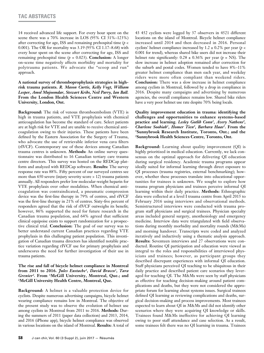14 received advanced life support. For every hour spent on the scene there was a 70% increase in LOS (95% CI 31%–123%) after correcting for age, ISS and remaining prehospital time (*p* < 0.001). The OR for mortality was 3.19 (95% CI 1.17–8.68) with every hour spent on the scene after correcting for age, ISS and remaining prehospital time  $(p = 0.023)$ . **Conclusion:** A longer on-scene time negatively affects morbidity and mortality for polytrauma patients. We advocate the "scoop and run" approach.

**A national survey of thromboprophylaxis strategies in highrisk trauma patients.** *R. Mason Curtis, Kelly Vogt, William Leeper, Amol Mujoomdar, Stewart Kribs, Neil Parry, Ian Ball.*  **From the London Health Sciences Centre and Western University, London, Ont.**

**Background:** The risk of venous thromboembolism (VTE) is high in trauma patients, and VTE prophylaxis with chemical anticoagulation has become the standard of care. Select patients are at high risk for VTE and are unable to receive chemical anticoagulation owing to their injuries. These patients have been defined by the Eastern Association for the Surgery of Trauma, who advocate the use of retrievable inferior vena cava filters (rIVCF). Contemporary use of these devices among Canadian trauma centres is unknown. **Methods:** An online survey questionnaire was distributed to 16 Canadian tertiary care trauma centre directors. This survey was hosted on the REDCap platform and analyzed with REDCap software. **Results:** The survey response rate was 88%. Fifty percent of our surveyed centres see more than 650 severe (injury severity score > 12) trauma patients annually. All responders prefer low molecular-weight heparin for VTE prophylaxis over other modalities. When chemical anticoagulation was contraindicated, a pneumatic compression device was the first-line therapy in 79% of centres, and rIVCF was the first-line therapy in 21% of centres. Sixty-five percent of responders agreed that the risk of rIVCF outweighs its benefit; however, 86% supported the need for future research in the Canadian trauma population, and 64% agreed that sufficient clinical equipoise exists to support randomization for a prospective clinical trial. **Conclusion:** The goal of our survey was to better understand current Canadian practices regarding VTE prophylaxis in this challenging patient population. This investigation of Canadian trauma directors has identified notable practice variation regarding rIVCF use for primary prophylaxis and underscores the need for further investigation of their use in trauma patients.

# **The rise and fall of bicycle helmet compliance in Montreal from 2011 to 2016.** *Jules Eustache1, David Bracco1, Tara Grenier2.* **From 1McGill University, Montreal, Que.; and 2McGill University Health Centre, Montreal, Que.**

**Background:** A helmet is a valuable protection device for cyclists. Despite numerous advertising campaigns, bicycle helmet wearing compliance remains low in Montreal. The objective of the present study was to observe the evolution of helmet use among cyclists in Montreal from 2011 to 2016. **Methods:** During the summers of 2011 (paper data collection) and 2013, 2014, and 2016 (iPhone app), bicycle helmet compliance was observed in various locations on the island of Montreal. **Results:** A total of 43 452 cyclists were logged by 37 observers in 4521 different locations on the island of Montreal. Bicycle helmet compliance increased until 2014 and then decreased in 2016. Personal cyclists' helmet compliance increased by 1.2  $\pm$  0.2% per year (*p* < 0.001 for trend), whereas shared bike users did not increase their helmet rate significantly:  $0.28 \pm 0.36\%$  per year ( $p = NS$ ). The slow increase in helmet adoption remained after correction for the suburb and postal codes. Women tended to have 8%–11% greater helmet compliance than men each year, and weekday riders were more often compliant than weekend riders. **Conclusion:** There was a slow increase in helmet compliance among cyclists in Montreal, followed by a drop in compliance in 2016. Despite many campaigns and advertising by numerous agencies, the overall compliance remains low. Shared bike riders have a very poor helmet use rate despite 70% being locals.

# **Quality improvement education in trauma: identifying the challenges and opportunities to enhance systems-based practice and learning.** *Lesley Gotlib Conn1, Avery Nathens2, Charlene Soobiah1, Homer Tien2, Barbara Haas2***. From the 1Sunnybrook Research Institute, Toronto, Ont.; and the 2Sunnybrook Health Sciences Centre, Toronto, Ont.**

**Background:** Learning about quality improvement (QI) is highly prioritized in medical education. Currently, we lack consensus on the optimal approach for delivering QI education during surgical residency. Academic trauma programs appear ideally suited for informal learning through direct exposure to QI processes (trauma registries, external benchmarking); however, whether these processes translate into educational opportunities for trainees is unknown. We sought to explore how trauma program physicians and trainees perceive informal QI learning within their daily practice. **Methods:** Ethnographic data were collected at a level I trauma centre from April 2015 to February 2016 using interviews and observational methods. Semistructured interviews were conducted with trauma program staff physicians and surgical trainees. Physician specialty areas included general surgery, anesthesiology and emergency medicine. Interview data were triangulated with field observations during monthly morbidity and mortality rounds (M&Ms) and morning handover. Transcripts were coded and analyzed iteratively and inductively using a thematic analysis approach. **Results:** Seventeen interviews and 27 observations were conducted. Routine QI participation and education were viewed as integral to the roles and responsibilities of interviewed physicians and trainees; however, as participant groups they described discrepant experiences with informal QI education. Staff physicians perceived QI teaching to be ubiquitous in their daily practice and described patient care scenarios they leveraged for teaching QI. The M&Ms were seen by staff physicians as effective for teaching decision-making around patient complications and deaths, but they were not considered the appropriate forum for learning about systems issues. Surgical trainees defined QI learning as reviewing complications and deaths, surgical decision-making and process improvements. Most trainees expected to learn about QI in M&Ms and did not identify other scenarios where they were acquiring QI knowledge or skills. Trainees found M&Ms ineffective for achieving QI learning owing to poor staff attendance and case selection. As a result, some trainees felt there was no QI learning in trauma. Trainees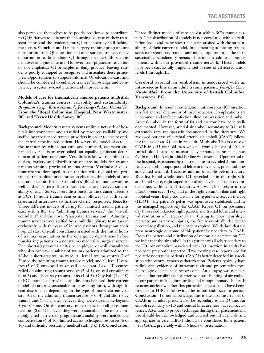also perceived themselves to be poorly positioned to contribute to QI initiatives to enhance their learning because of their transient status and the tendency for QI to happen by staff behind the scenes. **Conclusion:** Trauma surgery training programs are ideal for informal QI education and offer surgical trainees many opportunities to learn about QI through specific skills, such as handover and guideline use. However, staff physicians teach but do not emphasize QI principles in daily practice, leaving residents poorly equipped to recognize and articulate these principles. Opportunities to support informal QI education exist and should be considered to enhance trainees' knowledge and competency in systems-based practice and improvements.

# **Models of care for traumatically injured patients at British Columbia's trauma centres: variability and sustainability.**  *Benjamin Tuyp1 , Kasra Hassani2 , Joe Haegert1 , Lisa Constable1 .* **From the 1Royal Columbian Hospital, New Westminster, BC; and 2 Fraser Health, Surrey, BC.**

**Background:** Modern trauma systems utilize a network of hospitals interconnected and stratified by resource availability and staffed by experienced trauma providers in order to ensure optimal care for the injured patient. However, the model of care the manner by which patients are admitted, overseen and handed over — is an overlooked but equally significant determinant of patient outcomes. Very little is known regarding the design, variety and distribution of care models for trauma patients within a provincial trauma system. **Methods:** A questionnaire was developed in consultation with regional and provincial trauma directors in order to elucidate the models of care operating within British Columbia's (BC's) trauma network as well as their pattern of distribution and the perceived sustainability of each. Surveys were distributed to the trauma directors at BC's 10 adult trauma centres and followed-up with semistructured interviews to further clarify responses. **Results:**  Three different models of caring for admitted trauma patients exist within BC: the "admitting trauma service," the "on-call consultant" and the novel "short-stay trauma unit." Admitting trauma services were staffed by a multidisciplinary team tasked exclusively with the care of injured patients throughout their hospital stay. On-call consultants assisted with the initial hours of trauma resuscitation in the emergency department before transferring patients to a nontrauma medical or surgical service. The short-stay trauma unit site employed on-call consultants who also oversaw a subset of trauma patients admitted to the 48-hour short-stay trauma ward. All level I trauma centres (2 of 2) used the admitting trauma service model, and all level II centres (3 of 3) employed an on-call consultant. Level III centres relied on admitting trauma services (2 of 5), on-call consultants (2 of 5) and short-stay trauma units (1 of 5). Only half (5 of 10) of BC's trauma centres' medical directors believed their current model of care was sustainable in its existing form, with significant discordance depending on the type of model currently in situ. All of the admitting trauma service (4 of 4) and short-stay trauma unit (1 of 1) sites believed they were sustainable beyond 5 years' time. On the contrary, none of the on-call consultant facilities (0 of 5) believed they were sustainable. The most commonly cited barriers to program sustainability were inadequate compensation (6 of 10), limited access to hospital resources (6 of 10) and difficulty recruiting medical staff (2 of 10). **Conclusion:**

Three distinct models of care coexist within BC's trauma system. The distribution of models is not correlated with accreditation level, and many sites remain unsatisfied with the sustainability of their current model. Implementing admitting trauma service or short-stay trauma unit models appears to be the most sustainable, satisfactory means of caring for admitted trauma patients within our provincial trauma network. These models have been successfully implemented at sites of all accreditation levels I through III.

# **Cerebral arterial air embolism is associated with an intraosseous line in an adult trauma patient.** *Jennifer Chao, Nicole Mak.* **From the University of British Columbia, Vancouver, BC.**

**Background:** In trauma resuscitation, intraosseous (IO) insertion is a fast and reliable means of vascular access. Complications are uncommon and include infection, fluid extravasation and emboli. Arterial emboli in the form of fat and marrow have been welldocumented. However, arterial air emboli secondary to IO use is extremely rare and sparsely documented in the literature. We reviewed our case of cerebral arterial air emboli (CAAE) following the use of an IO line in an adult. **Methods:** This is a case of CAAE in a 53-year-old man who fell from a height of 40 feet. Initial blood pressure measured by paramedics on-scene was 69/46 mm Hg. A right tibial IO line was inserted. Upon arrival to the hospital, assessment by the trauma team revealed 2 mm nonreactive pupils, nonpurposeful left arm movement, pneumothorax associated with rib fractures and an unstable pelvic fracture. **Results:** Rapid whole-body CT revealed air in the right subarachnoid space, right superior ophthalmic vein and right cavernous sinus without skull fractures. Air was also present in the inferior vena cava (IVC) and in the right common iliac and right popliteal veins. Being too unstable for hyperbaric oxygen therapy (HBOT), the patient's pelvis was operatively stabilized, and he was managed supportively for CAAE. Repeat CT on postinjury day 0 revealed infarcted right parietal and frontal lobes and interval resolution of intracranial air. Owing to poor neurologic recovery and extensive injuries, the family eventually decided to proceed to palliation, and the patient expired. We deduce that the poor neurologic outcome of this patient is secondary to CAAE. From the pattern and distribution of venous air detected on CT, we infer that the air emboli in this patient was likely secondary to the IO. Air embolism associated with IO insertion in adults has not been previously reported. Two existing case reports are for pediatric nontrauma patients. CAAE is better described in association with central venous catheterization. Patients typically have radiological evidence of intracranial air and present with focal neurologic deficits, seizures or coma. An autopsy was not performed, but possibilities for arteriovenous shunting of air emboli in our patient include intracardiac and intrapulmonary shunts. It remains unclear whether this particular patient could have benefited from HBOT following the initial stabilization period. **Conclusion:** To our knowledge, this is the first case report of CAAE in an adult presumed to be secondary to an IO line. Air emboli secondary to IO and central lines are rare but real occurrences. Attention to proper technique during their placement and use should be acknowledged and carried out. If available and appropriate to care, HBOT should be considered for a patient with CAAE, preferably within 6 hours of presentation.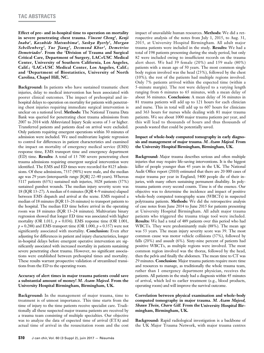**Effect of pre- and in-hospital time to operation on mortality in severe penetrating chest trauma.** *Vincent Cheng1, Kenji Inaba1, Kazuhide Matsushima1, Saskya Byerly1, Morgan Schellenberg2, Yue Jiang3, Desmond Khor1, Demetrios Demetriades1.* **From the 1Division of Trauma and Surgical Critical Care, Department of Surgery, LAC+USC Medical Center, University of Southern California, Los Angeles, Calif.; 2LAC+USC Medical Center, Los Angeles, Calif.; and 3Department of Biostatistics, University of North Carolina, Chapel Hill, NC.**

**Background:** In patients who have sustained traumatic chest injuries, delay to medical intervention has been associated with poorer clinical outcomes. The impact of prehospital and inhospital delays to operation on mortality for patients with penetrating chest injuries requiring immediate surgical intervention is unclear on a national level. **Methods:** The National Trauma Data Bank was queried for penetrating chest trauma admissions from 2007 to 2014 with Abbreviated Injury Scale scores of 3 or higher. Transferred patients and patients dead on arrival were excluded. Only patients requiring emergent operations within 30 minutes of admission were included. We used multivariate logistic regression to control for differences in patient characteristics and examined the impact on mortality of emergency medical service (EMS) response time, EMS transport time and emergency department (ED) time. **Results:** A total of 13 700 severe penetrating chest trauma admissions requiring emergent surgical intervention were identified. The EMS and ED times were recorded for 8125 admissions. Of these admissions, 7337 (90%) were male, and the median age was 29 years (interquartile range [IQR] 22–40 years). Whereas 5117 patients (63%) sustained stab injuries, 3028 patients (37%) sustained gunshot wounds. The median injury severity score was 18 (IQR 13–27). A median of 6 minutes (IQR 4–9 minutes) elapsed between EMS dispatch and arrival at the scene. EMS required a median of 18 minutes (IQR 13–26 minutes) to transport patients to the hospital. The median ED time before arrival in the operating room was 18 minutes (IQR 13–24 minutes). Multivariate binary regression showed that longer ED time was associated with higher mortality (OR 1.011, *p* = 0.036). EMS response time (OR 1.001,  $p = 0.288$ ) and EMS transport time (OR 1.000,  $p = 0.357$ ) were not significantly associated with mortality. **Conclusion:** Even after adjusting for differences in patient and injury characteristics, longer in-hospital delays before emergent operative intervention are significantly associated with increased mortality in patients sustaining severe penetrating chest trauma. However, no significant associations were established between prehospital times and mortality. These results warrant prospective validation of streamlined transitions from the ED to the operating room.

# **Accuracy of alert times in major trauma patients could save a substantial amount of money!** *M. Azam Majeed.* **From the University Hospital Birmingham, Birmingham, UK.**

**Background:** In the management of major trauma, time to treatment is of utmost importance. This time starts from the time of injury to the time patients receive specialist care. Traditionally all these suspected major trauma patients are received by a trauma team consisting of multiple specialties. Our objective was to analyze the data of expected time of arrival (ETA) and actual time of arrival in the resuscitation room and the cost

impact of unavailable human resources. **Methods:** We did a retrospective analysis of the notes from July 1, 2015, to Aug. 31, 2015, at University Hospital Birmingham. All adult major trauma patients were included in the study. **Results:** We had a total of 198 patients presenting during the study period, but only 82 were included owing to insufficient records on the trauma alert sheet. We had 39 female (20%) and 159 male (80%) patients with a mean age of 50 years. The most common single body region involved was the head (23%), followed by the chest (10%); the rest of the patients had multiple regions involved. Only 7% patients arrived within the expected time (within a 5-minute margin). The rest were delayed to a varying length ranging from 6 minutes to 65 minutes, with a mean delay of about 36 minutes. **Conclusion:** A mean delay of 36 minutes in 81 trauma patients will add up to 121 hours for each clinician and nurse. This in total will add up to 607 hours for clinicians and 363 hours for nurses while dealing with 81 major trauma patients. We see about 1000 major trauma patients per year, and this will lead to thousands of hours and thus thousands of pounds wasted that could be potentially saved.

# **Impact of whole-body computed tomography in early diagnosis and management of major trauma.** *M. Azam Majeed.* **From the University Hospital Birmingham, Birmingham, UK.**

**Background:** Major trauma describes serious and often multiple injuries that may require life-saving interventions. It is the biggest killer of people younger than 45 years in the UK. The National Audit Office report (2010) estimated that there are 20 000 cases of major trauma per year in England; 5400 people die of their injuries, with many others sustaining permanent disability. In polytrauma patients every second counts. Time is of the essence. Our objective was to determine the incidence and impact of positive whole-body computed tomography scans (WBCTs) in suspected polytrauma patients. **Methods:** We did the retrospective analysis of case notes from June 2014 to June 2015 for patients presenting at University Hospital Birmingham. All adult major trauma patients who triggered the trauma triage tool were included. **Results:** We had a total of 489 patients over this period who had WBCTs. They were predominantly male (88%). The mean age was 53 years. The mean injury severity score was 39. The most common cause was motor vehicle collisions (37%), followed by falls (20%) and assault (6%). Sixty-nine percent of patients had positive WBCTs, as multiple regions were involved. The most common region involved was the thorax, followed by the head, then the pelvis and finally the abdomen. The mean time to CT was 29 minutes. **Conclusion:** Major trauma patients require more time and resources to manage, as traditionally the whole trauma team, rather than 1 emergency department physician, receives the patients. All patients in the study had a diagnosis within 45 minutes of arrival, which led to earlier treatment (e.g., blood products, operating room) and will improve the survival outcome.

# **Correlation between physical examination and whole-body computed tomography in major trauma.** *M. Azam Majeed, Shaun Thein, Charn Gill.* **From the University Hospital Birmingham, Birmingham, UK.**

**Background:** Rapid radiological investigation is a backbone of the UK Major Trauma Network, with major trauma centres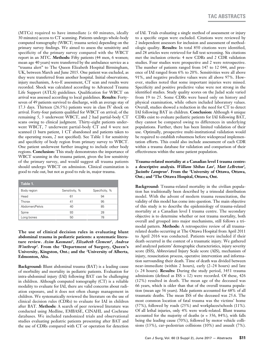(MTCs) required to have immediate (< 60 minutes, ideally 30 minutes) access to CT scanning. Patients undergo whole-body computed tomography (WBCT; trauma series) depending on the primary survey findings. We aimed to assess the sensitivity and specificity of the primary survey compared with the WBCT report in an MTC. **Methods:** Fifty patients (44 men, 6 women; mean age 40 years) were transferred by the ambulance service as a "trauma alert" to The Queen Elizabeth Hospital Birmingham, UK, between March and June 2015. One patient was excluded, as they were transferred from another hospital. Initial observations, injury mechanism, A-to-E assessment, CT scan and results were recorded. Shock was calculated according to Advanced Trauma Life Support (ATLS) guidelines. Qualification for WBCT on arrival was assessed according to local guidelines. **Results:** Fortyseven of 49 patients survived to discharge, with an average stay of 17.3 days. Thirteen (26.5%) patients were in class IV shock on arrival. Forty-four patients qualified for WBCT on arrival; of the remaining 5, 3 underwent WBCT, and 2 had partial-body CT scans owing to clinical judgment. Thirty-eight patients underwent WBCT, 7 underwent partial-body CT and 4 were not scanned (1 burn patient, 1 CT abandoned and patients taken to the operating room, 2 not specified). See Table 1 for sensitivity and specificity of body region from primary survey to WBCT. One patient underwent further imaging to include other body regions. **Conclusion:** This study demonstrates the importance of WBCT scanning in the trauma patient, given the low sensitivity of the primary survey, and would suggest all trauma patients should undergo WBCT on admission. Clinical examination is good to rule out, but not as good to rule in, major trauma.

| Table 1.       |                |                |
|----------------|----------------|----------------|
| Body region    | Sensitivity, % | Specificity, % |
| Head           | 61             | 94             |
| Thorax         | 41             | 95             |
| Abdomen/Pelvis | 40             | 85             |
| Spine          | 93             | 28             |
| Long bones     | 50             | 78             |

**The use of clinical decision rules in evaluating blunt abdominal trauma in pediatric patients: a systematic litera**ture review. Azim Kasmani<sup>1</sup>, Elizabeth Clement<sup>1</sup>, Andrea *Winthrop2.* **From the 1Department of Surgery, Queen's University, Kingston, Ont.; and the 2University of Alberta, Edmonton, Alta.**

**Background:** Blunt abdominal trauma (BAT) is a leading cause of morbidity and mortality in pediatric patients. Evaluation for intra-abdominal injury (IAI) following BAT can be challenging in children. Although computed tomography (CT) is a reliable modality to evaluate for IAI, there are valid concerns about radiation exposure, and it does not often change management in children. We systematically reviewed the literature on the use of clinical decision rules (CDRs) to evaluate for IAI in children after BAT. **Methods:** A search of peer reviewed literature was conducted using Medline, EMBASE, CINAHL and Cochrane databases. We included randomized trials and observational studies evaluating pediatric patients presenting after BAT and the use of CDRs compared with CT or operation for detection

of IAI. Trials evaluating a single method of assessment or injury to a specific organ were excluded. Citations were reviewed by 2 independent assessors for inclusion and assessment of methodologic quality. **Results:** In total 850 citations were identified, and 28 articles were retrieved for full text screening. Six citations met the inclusion criteria: 4 new CDRs and 2 CDR validation studies. Four studies were prospective and 2 were retrospective. The number of patients ranged from 147 to 12 044, and presence of IAI ranged from 6% to 20%. Sensitivities were all above 91%, and negative predictive values were all above 97%. However, studies noted that some important injuries were missed. Specificity and positive predictive value were not strong in the identified studies. Study quality scores on the Jadad scale varied from 19 to 25. Some CDRs were based only on history and physical examination, while others included laboratory values. Overall, studies showed a reduction in the need for CT to detect IAI following BAT in children. **Conclusion:** Although 4 unique CDRs exist to evaluate pediatric patients for IAI following BAT, they cannot be compared owing to differences in underlying populations. Further, there has been limited validation of their use. Optimally, prospective multi-institutional validation would be required to establish robustness before widespread implementation efforts. This could also include assessment of each CDR within a trauma database for validation and comparison of their effectiveness within the same patient population.

# **Trauma-related mortality at a Canadian level I trauma centre: a descriptive analysis.** *William Shihao Lao1 , Matt LeBreton2 , Jacinthe Lampron1 .* **From the 1 University of Ottawa, Ottawa, Ont.; and 2 The Ottawa Hospital, Ottawa, Ont.**

**Background:** Trauma-related mortality in the civilian population has traditionally been described by a trimodal distribution model. With the advent of modern trauma resuscitation, the validity of this model has come into question. The main objective of this study is to describe the epidemiology of trauma-related mortality at a Canadian level I trauma centre. The secondary objective is to determine whether or not trauma mortality, both overall and grouped into major mechanisms, still follows a trimodal pattern. **Methods:** A retrospective review of all traumarelated deaths occurring at The Ottawa Hospital from April 2011 to April 2016 was conducted. Patients were included if their death occurred in the context of a traumatic injury. We gathered and analyzed patients' demographic characteristics, injury severity score (ISS), Abbreviated Injury Scale score (AIS), mechanism of injury, resuscitation process, operative intervention and information surrounding their death. Time of death was divided between near-immediate (within 2 hours), early (2–24 hours) and late (> 24 hours). **Results:** During the study period, 3451 trauma admissions (defined as ISS > 12) were recorded. Of these, 426 (12%) resulted in death. The mean age of the deceased was 66 years, which is older than that of the overall trauma population (mean age 56 years). Male patients accounted for 68% of all traumatic deaths. The mean ISS of the deceased was 25.6. The most common location of fatal trauma was the victims' home (57%), followed by roads (25%) and workplaces/schools (11%). Of all lethal injuries, only 4% were work-related. Blunt trauma accounted for the majority of deaths (*n* = 356, 84%), with falls being the leading cause (70%), followed by motor vehicle collisions (13%), car–pedestrian collisions (10%) and assault (7%).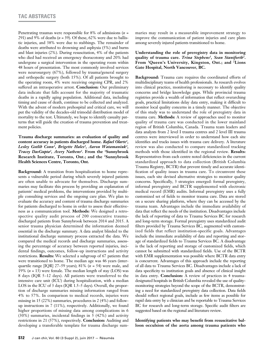Penetrating traumas were responsible for 8% of admissions (*n* = 291) and 9% of deaths (*n* = 39). Of these, 62% were due to ballistic injuries, and 38% were due to stabbings. The remainder of deaths were attributed to drowning and asphyxia (5%) and burns and blast injuries (2%). During resuscitation, 4% of the patients who died had received an emergency thoracotomy and 20% had undergone a surgical intervention in the operating room within 48 hours of presentation. The most commonly involved services were neurosurgery (67%), followed by trauma/general surgery and orthopedic surgery (both 15%). Of all patients brought to the operating room, 4% were receiving ongoing CPR, and 2% suffered an intraoperative arrest. **Conclusion:** Our preliminary data indicate that falls account for the majority of traumatic deaths in a rapidly aging population. Additional data, including timing and cause of death, continue to be collected and analyzed. With the advent of modern prehospital and critical care, we will put the validity of the decades-old trimodal distribution model of mortality to the test. Ultimately, we hope to identify casualty patterns that will guide the creation of trauma prevention and treatment policies.

**Trauma discharge summaries: an evaluation of quality and content accuracy in patients discharged home.** *Rafael Olarte1 ,*  Lesley Gotlib Conn<sup>1</sup>, Brigette Hales<sup>2</sup>, Aaron Watamaniuk<sup>2</sup>, *Tracey DasGupta2, Avery Nathens2.* **From the 1Sunnybrook Research Institute, Toronto, Ont.; and the 2Sunnybrook Health Sciences Centre, Toronto, Ont.**

**Background:** A transition from hospitalization to home represents a vulnerable period during which severely injured patients are often unable to advocate for themselves. Discharge summaries may facilitate this process by providing an explanation of patients' medical problems, the interventions provided by multiple consulting services and the ongoing care plan. We plan to evaluate the accuracy and content of trauma discharge summaries for patients discharged to home in order to assess their effectiveness as a communication tool. **Methods:** We designed a retrospective quality audit process of 200 consecutive traumadischarged patients from Sunnybrook between 2014 and 2015. A senior trauma physician determined the information deemed essential in the discharge summary. A data analyst blinded to the institutional discharge summary process extracted the data. We compared the medical records and discharge summaries, assessing the percentage of accuracy between reported injuries, incidental findings, outcomes, follow-up instructions and activity restrictions. **Results:** We selected a subgroup of 67 patients that were transitioned to home. The median age was 46 years (interquartile range [IQR] 27–59 years); 81% (*n* = 54) were male, and 19% (*n* = 13) were female. The median length of stay (LOS) was 8 days (IQR 5–12 days). All patients were transferred to the intensive care unit (ICU) during hospitalization, with a median LOS in the ICU of 3 days (IQR 1.5–5 days). Overall, the proportion of discharge summaries missing information ranged from 4% to 57%. In comparison to medical records, injuries were missing in 15 (22%) summaries, procedures in 2 (4%) and followup instructions in 7 (11%), respectively. Additionally, we found higher proportions of missing data among complications in 6 (30%) summaries, incidental findings in 5 (42%) and activity restrictions in 21 (57%), respectively. **Conclusion:** Auditing and developing a transferable template for trauma discharge summaries may result in a measurable improvement strategy to improve the communication of patient injuries and care plans among severely injured patients transitioned to home.

# **Understanding the role of preregistry data in monitoring quality of trauma care.** *Trina Stephens1, Sean Staniforth2***. From 1Queen's University, Kingston, Ont.; and 2Lions Gate Hospital, North Vancouver, BC.**

**Background:** Trauma care requires the coordinated efforts of multidisciplinary teams of health professionals. As research evolves into clinical practice, monitoring is necessary to identify quality concerns and bridge knowledge gaps. While provincial trauma registries provide a wealth of information that reflect overarching goals, practical limitations delay data entry, making it difficult to monitor local quality concerns in a timely manner. The objective of this study was to understand the role of preregistry data in trauma care. **Methods:** A review of approaches used to monitor quality of trauma care was conducted in the lower mainland region of British Columbia, Canada. Trauma team leaders and data analysts from 2 level I trauma centres and 2 level III trauma centres were interviewed in order to understand how each site identifies and tracks issues with trauma care delivery. A literature review was also conducted to compare standardized tracking methods with those identified in the regional review. **Results:**  Representatives from each centre noted deficiencies in the current standardized approach to data collection (British Columbia Trauma Registry, BCTR) that prevent timely and accurate identification of quality issues in trauma care. To circumvent these issues, each site devised alternative strategies to monitor quality concerns. Specifically, 3 strategies emerged: formal preregistry, informal preregistry and BCTR supplemented with electronic medical record (EMR) audits. Informal preregistry uses a fully customized set of fields to monitor trauma care. Data are stored on a secure sharing platform, where they can be accessed by the trauma team. Advantages include the immediate availability of data that reflect the needs of the institution. Disadvantages include the lack of reporting of data to Trauma Services BC for research and long-term storage. Formal preregistry uses standardized audit filters provided by Trauma Services BC, augmented with customized fields that reflect institution-specific goals. Advantages include the immediate availability of data and reporting and storage of standardized fields to Trauma Services BC. A disadvantage is the lack of reporting and storage of customized fields, which cannot be submitted with standardized fields. Use of the BCTR with EMR supplementation was possible where BCTR data entry is concurrent. Advantages of this approach include the reporting of all data to Trauma Services BC. Disadvantages include a lack of data specificity to institution goals and absence of clinical insight in data entry. **Conclusion:** A review of practices in 4 traumadesignated hospitals in British Columbia revealed the use of qualitymonitoring strategies beyond the scope of the BCTR, demonstrating a need for standardized preregistry data collection. Data fields should reflect regional goals, include as few items as possible for rapid data entry by a clinician and be reportable to Trauma Services BC for research and long-term storage. Specific audit filters are suggested based on the regional and literature review.

**Identifying patients who may benefit from resuscitative balloon occulsion of the aorta among trauma patients who**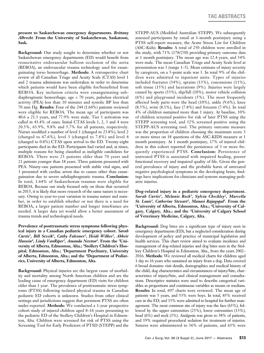#### **present to Saskatchewan emergency departments.** *Brittany Albrecht.* **From the University of Saskatchewan, Saskatoon, Sask.**

**Background:** Our study sought to determine whether or not Saskatchewan emergency departments (ED) would benefit from resuscitative endovascular balloon occlusion of the aorta (REBOA), an endovascular trauma technology used for exsanguinating torso hemorrhage. **Methods:** A retrospective chart review of all Canadian Triage and Acuity Scale (CTAS) level 1 and 2 trauma admissions was undertaken in order to determine which patients would have been eligible for/benefitted from REBOA. Key inclusion criteria were exsanguinating subdiaphragmatic hemorrhage, age < 70 years, pulseless electrical activity (PEA) less than 10 minutes and systolic BP less than 70 mm Hg. **Results:** Four of the 244 (1.64%) patients reviewed were eligible for REBOA. The mean age of participants was  $40.6 \pm 21.3$  years, and 77.9% were male. Tier 1 activation was called in 43.4% of cases. Initial CTAS levels 1, 2, 3 and 4 were 20.5%, 63.9%, 9.8% and 5.7% for all patients, respectively. Nurses modified a number of level 1 (changed to 23.8%), level 2 (changed to 67.6%), level 3 (changed to 7.8%) and level 4 (changed to 0.8%) CTAS upon arrival to the ED. Twenty-eight participants died in the ED. Participants had varied and, at times, multiple reasons for being classified as ineligible candidates for REBOA. There were 23 patients older than 70 years and 21 patients younger than 18 years. Three patients presented with PEA. Ninety-one patients presented with stable vital signs, and 3 presented with cardiac arrest due to causes other than exsanguination due to severe subdiaphragmatic trauma. **Conclusion:** In total, 1.64% of Saskatchewan traumas were eligible for REBOA. Because our study focused only on those that occurred in 2015, it is likely that more research of the same nature is necessary. Owing to year-to-year variation in trauma nature and number, in order to establish whether or not there is a need for REBOA, a larger patient number and longer timeframes are needed. A larger data set would allow a better assessment of trauma trends and technological needs.

**Prevalence of posttraumatic stress symptoms following physical injury in a Canadian pediatric emergency cohort.** *Sarah*  Curtis<sup>1</sup>, Bill Sevcik<sup>2</sup>, Cathy Falconer<sup>2</sup>, Heidi Wilkes<sup>3</sup>, Abbeir Hussein<sup>4</sup>, Lindy VanRiper<sup>3</sup>, Amanda Newton<sup>4</sup>. From the <sup>1</sup>Uni**versity of Alberta, Edmonton, Alta.; 2 Stollery Children's Hospital, Edmonton, Alta.; 3 Department Psychiatry, University of Alberta, Edmonton, Alta.; and the 4Department of Pediatrics, University of Alberta, Edmonton, Alta.**

**Background:** Physical injuries are the largest cause of morbidity and mortality among North American children and are the leading cause of emergency department (ED) visits for children older than 1 year. The prevalence of posttraumatic stress symptoms (PTSS) following isolated physical trauma in Canadian pediatric ED cohorts is unknown. Studies from other clinical settings and jurisdictions suggest that persistent PTSS are often under-reported. **Methods:** We conducted a 1-year prospective cohort study of injured children aged 8–16 years presenting to the pediatric ED of the Stollery Children's Hospital in Edmonton, Alta. Children were screened for risk of PTSS using the Screening Tool for Early Predictors of PTSD (STEPP) and the

STEPP-AUS (Modified Australian STEPP). We subsequently assessed participants by email at 1-month postinjury using a PTSS self-report measure, the Acute Stress List for Children (ASC-Kids). **Results:** A total of 250 children were enrolled in the study, with 71% (178/250) providing primary outcome data at 1 month postinjury. The mean age was 12.4 years, and 54% were male. The mean Canadian Triage and Acuity Scale level at presentation was 3 (range 1–5). Mean estimate of injury severity by caregivers, on a 5-point scale was 3. In total 9% of the children were admitted to inpatient units. Types of injuries included fractures (34%), sprains (13%), concussions (11%), soft tissue (15%) and lacerations (9%). Injuries were largely caused by sports (53%), slip/fall (10%), motor vehicle collision (6%) and playground incidents (5%). The most frequently affected body parts were the head (10%), ankle (9.6%), knee (8.5%), wrist (8.1%), face (7.8%) and forearm (7.4%). In total 4% of children sustained more than 1 injury. At baseline, 10% of children screened positive for risk of later PTSS using the STEPP screening tool, and 32% screened positive using the STEPP-AUS screening tool. The primary outcome measure was the proportion of children choosing the maximum score 3 or more times on 18 questions of the ASC-KIDS measure at 1 month postinjury. At 1 month postinjury, 17% of injured children in this cohort reported the persistence of 3 or more frequently experienced PTSS. **Conclusion:** Persistence of untreated PTSS is associated with impaired healing, poorer functional recovery and impaired quality of life. Given the general prevalence of injury and the probable harm of untreated negative psychological symptoms in the developing brain, findings have implications for clinicians and systems managing pediatric injuries.

**Dog-related injury in a pediatric emergency department.** *Sarah Curtis1, Melanie Rock1, Sylvia Checkley2, Marcella St. Louis<sup>3</sup>, Catherine Stewart<sup>1</sup>, Manasi Rajagopal<sup>1</sup>. From the <sup>1</sup>University of Alberta, Edmonton, Alta.; <sup>2</sup>University of Cal***gary, Calgary, Alta.; and the 3University of Calgary School of Veterinary Medicine, Calgary, Alta.**

**Background:** Dog bites are a significant type of injury seen in emergency departments (ED), but a neglected consideration during development of policy and practice of municipal legislation and health services. This chart review aimed to evaluate incidence and management of dog-related injuries and dog bites seen in the Stollery Children's Hospital in Edmonton, Alta., from the years 2002– 2016. **Methods:** We reviewed all medical charts for children aged 1 day to 16 years who sustained an injury from a dog. Data covered 6 broad domains: visit details, demographics and medical history of the child, dog characteristics and circumstances of injury/bite, characteristics of injury/bite, and clinical management and consultations. Descriptive statistics were used to describe categorical variables as proportions and continuous variables as means or medians. **Results:** In total, 697 charts were reviewed. The mean age of patients was 5 years, and 53% were boys. In total, 85% received care in the ED, and 13% were admitted to hospital for further management. The most common site of injury was the face (65%), followed by the upper extremities (25%), lower extremities (13%), head (6%) and neck (3%). Analgesia was given to 38% of patients, and 19% required procedural sedation for treatment of injuries. Sutures were administered to 36% of patients, and 63% were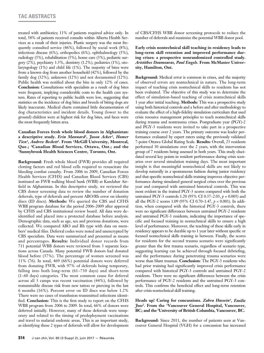treated with antibiotics; 11% of patients required advice only. In total, 58% of patients received consults within Alberta Health Services as a result of their injuries. Plastic surgery was the most frequently consulted service (46%), followed by social work (8%), infectious disease (6%), orthopedics (6%), ophthalmology (5%), radiology (5%), rehabilitation (5%), home care (3%), pediatric surgery (2%), psychiatry 1.5%, dentistry (1.2%), pediatrics (1%), otolaryngology (1%) and child life (1%). The majority of bites were from a known dog from another household (42%), followed by the family dog (32%), unknown (12%) and not documented (12%). Public health was notified about the bite in only 12% of cases. **Conclusion:** Consultations with specialists as a result of dog bites were frequent, implying considerable costs to the health care system. Rates of reporting to public health were low, suggesting that statistics on the incidence of dog bites and breeds of biting dogs are likely inaccurate. Medical charts contained little documentation of dog characteristics and incident details. Young (lower to the ground) children were at highest risk for dog bites, and faces were the most frequently bitten area.

**Canadian Forces fresh whole blood donors in Afghanistan: a descriptive study.** *Erin Mannard1, Jason Acker2, Homer Tien3, Andrew Beckett1.* **From 1McGill University, Montreal, Que.; 2Canadian Blood Services, Ottawa, Ont.; and the 3Sunnybrook Health Sciences Centre, Toronto, Ont.**

**Background:** Fresh whole blood (FWB) provides all required clotting factors and red blood cells required to resuscitate the bleeding combat casualty. From 2006 to 2009, Canadian Forces Health Services (CFHS) and Canadian Blood Services (CBS) instituted an FWB walking blood bank (WBB) at Kandahar Airfield in Afghanistan. In this descriptive study, we reviewed the CBS donor screening data to review the number of donation deferrals, type of deferrals and percent ABO/Rh error on identity discs (ID discs). **Methods:** We queried the CBS and CFHS WBB program database for the period 2006–2009 after approval by CFHS and CBS institutional review board. All data were deidentified and placed into a protected database before analysis. Demographic data, such as age, sex and previous donations, were collected. We compared ABO and Rh type with data on members' medical files. Deferral codes were noted and unencrypted by CBS specialists. Data were summarized and presented as means and percentages. **Results:** Individual donor records from 711 potential WBB donors were reviewed from 3 separate locations across Canada. Many potential FWB donors had donated blood before (37%). The percentage of women screened was 11% (76). In total, 469 (66%) potential donors were deferred from donating FWB, with 97% of deferrals being temporary, falling into both long-term (61–730 days) and short-term (1–60 days) categories. The most common cause for deferral across all 3 camps was recent vaccination (44%), followed by transmissible disease risk from new tattoo or piercing in the last 6 months (16%). Percent error on ID discs was below 1.2% There were no cases of transfusion-transmitted infections identified. **Conclusion:** This is the first study to report on the CFHS WBB program from 2006 to 2009. In total, 66% of donors were deferred initially. However, many of these deferrals were temporary and related to the timing of predeployment vaccinations and travel to malarial endemic areas. This is an important study, as identfying these 2 types of deferrals will allow for development

of CBS/CFHS WBB donor screening protocols to reduce the number of deferrals and maximize the potential WBB donor pool.

**Early crisis nontechnical skill teaching in residency leads to long-term skill retention and improved performance during crises: a prospective nonrandomized controlled study.** *Aristithes Doumouras, Paul Engels.* **From McMaster University, Hamilton, Ont.**

**Background:** Medical error is common in crises, and the majority of observed errors are nontechnical in nature. The long-term impact of teaching crisis nontechnical skills to residents has not been evaluated. The objective of this study was to determine the effect of simulation-based teaching of crisis nontechnical skills 1 year after initial teaching. **Methods:** This was a prospective study using both historical controls and a before and after methodology to evaluate the effect of a high-fidelity simulation curriculum that used crisis resource management principles to teach nontechnical skills during trauma and nontrauma crises. Postgraduate year (PGY)-2 and PGY-3 residents were invited to take part in a prospective training course over 2 years. The primary outcome was leader performance evaluated by expert raters using the previously validated 7-point Ottawa Global Rating Scale. **Results:** Overall, 23 residents performed 30 simulations over the 2 years, with the intervention group of 7 residents being assessed in both years. This study elucidated several key points in resident performance during crisis scenarios over several simulation training days. The most important insight is that meaningful nontechnical skills are not likely to develop naturally in a spontaneous fashion during junior residency and that specific nontechnical skills training improves objective performance during simulated general surgical crises over the previous year and compared with untrained historical controls. This was most evident in the trained PGY-3 scores compared with both the untrained PGY-3 controls 1.20 (95% CI 0.37–2.03, *p* = 0.005) and all the PGY-2 scores 1.09 (95% CI 0.70–1.47, *p* < 0.001). In addition, when compared with the historical PGY-3 controls, there were no significant differences between untrained PGY-2 residents and untrained PGY-3 residents, indicating the importance of specific and focused training in nontechnical skills to ensure a high level of performance. Moreover, the teaching of these skills early in residency appears to be durable up to 1 year later without specific or focused nontechnical skills training in between. Finally, the scores for residents for the second trauma scenario were significantly greater than the first trauma scenario, regardless of scenario type, suggesting learning can be achieved through focused debriefing, and the performance during penetrating trauma scenarios were worse than blunt traumas. **Conclusion:** The PGY-3 residents who had prior training had significantly improved crisis performance compared with historical PGY-3 controls and untrained PGY-2 residents. There were no significant differences between the crisis performance of PGY-2 residents and the untrained PGY-3 controls. This confirms the beneficial effect and long-term retention after crisis nontechnical skill training.

# **Heads up! Caring for concussions.** *Zahra Hussein1, Emilie Joos2.* **From the 1Vancouver General Hospital, Vancouver, BC; and the 2University of British Columbia, Vancouver, BC.**

**Background:** Since 2011, the number of patients seen at Vancouver General Hospital (VGH) for a concussion has increased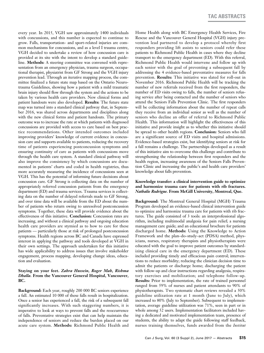every year. In 2015, VGH saw approximately 1400 individuals with concussions, and this number is expected to continue to grow. Falls, transportation- and sport-related injuries are common mechanisms for concussions, and as a level I trauma centre, VGH decided to undertake a review of how concussion care is provided at its site with the intent to develop a standard guideline. **Methods:** A steering committee was convened with representation from an emergency physician, trauma surgeon, occupational therapist, physiatrist from GF Strong and the VGH injury prevention lead. Through an iterative mapping process, the committee finalized a future state map based on the Ontario Neurotrauma Guidelines, showing how a patient with a mild traumatic brain injury should flow through the system and the actions to be taken by various health care providers. New clinical forms and patient handouts were also developed. **Results:** The future state map was turned into a standard clinical pathway that, in September 2016, was shared across departments and disciplines along with the new clinical forms and patient handouts. The primary outcome was to increase the rate at which patients with diagnosed concussions are provided with access to care based on best practice recommendations. Other intended outcomes included improving providers' knowledge of current evidence in concussion care and supports available to patients, reducing the recovery time of patients experiencing postconcussion symptoms and ensuring continuity of care as patients with concussions move through the health care system. A standard clinical pathway will also improve the consistency by which concussions are documented in patients' charts and coded in health registries, thus more accurately measuring the incidence of concussions seen at VGH. This has the potential of informing future decisions about concussion care. GF Strong is collecting data on the number of appropriately referred concussion patients from the emergency department (ED) and trauma services. Trauma services is collecting data on the number of delayed referrals made to GF Strong, and over time data will be available from the ED about the number of patients who return owing to unresolved postconcussion symptoms. Together, these data will provide evidence about the effectiveness of this initiative. **Conclusion:** Concussion rates are increasing, and without a clinical pathway and ongoing education health care providers are stymied as to how to care for these patients — particularly those at risk of prolonged postconcussion symptoms. Health regions across BC and Canada have expressed interest in applying the pathway and tools developed at VGH in their own settings. The approach undertaken for this initiative has wide applicability to address issues that involve stakeholder engagement, process mapping, developing change ideas, education and evaluation.

# **Staying on your feet.** *Zahra Hussein, Roger Mah, Rishma Dhalla.* **From the Vancouver General Hospital, Vancouver, BC.**

**Background:** Each year, roughly 200 000 BC seniors experience a fall. An estimated 10 000 of these falls result in hospitalization. Once a senior has experienced a fall, the risk of a subsequent fall significantly increases. With such staggering numbers, it is imperative to look at ways to prevent falls and the reoccurrence of falls. Preventative strategies exist that can help maintain the independence of seniors and reduce the burden placed on our acute care system. **Methods:** Richmond Public Health and

Home Health along with BC Emergency Health Services, Fire Rescue and the Vancouver General Hospital (VGH) injury prevention lead partnered to develop a protocol whereby first responders providing lift assists to seniors could refer these patients to Richmond Public Health in cases where they decline transport to the emergency department (ED). With this referral, Richmond Public Health would intervene and follow up with each senior with the goal of preventing a subsequent fall by addressing the 4 evidence-based preventative measures for falls prevention. **Results:** This initiative was slated for roll-out in November 2016. Richmond Public Health will be tracking the number of new referrals received from the first responders, the number of ED visits owing to falls, the number of seniors refusing service after being contacted and the number of seniors who attend the Seniors Falls Prevention Clinic. The first responders will be collecting information about the number of repeat calls they receive from an individual senior as well as the number of seniors who decline an offer of referral to Richmond Public Health. This information will highlight the effectiveness of this initiative and provide insight as to whether this initiative should be spread to other health regions. **Conclusion:** Seniors who fall are a significant source of ED visits and hospital admissions. Evidence-based strategies exist, but identifying seniors at risk for a fall remains a challenge. The partnerships developed as a result of this initiative aim to overcome this challenge and contribute to strengthening the relationship between first responders and the health region, increasing awareness of the Seniors Falls Prevention Clinic and increasing the public's and health care providers' knowledge about falls prevention.

## **Knowledge transfer: a clinical intervention guide to optimize and harmonize trauma care for patients with rib fractures.**  *Nathalie Rodrigue.* **From McGill University, Montreal, Que.**

**Background:** The Montreal General Hospital (MGH) Trauma Program developed an evidence-based clinical intervention guide to optimize and harmonize trauma care for patients with rib fractures. The guide consisted of 3 tools: an interprofessional algorithm, including multimodal analgesia for pain relief; a nursing management care guide; and an educational brochure for patients discharged home. **Methods:** Using the Knowledge to Action Framework and the plan–do–study–act (PDSA) method, physicians, nurses, respiratory therapists and physiotherapists were educated with the goal to improve patient outcomes by standardizing clinical care in the emergency department (ED). These included providing timely and efficacious pain control; interventions to reduce morbidity; reducing the clinician decision time to admit the patients or discharge home; discharging the patient with follow-up and clear instructions regarding analgesia, respiratory exercises and mobilization; and telephone follow-up. **Results:** Prior to implementation, the rate of trained personnel ranged from 59% of nurses and patient attendants to 90% of physiotherapists. Two systematic chart reviews revealed a 50% guideline utilization rate at 1 month (June to July), which increased to 80% (July to September). Subsequent to implementation, average guideline utilization was 71%, seen in part or in whole among 52 users. Implementation facilitators included having a dedicated and motivated implementation team, presence of students, the ability to adapt the guide following staff feedback, nurses training themselves, funds awarded from the *Institut*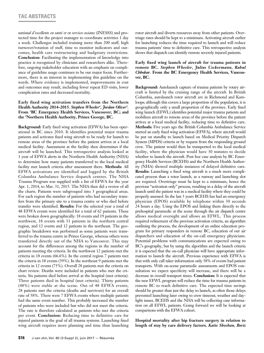*national d'excellente en santé et en services sociaux* (INESSS) and protected time for the project manager to coordinate activities 1 day a week. Challenges included training more than 200 staff, high turnover/rotation of staff, time to monitor indicators and outcomes, health care restructuring and budgetary restrictions. **Conclusion:** Facilitating the implementation of knowledge into practice is recognized by clinicians and researchers alike. Therefore, ongoing stakeholder education with an emphasis on compliance of guideline usage continues to be our major focus. Furthermore, there is an interest in implementing this guideline on the wards. Where evidence is implemented, improvements in cost and outcomes may result, including fewer repeat ED visits, lower complication rates and decreased mortality.

# **Early fixed wing activation transfers from the Northern**  Health Authority 2014–2015. Stephen Wheeler<sup>1</sup>, Jordan Oliver<sup>2</sup>. **From 1 BC Emergency Health Services, Vancouver, BC; and the 2 Northern Health Authority, Prince George, BC.**

**Background:** Early fixed wing activation (EFWA) has been operational in BC since 2010. It identifies potential major trauma patients and activates fixed wing aircraft to be ready for launch to remote areas of the province before the patient arrives at a local medical facility. Assessment at the facility then determines if the aircraft will be launched. This retrospective analysis looked at 1 year of EFWA alerts in the Northern Health Authority (NHA) to determine how many patients transferred to the local medical facility met launch criteria after assessment there. **Methods:** All EFWA activations are identified and logged by the British Columbia Ambulance Service dispatch centres. The NHA Trauma Program was supplied with a list of EFWA for the year Apr. 1, 2014, to Mar. 31, 2015. The NHA then did a review of all the charts. Patients were subgrouped into 3 geographical areas. For each region the number of patients who had secondary transfers from the primary site to a trauma centre or who died before transfer were identified. **Results:** For the selected year a total of 48 EFWA events were identified for a total of 62 patients. These were broken down geographically: 18 events and 19 patients in the northwest, 18 events with 31 patients in the northern central region, and 12 events and 12 patients in the northeast. The geographic breakdown was performed as some patients were transferred to the trauma centre in Prince George, whereas others were transferred directly out of the NHA to Vancouver. This may account for the differences among the regions in the number of patients meeting the criteria. In the northwest 12 patients met the criteria in 18 events (66.6%). In the central region 7 patients met the criteria in 18 events (39%). In the northeast 9 patients met the criteria in 12 events (75%). Overall 28 patients met the criteria on chart review. Deaths were included in patients who met the criteria. Six patients died before arrival at the hospital (met criteria). Three patients died in hospital (met criteria). Thirty patients (48%) were stable at the scene. Out of 48 EFWA events, 28 patients met the criteria (deaths and survivors) for an overall rate of 58%. There were 7 EFWA events where multiple patients had the same event number. This probably increased the number of patients who were included but who did not meet the criteria. The rate is therefore calculated as patients who met the criteria per event. **Conclusion:** Reducing time to definitive care for injured patients is the goal of all trauma systems. Launching fixed wing aircraft requires more planning and time than launching rotor aircraft and diverts resources away from other patients. Overtriage rates should be kept to a minimum. Activating aircraft earlier for launching reduces the time required to launch and will reduce trauma patients' time to definitive care. This retrospective analysis shows that dispatch can identify remote severely injured patients.

# **Early fixed wing launch of aircraft for trauma patients in remote BC.** *Stephen Wheeler, Julius Ueckermann, Rahul Chhokar.* **From the BC Emergency Health Services, Vancouver, BC.**

**Background:** Autolaunch capture of trauma patients by rotary aircraft is limited by the cruising range of the aircraft. In British Columbia, autolaunch rotor aircraft are in Richmond and Kamloops; although this covers a large proportion of the population, it is geographically only a small proportion of the province. Early fixed wing launch (EFWL) identifies potential major trauma patients and mobilizes aircraft to remote areas of the province before the patient arrives at a local medical facility, reducing time to definitive care. **Methods:** Five years ago the British Columbia Ambulance Service started an early fixed wing activation (EFWA), where aircraft would be put on standby to launch based on Medical Priority Dispatch System (MPDS) criteria or by request from the responding ground crew. The patient would then be transported to the local medical facility, where the physician would have 30 minutes to decide whether to launch the aircraft. Post hoc case analysis by BC Emergency Health Services (BCEHS) and the Northern Health Authority (NHA) showed multiple instances of delayed definitive care. **Results:** Launching a fixed wing aircraft is a much more complicated process than a rotor launch, as a runway and launching slot are required. Overtriage must be kept to a minimum, hence the previous "activation only" process, resulting in a delay of the aircraft launch until the patient was in a medical facility where they could be properly assessed. In the last 3 years BCEHS has had an emergency physician (EPOS) available by telephone within 30 seconds 24 hours a day. Using the EPOS and linking them directly to the prehospital paramedic at the scene through the air dispatch centre allows medical oversight and allows an EFWL. This process required refinement of the previous activation criteria, an algorithm outlining the process, the development of an online education program for primary responders in remote BC, education of our air dispatchers and education of the on-call emergency physicians. Potential problems with communications are expected owing to BC's geography, but by using the algorithm and the launch criteria it is expected that the on-call physician will have appropriate information to launch the aircraft. Previous experience with EFWA is that with only call taker information only 58% of events had patient transports. With on-scene paramedic assessments and EPOS consultation we expect specificity will increase, and there will be a decrease in overall transport times. **Conclusion:** It is expected that the new EFWL program will reduce the time for trauma patients in remote BC to reach definitive care. The expected time savings should be greater than just the delay to launch, as often those delays prevented launching later owing to crew timeout, weather and daylight issues. BCEHS and the NHA will be collecting case information on all EFWL patients. Going forward we will be looking at comparisons with the EFWA cohort.

**Hospital mortality after hip fracture surgery in relation to length of stay by care delivery factors.** *Katie Sheehan, Boris*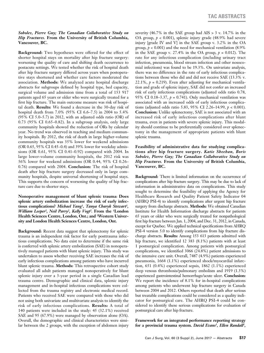# *Sobolev, Pierre Guy; The Canadian Collaborative Study on Hip Fractures.* **From the University of British Columbia, Vancouver, BC.**

**Background:** Two hypotheses were offered for the effect of shorter hospital stays on mortality after hip fracture surgery: worsening the quality of care and shifting death occurrence to postacute settings. We tested whether the risk of hospital death after hip fracture surgery differed across years when postoperative stays shortened and whether care factors moderated the association. **Methods:** We analyzed acute hospital discharge abstracts for subgroups defined by hospital type, bed capacity, surgical volume and admission time from a total of 153 917 patients aged 65 years or older who were surgically treated for a first hip fracture. The main outcome measure was risk of hospital death. **Results:** We found a decrease in the 30-day risk of hospital death from 7.0% (95% CI 6.6–7.5) in 2004 to 5.4% (95% CI 5.0–5.7) in 2012, with an adjusted odds ratio (OR) of 0.73 (95% CI 0.65–0.82). In a subgroup analysis, only large community hospitals showed the reduction of ORs by calendar year. No trend was observed in teaching and medium community hospitals. By 2012, the risk of death in large higher-volume community hospitals was 35% lower for weekend admissions (OR 0.65, 95% CI 0.45–0.4) and 39% lower for weekday admissions (OR 0.61, 95% CI 0.41–0.92) compared with 2004. In large lower-volume community hospitals, the 2012 risk was 56% lower for weekend admissions (OR 0.44, 95% CI 0.26– 0.76) compared with 2004. **Conclusion:** The risk of hospital death after hip fracture surgery decreased only in large community hospitals, despite universal shortening of hospital stays. This supports the concern of worsening the quality of hip fracture care due to shorter stays.

**Nonoperative management of blunt splenic trauma: Does splenic artery embolization increase the risk of early infectious complications?** *Michael Yang1 , Tanya Charyk Stewart1 , William Leeper<sup>2</sup>, Neil Parry<sup>2</sup>, Kelly Vogt<sup>2</sup>. From the <sup>1</sup>London* **Health Sciences Centre, London, Ont.; and 2 Western University and London Health Sciences Centre, London, Ont.**

**Background:** Recent data suggest that splenectomy for splenic trauma is an independent risk factor for early posttrauma infectious complications. No data exist to determine if the same risk is conferred with splenic artery embolization (SAE) in nonoperatively managed patients with blunt splenic injury. This study was undertaken to assess whether receiving SAE increases the risk of early infectious complications among patients who have incurred blunt splenic trauma. **Methods:** This retrospective cohort study evaluated all adult patients managed nonoperatively for blunt splenic injury over a 3-year period in a single Canadian lead trauma centre. Demographic and clinical data, splenic injury management and in-hospital infectious complications were collected from the trauma registry and electronic medical record. Patients who received SAE were compared with those who did not using both univariate and multivariate analysis to identify the risk of early infectious complications. **Results:** A total of 140 patients were included in the study: 45 (32.1%) received SAE and 95 (67.9%) were managed by observation alone (OA). Overall, the demographic and clinical characteristics were similar between the 2 groups, with the exception of abdomen injury

severity (46.7% in the SAE group had AIS  $> 3$  v. 14.7% in the OA group, *p* < 0.001), splenic injury grade (48.9% had severe injury [grade IV and V] in the SAE group v. 3.2% in the OA group,  $p < 0.001$ ) and the need for mechanical ventilation  $(8.9\%$ in the SAE group v. 27.4% in the OA group,  $p = 0.012$ ). The rate for any infectious complication (including urinary tract infection, pneumonia, blood stream infection and other nosocomial infections) was found to be 19.3%. On univariate analysis, there was no difference in the rate of early infectious complications between those who did and did not receive SAE (13.3% v. 22.1%,  $p = 0.219$ ). Even after adjusting for mechanical ventilation and grade of splenic injury, SAE did not confer an increased risk of early infectious complications (adjusted odds ratio 0.78, 95% CI 0.18–3.37,  $p = 0.741$ ). Only mechanical ventilation was associated with an increased odds of early infectious complications (adjusted odds ratio 5.83, 95% CI 2.26–14.99, *p* < 0.001). **Conclusion:** Unlike splenectomy, SAE is not associated with an increased risk of early infectious complications after blunt trauma, even in patients with severe splenic injury. This modality should continue to be preferentially considered over splenectomy in the management of appropriate patients with blunt splenic trauma.

**Feasibility of administrative data for studying complications after hip fracture surgery.** *Katie Sheehan, Boris Sobolev, Pierre Guy; The Canadian Collaborative Study on Hip Fractures.* **From the University of British Columbia, Vancouver, BC.**

**Background:** There is limited information on the occurrence of complications after hip fracture surgery. This may be due to lack of information in administrative data on complications. This study sought to determine the feasibility of applying the Agency for Healthcare Research and Quality Patient Safety Indicator 04 (AHRQ PSI-4) to identify complications after urgent hip fracture surgery from discharge abstracts. **Methods:** We obtained Canadian Institute for Health Information discharge abstracts for patients 65 years or older who were surgically treated for nonpathological first hip fracture between Jan. 1, 2004, and Dec. 31, 2012, in Canada, except for Quebec. We applied technical specifications from AHRQ PSI-4 version 5.0 to identify complications from hip fracture discharge abstracts. **Results:** Among 153 613 patients admitted with hip fracture, we identified 12 383 (8.1%) patients with at least 1 postsurgical complication. Among patients with postsurgical complications, we identified 3066 (24.8%) patient admissions to the intensive care unit. Overall, 7487 (4.9%) patients experienced pneumonia, 1664 (1.1%) experienced shock/myocardial infarction, 651 (0.4%) experienced sepsis, 1862 (1.1%) experienced deep venous thrombosis/pulmonary embolism and 1919 (1.3%) experienced gastrointestinal hemorrhage/acute ulcer. **Conclusion:**  We report the incidence of 8.1% for in-hospital complications among patients who underwent hip fracture surgery in Canada between 2004 and 2012. Others reported that death after serious but treatable complications could be considered as a quality indicator for postsurgical care. The AHRQ PSI-4 could be considered to identify these serious complications for evaluation of postsurgical care after hip fracture.

**Framework for an integrated performance reporting strategy**  for a provincial trauma system. *David Evans<sup>1</sup>*, *Ellen Randall<sup>1</sup>*,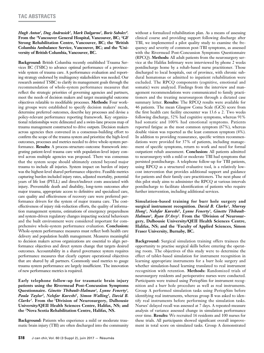*Hugh Anton2 , Dug Andrusiek3 , Mark Dalgarno1 , Boris Sobolev4 .*  **From the 1 Vancouver General Hospital, Vancouver, BC; 2 GF Strong Rehabilitation Centre, Vancouver, BC; the 3British Columbia Ambulance Service, Vancouver, BC; and the 4 University of British Columbia, Vancouver, BC.**

**Background:** British Columbia recently established Trauma Services BC (TSBC) to advance optimal performance of a provincewide system of trauma care. A performance evaluation and reporting strategy endorsed by multiagency stakeholders was needed. Our research assisted TSBC to clarify its management goals through the recommendation of whole-system performance measures that reflect the strategic priorities of governing agencies and partners, meet the needs of decision makers and target meaningful outcome objectives relatable to modifiable processes. **Methods:** Four working groups were established to specify decision makers' needs, determine preferred outcomes, describe key processes and devise a policy-relevant performance reporting framework. Key organizational relationships were delineated and a swim-lane process map of trauma management constructed to drive outputs. Decision makers across agencies then convened in a consensus-building effort to confirm the scope of the trauma system and prioritize the high-level outcomes, processes and metrics needed to drive whole-system performance. **Results:** A process–structure–outcome framework integrating patient-level trauma care with population-level injury control across multiple agencies was proposed. There was consensus that the system scope should ultimately extend beyond major trauma to include all injuries. System impact on burden of injury was the highest-level shared performance objective. Feasible metrics capturing burden included injury rates, adjusted mortality, potential years of life lost (PYLL) and direct/indirect costs associated with injury. Preventable death and disability, long-term outcomes after major trauma, appropriate access to definitive and specialized care, care quality and effectiveness of recovery care were preferred performance drivers for the system of major trauma care. The costeffectiveness of injury risk-reduction efforts, the quality of information management systems, estimations of emergency preparedness and system-driven regulatory changes impacting societal behaviours and the built environment were considered important for comprehensive whole-system performance evaluation. **Conclusion:** Whole-system performance measures must reflect both health care delivery and population health management. Measures meaningful to decision makers across organizations are essential to align performance objectives and direct system change that targets desired outcomes. Accountability in a shared governance system requires performance measures that clearly capture operational objectives that are shared by all partners. Commonly used metrics to gauge trauma system performance are largely insufficient. The innovation of new performance metrics is required.

**Early telephone follow-up for traumatic brain injury patients using the Rivermead Post-Concussion Symptoms Questionnaire.** *Ginette Thibault-Halman1, Lynne Fenerty1,*  Paula Taylor<sup>2</sup>, Nelofar Kureshi<sup>1</sup>, Simon Walling<sup>1</sup>, David B. *Clarke1.* **From the 1Division of Neurosurgery, Dalhousie University/QEII Health Sciences Centre, Halifax, NS; and the 2Nova Scotia Rehabilitation Centre, Halifax, NS.**

**Background:** Patients who experience a mild or moderate traumatic brain injury (TBI) are often discharged into the community without a formalized rehabilitation plan. As a means of assessing clinical course and providing support following discharge after TBI, we implemented a pilot quality study to examine the frequency and severity of common post-TBI symptoms, as assessed with the Rivermead Post-Concussion Symptoms Questionnaire (RPCQ). **Methods:** All adult patients from the neurosurgery service at the Halifax Infirmary were interviewed by phone 2 weeks postdischarge home by a rehab-based nurse practitioner. Those discharged to local hospitals, out of province, with chronic subdural hematomas or admitted to inpatient rehabilitation were excluded. The RPCQ components (cognitive, emotional and somatic) were analyzed. Findings from the interview and management recommendations were communicated to family practitioners and the treating neurosurgeon through a dictated case summary letter. **Results:** The RPCQ results were available for 46 patients. The mean Glasgow Coma Scale (GCS) score from the first health care facility encounter was  $13.6 \pm 2$ . Two weeks following discharge, 52% had cognitive symptoms, whereas 91% had somatic and 100% had emotional symptoms. Patients reported fatigue as the most common symptom (67%), whereas double vision was reported as the least common symptom (4%). In addition to providing reassurance, specific written recommendations were provided for 37% of patients, including management of specific symptoms, return to work and need for formal outpatient rehab assessment. **Conclusion:** All patients admitted to neurosurgery with a mild or moderate TBI had symptoms that persisted postdischarge. A telephone follow-up for TBI patients, using RPCQ as a structured evaluative tool, is a relatively lowcost intervention that provides additional support and guidance for patients and their family care practitioners. The next phase of this pilot study aims to administer the RPCQ at various intervals postdischarge to facilitate identification of patients who require further intervention, including additional services.

**Simulation-based training for burr hole surgery and surgical instrument recognition.** *David B. Clarke1, Murray*  Hong<sup>1</sup>, Nelofar Kureshi<sup>1</sup>, Lynne Fenerty<sup>1</sup>, Ginette Thibault-*Halman1, Ryan D'Arcy2.* **From the 1Division of Neurosurgery, Dalhousie University/QEII Health Sciences Centre, Halifax, NS; and the 2Faculty of Applied Sciences, Simon Fraser University, Burnaby, BC.**

**Background:** Surgical simulation training offers trainees the opportunity to practise surgical skills before entering the operating room. The objectives of this study were to determine the effect of tablet-based simulation for instrument recognition in learning appropriate instruments for a burr hole surgery and whether simulation-based learning translated to real instrument recognition with retention. **Methods:** Randomized trials of neurosurgery residents and perioperative nurses were conducted. Participants were trained using PeriopSim for instrument recognition and a burr hole procedure as well as real instruments. Group A performed simulation tasks using PeriopSim before identifying real instruments, whereas group B was asked to identify real instruments before performing the simulation tasks. Nurses' delayed recall was assessed at 7 days. A repeated-measure analysis of variance assessed change in simulation performance over time. **Results:** We recruited 16 residents and 100 nurses for these trials. All participants showed significant overall improvement in total score on simulated tasks. Group A demonstrated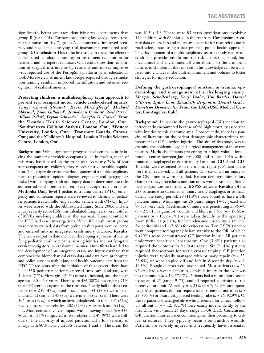significantly better accuracy identifying real instruments than group B (*p* < 0.001). Furthermore, during knowledge recall testing for nurses on day 7, group A demonstrated improved accuracy and speed in identifying real instruments compared with group B. **Conclusion:** This is the first study to assess the effect of tablet-based simulation training on instrument recognition for residents and perioperative nurses. Our results show that recognition of surgical instruments by residents and nurses improves with repeated use of the PeriopSim platform as an educational tool. Moreover, instrument knowledge acquired through simulation training results in improved identification and retained recognition of real instruments.

**Protecting children: a multidisciplinary team approach to prevent rear occupant motor vehicle crash–related injuries.** *Tanya Charyk Stewart1, Kevin McClafferty2, Michael Shkrum3, Jason Gilliland3, Jean-Louis Comeau4, Neil Parry3, Allison Pellar2, Peyton Schroeder3, Douglas D. Fraser5.* **From the 1London Health Sciences Centre, London, Ont.; 2Southwestern Collision Analysis, London, Ont.; 3Western University, London, Ont.; <sup>4</sup>Transport Canada, Ottawa, Ont.; and the 5Children's Hospital, London Health Sciences Centre, London, Ont.**

**Background:** While significant progress has been made in reducing the number of vehicle occupants killed in crashes, much of this work has focused on the front seat. As nearly 79% of rear seat occupants are children, they represent a vulnerable population. This paper describes the development of a multidisciplinary team of physicians, epidemiologists, engineers and geographers tasked with studying crash and injury data to determine the risks associated with pediatric rear seat occupants in crashes. **Methods:** Daily level I pediatric trauma centre (PTC) emergency and admission reports were reviewed to identify all pediatric patients treated following a motor vehicle crash (MVC). Injuries were scored with the Abbreviated Injury Scale 2005, and the injury severity score (ISS) was calculated. Engineers were notified of MVCs involving children in the rear seat. Those admitted to the PTC had crash investigations. When full crash investigations were not warranted, data from police crash reports were collected and entered into an integrated crash injury database. **Results:**  The team output to date included developing a process of identifying pediatric crash occupants, scoring injuries and notifying the crash investigators in a real-time manner. Our efforts have led to the development of an integrated crash and injury database that combines the biomechanical crash data and data from prehospital and police services with injury and health outcome data from the PTC. Three years after the initiation of this project, there have been 550 pediatric patients entered into our database, with 3 deaths (1%). More girls (54%) came to hospital, and the mean age was  $9.0 \pm 6.3$  years. There were 484 (88%) passengers; 71%  $(n = 343)$  were occupants in the rear seat. Nearly half of the occupants (*n* = 259; 47%) used a seat belt; 154 (28%) were in an infant/child seat, and 45 (8%) were in a booster seat. There were 106 cases (19%) in which an airbag deployed. In total, 341 (62%) involved passenger vehicles, 202 (37%) a van/truck and 6 (1%) a bus. Most crashes involved impact with a moving object (*n* = 437; 80%); 61 (11%) impacted a fixed object and 49 (9%) were rollovers. The majority of injured patients had a low severity of injury, with 80% having an ISS between 1 and 8. The mean ISS

was  $10.5 \pm 5.8$ . There were 85 crash investigations involving 149 children, with 68 injured in the rear seat. **Conclusion:** Accurate data on crashes and injury are essential for research to tackle road safety issues using a best practice, public health approach. The development of a multidisciplinary team to study real-world crash data provides insight into the risk factors (i.e., social, biomechanical and environmental) contributing to the crash and injuries to children in the rear seat. This knowledge can be translated into changes in the built environment and policies to foster strategies for injury reduction.

**Defining the gastroesophageal junction in trauma: epidemiology and management of a challenging injury.**  *Morgan Schellenberg, Kenji Inaba, Jim Bardes, Daniel O'Brien, Lydia Lam, Elizabeth Benjamin, Daniel Grabo, Demetrios Demetriades.* **From the LAC+USC Medical Center, Los Angeles, Calif.**

**Background:** Injuries to the gastroesophageal (GE) junction are infrequently encountered because of the high mortality associated with injuries to this anatomic area. Consequently, there is a paucity of literature on the patient demographic characteristics and treatment of GE junction injuries. The aim of this study was to examine the epidemiology and surgical management of these rare injuries. **Methods:** Patients presenting to a high-volume level I trauma centre between January 2008 and August 2016 with a traumatic esophageal or gastric injury based on ICD-9 and ICD-10 codes were extracted from the trauma registry. Patient charts were then reviewed, and all patients who sustained an injury to the GE junction were enrolled. Patient demographics, injury characteristics, procedures and outcomes were abstracted. Statistical analysis was performed with SPSS software. **Results:** Of the 238 patients who sustained an injury to the esophagus or stomach during the study period, 28 (11.8%) were found to have a GE junction injury. Mean age was 26 years (range 14–57 years) and 89.3% were male. Mechanism of injury was penetrating in 96.4% (*n* = 27; 81.5% gunshot wounds) and blunt in 3.6% (*n* = 1). Most patients ( $n = 18$ , 64.3%) were taken directly to the operating room (OR): 11 (61.1%) for hemodynamic instability, 7 (38.9%) for peritonitis and 1 (5.6%) for evisceration. Ten (35.7%) underwent computed tomography before transfer to the OR, of which 9 (90%) scans demonstrated GE junction injury. All patients underwent repair via laparotomy. One (3.6%) patient also required thoracotomy to facilitate repair. Six (21.4%) patients required thoracotomy for aortic cross-clamping. GE junction injuries were typically managed with primary repair (*n* = 22, 78.6%) or were stapled off and left in discontinuity (*n* = 4, 14.3%). Bougie dilators were never used. Most patients (*n* = 26, 92.9%) had associated injuries, of which injury to the liver was most common (*n* = 16, 57.1%). Patients had a mean injury severity score of 25 (range 9–75), and all required admission to the intensive care unit. Mortality was 25% (*n* = 7; 42.9% intraoperative). Most patients did not require total parenteral nutrition (*n* = 25, 89.3%) or a surgically placed feeding tube (*n* = 26, 92.9%). Of the 13 patients discharged alive who presented for clinical followup, all but  $1$  ( $n = 12, 92.3\%$ ) were eating independently by the first clinic visit (mean 26 days, range 11–38 days). **Conclusion:**  GE junction injuries are uncommon given their proximity to critical structures. They typically occur after gunshot wounds. Patients are severely injured and frequently have associated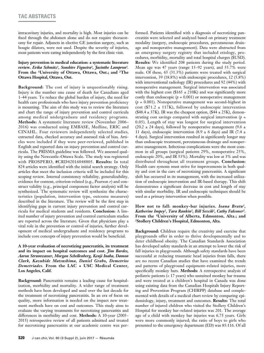intracavitary injuries, and mortality is high. Most injuries can be fixed through the abdomen alone and do not require thoracotomy for repair. Adjuncts in elective GE junction surgery, such as bougie dilators, were not used. Despite the severity of injuries, most patients were eating independently by the first clinic visit.

# **Injury prevention in medical education: a systematic literature review.** *Erika Schmitz1 , Sonshire Figueira2 , Jacinthe Lampron2 .*  **From the 1University of Ottawa, Ottawa, Ont.; and 2The Ottawa Hospital, Ottawa, Ont.**

**Background:** The cost of injury is unquestionably rising. Injury is the number one cause of death for Canadians aged 1–44 years. To reduce the global burden of injury, the need for health care professionals who have injury prevention proficiency is mounting. The aim of this study was to review the literature and chart the range of injury prevention and control curricula among medical undergraduate and residency programs. **Methods:** A systematic literature review (November 2006– 2016) was conducted using EMBASE, Medline, ERIC and CINAHL. Four reviewers independently selected studies, extracted data, checked accuracy and assessed risk of bias. Articles were included if they were peer-reviewed, published in English and reported data on injury prevention and control curricula. The PRISMA guideline was followed. We assessed quality using the Newcastle–Ottawa Scale. The study was registered with PROSPERO, #CRD42016048805. **Results:** In total 824 articles were identified with the initial search strategy. Only articles that meet the inclusion criteria will be included for this scoping review. Internal consistency reliability, generalizability, evidence for content, criterion-related (e.g., Pearson *r*) and construct validity (e.g., principal component factor analysis) will be synthesized. The systematic review will synthesize the characteristics (population, intervention type, outcome measures) described in the literature. The review will be the first step in identifying gaps in current injury prevention and control curricula for medical students and residents. **Conclusion:** A limited number of injury prevention and control curriculum studies are reported across the literature. Given that physicians play a vital role in the prevention or control of injuries, further development of medical undergraduate and residency programs to include core concepts of injury prevention would be beneficial.

**A 10-year evaluation of necrotizing pancreatitis, its treatment and its impact on hospital outcomes and cost.** *Jim Bardes, Aaron Strumwasser, Morgan Schellenberg, Kenji Inaba, Damon Clark, Kazuhide Matsushima, Daniel Grabo, Demetrios Demetriades.* **From the LAC + USC Medical Center, Los Angeles, Calif.**

**Background:** Pancreatitis remains a leading cause for hospitalization, morbidity and mortality. A wider range of treatment methods have been developed and used over the last decade for the treatment of necrotizing pancreatitis. In an era of focus on quality, more information is needed on the impact new treatment methods have on cost and outcomes. This study aims to evaluate the varying treatments for necrotizing pancreatitis and differences in morbidity and cost. **Methods:** A 10-year (2005– 2015) retrospective review of all patients admitted and treated for necrotizing pancreatitis at our academic centre was performed. Patients identified with a diagnosis of necrotizing pancreatitis were selected and analyzed based on primary treatment modality (surgery, endoscopic procedures, percutaneous drainage and nonoperative management). Data were abstracted from an emergency surgery registry that included etiology, procedures, morbidity, mortality and total hospital charges (\$USD). **Results:** We identified 208 patients during the study period. Mean age was 47 years (range 15–92 years), and 55.7% were male. Of these, 65 (31.3%) patients were treated with surgical intervention, 39 (18.8%) with endoscopic procedures, 12 (5.8%) with interventional radiology (IR) procedures and 92 (44%) with nonoperative management. Surgical intervention was associated with the highest cost (\$165  $\pm$  210K) and was significantly more costly than endoscopic  $(p = 0.001)$  or nonoperative management  $(p = 0.001)$ . Nonoperative management was second-highest in cost (\$71.2  $\pm$  117K), followed by endoscopic intervention  $($48.4 \pm 37K)$ . IR was the cheapest option,  $($44 \pm 25K)$ , demonstrating cost savings compared with surgical intervention  $(p =$ 0.05). Length of stay was longest for surgical intervention (20.2  $\pm$  24 days), followed by nonoperative management (9.6  $\pm$ 11 days), endoscopic intervention (8.9  $\pm$  6 days) and IR (7.4  $\pm$ 4 days). Surgical intervention resulted in significantly longer stay than endoscopic treatment, percutaneous drainage and nonoperative management. Infectious complications were the most common in all groups (surgical patients 29%, nonoperative 25%, endoscopic 20%, and IR 53%). Mortality was low at 3% and was distributed throughout all treatment groups. **Conclusion:**  Health care systems must strive for improvements in both quality and cost in the care of necrotizing pancreatitis. A significant shift has occurred in its management, with the increased utilization of endoscopic intervention and IR-based therapy. This shift demonstrates a significant decrease in cost and length of stay with similar morbidity. IR and endoscopic techniques should be used as a primary intervention when possible.

# **How not to fall: monkey-bar injuries.** *Ioana Bratu1, Katherine Impey2, Tara Rankin2, Bill Sevcik2, Cathy Falconer2.* **From the 1University of Alberta, Edmonton, Alta.; and 2Stollery Children's Hospital, Edmonton, Alta.**

**Background:** Children require the creativity and exercise that playgrounds offer in order to thrive developmentally and to deter childhood obesity. The Canadian Standards Association has developed safety standards in an attempt to lower the risk of fall injuries in playgrounds. Although safety standards have been successful at reducing traumatic head injuries from falls, there are no recent Canadian studies that have examined the trends and patterns of playground equipment–related injuries, more specifically monkey bars. **Methods:** A retrospective analysis of pediatric patients (< 17 years) who sustained monkey bar trauma and were treated at a children's hospital in Canada was done using existing data from the Canadian Hospitals Injury Reporting and Prevention Program (CHIRPP) database and complemented with details of a medical chart review by comparing epidemiology, injury, treatment and outcomes. **Results:** The total number of injured children who visited the Stollery Children's Hospital for monkey bar–related injuries was 201. The average age of a child with monkey bar injuries was 6.75 years. Girls were more commonly injured; the ratio of boys to girls who presented to the emergency department (ED) was 85:116. Of all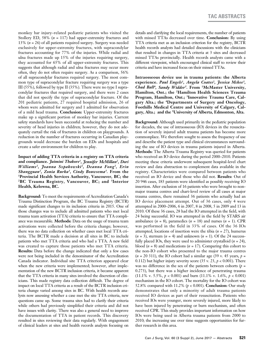monkey bar injury–related pediatric patients who visited the Stollery ED, 58% (*n* = 117) had upper-extremity fractures and 13% (*n* = 26) of all patients required surgery. Surgery was needed exclusively for upper-extremity fractures, with supracondylar fractures accounting for 77% of the injuries. While radial and ulna fractures made up 15% of the injuries requiring surgery, they accounted for 65% of all upper-extremity fractures. This suggests that although radial and ulna fractures may occur more often, they do not often require surgery. As a comparison, 56% of all supracondylar fractures required surgery. The most common type of supracondylar fracture requiring surgery was a type III (55%), followed by type II (35%). There were no type I supracondylar fractures that required surgery, and there were 2 cases that did not specify the type of supracondylar fracture. Of the 201 pediatric patients, 27 required hospital admission, 26 of whom were admitted for surgery and 1 admitted for observation of a mild head trauma. **Conclusion:** Upper-extremity fractures make up a significant portion of monkey bar injuries. Current safety standards have been successful at reducing the number and severity of head injuries in children; however, they do not adequately curtail the risk of fractures in children on playgrounds. A reduction in the number of fractures occurring in Canadian playgrounds would decrease the burden on EDs and hospitals and create a safer environment for children to play.

**Impact of adding TTA criteria in a registry on TTA criteria and compliance.** *Jaimini Thakore1, Jennifer McMillan2, Dori Williams2, Joanna Szpakowski2, Deanna Fong2, Erin Shangguan2, Zonia Rurka3, Cindy Bouwsema3.* **From the 1Provincial Health Services Authority, Vancouver, BC; the 2BC Trauma Registry, Vancouver, BC; and 3Interior Health, Kelowna, BC.**

**Background:** To meet the requirements of Accreditation Canada's Trauma Distinction Program, the BC Trauma Registry (BCTR) made significant changes to its inclusion criteria in 2015. One of those changes was to include all admitted patients who met local trauma team activation (TTA) criteria to ensure that TTA compliance was measurable. **Methods:** Data on the usage of trauma team activations were collected before the criteria change; however, there was no data collection on whether cases met local TTA criteria. The BCTR made a decision at all sites in BC to include patients who met TTA criteria and who had a TTA. A new field was created to capture those patients who met TTA criteria. **Results:** Data before the change indicated that only a few cases were not being included in the denominator of the Accreditation Canada indicator. Individual site TTA criterion appeared clear when the new criteria were implemented; however, after implementation of the new BCTR inclusion criteria, it became apparent that the TTA criteria in many sites involved the discretion of clinicians. This made registry data collection difficult. The degree of impact on local TTA criteria as a result of the BCTR inclusion criteria change varied among sites in BC. With health records analysts now assessing whether a case met the site TTA criteria, new questions came up. Some trauma sites had to clarify their criteria while others had previously simplified their criteria and did not have issues with clarity. There was also a general need to improve the documentation of TTA in patient records. This discovery resulted in sites reviewing their data regularly. With engagement of clinical leaders at sites and health records analysts focusing on

details and clarifying the local requirements, the number of patients with missed TTAs decreased over time. **Conclusion:** By using TTA criteria met as an inclusion criterion for the registry, BCTR health records analysts had detailed discussions with the clinicians that resulted in changes in TTA criteria at 3 sites and decreased missed TTAs provincially. Health records analysts came with a different viewpoint, which encouraged clinical staff to review their criteria and have increased focus on their missed TTAs.

**Intraosseous device use in trauma patients: the Alberta experience.** *Paul Engels1, Angela Coates2, Jessica Mckee3, Chad Ball4, Sandy Widder5.* **From 1McMaster University, Hamilton, Ont.; the 2Hamilton Health Sciences Trauma Program, Hamilton, Ont.; 3Innovative Trauma Care, Calgary Alta.; the 4Departments of Surgery and Oncology, Foothills Medical Centre and University of Calgary, Calgary, Alta.; and the 5University of Alberta, Edmonton, Alta.**

**Background:** Although used primarily in the pediatric population for decades, the use of intraosseous (IO) devices in the resuscitation of severely injured adult trauma patients has become more commonplace. We therefore sought to assess the frequency of use and describe the patient type and clinical circumstances surrounding the use of IO devices in trauma patients injured in Alberta. **Methods:** The Alberta Trauma Registry was queried for patients who received an IO device during the period 2000–2010. Patients meeting these criteria underwent subsequent hospital-level chart review and data abstraction to complement data available in the registry. Characteristics were compared between patients who received an IO device and those who did not. **Results:** Out of 20 946 cases, 183 patients were identified as possibly receiving IO insertion. After exclusion of 16 patients who were brought to nonmajor trauma centres and chart-level review of all cases at major trauma centres, there remained 36 patients who actually had an IO device placement attempt. Out of 36 cases, only 4 were attempted in 2000–2006, 6 in 2007, 8 in 2008, 5 in 2009 and 13 in 2010. Of these 36 cases, 28 had the IO attempted in the field, with 24 being successful. IO was attempted in the field by STARS air ambulance  $(n = 8)$ , paramedics  $(n = 18)$  and nurses  $(n = 1)$ . CPR was performed in the field in 33% of cases. Of the 36 IOs attempted, locations of insertion were the tibia (*n* = 27), humerus  $(n = 3)$ , sternum  $(n = 4)$  and unknown  $(n = 1)$ . Of the 24 successfully placed IOs, they were used to administer crystalloid  $(n = 24)$ , blood  $(n = 8)$  and medications  $(n = 17)$ . Comparing this cohort to the non-IO cohort who presented to the major trauma centres  $(n = 20 311)$ , the IO cohort had a similar age  $(39 v. 45 years, p =$ 0.112) but higher injury severity score  $(35 \text{ v. } 23, p < 0.001)$ . There was no difference in the sex of the patients between cohorts  $(p =$ 0.273), but there was a higher incidence of penetrating trauma (11.1% v. 5.5%, *p* < 0.001) and burn (11.1% v. 1.6%, *p* < 0.001) mechanism in the IO cohort. The mortality for the IO cohort was 52.8% compared with 11.2% (*p* < 0.001). **Conclusion:** Our study demonstrates that only a minority of adult trauma patients received IO devices as part of their resuscitation. Patients who received IOs were younger, more severely injured, more likely to have been injured by penetrating or burn mechanism, and often received CPR. This study provides important information on how IOs were being used in Alberta trauma patients from 2000 to 2010; the increasing use over time suggests opportunities for further research in this area.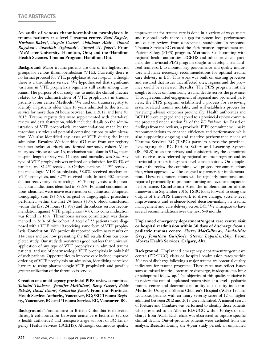**An audit of venous thromboembolism prophylaxis in trauma patients at a level I trauma centre.** *Paul Engels1, Husham Bakry1, Angela Coates2, Abdulaziz Alali1, Ahmed Bugshan1, Abdullah Alghamdi1, Ahmed AL-Jabri1.* **From 1McMaster University, Hamilton, Ont.; and the 2Hamilton Health Sciences Trauma Program, Hamilton, Ont.**

**Background:** Major trauma patients are one of the highest risk groups for venous thromboembolism (VTE). Currently there is no formal protocol for VTE prophylaxis at our hospital, although there is a thrombosis service. We hypothesized that significant variation in VTE prophylaxis regimens still exists among clinicians. The purpose of our study was to audit the clinical practice related to the administration of VTE prophylaxis in trauma patients at our centre. **Methods:** We used our trauma registry to identify all patients older than 16 years admitted to the trauma service for more than 24 hours between Jan. 1, 2012, and June 30, 2013. Trauma registry data were supplemented with chart-level review and data abstraction, which included details on the administration of VTE prophylaxis, recommendations made by the thrombosis service and potential contraindications to administration. We also identified any cases of VTE during the index admission. **Results:** We identified 633 cases from our registry that met inclusion criteria and formed our study cohort. Mean injury severity score was 16, mechanism was blunt in 93%, mean hospital length of stay was 11 days, and mortality was 8%. Any type of VTE prophylaxis was ordered on admission for 83.4% of patients, and 81.2% received it. Of these patients, 44.9% received pharmacologic VTE prophylaxis, 58.8% received mechanical VTE prophylaxis, and 3.7% received both. In total 402 patients did not receive any pharmacologic VTE prophylaxis, with potential contraindications identified in 83.6%. Potential contraindications identified were active extravasation on admission computed tomography scan (83.6%), surgical or angiographic procedure performed within the first 24 hours (30%), blood transfusion within the first 24 hours (13.9%) and thrombosis service recommendation against VTE prophylaxis (4%); no contraindication was found in 16%. Thrombosis service consultation was documented in 26% of the cohort. A total of 22 patients were diagnosed with a VTE, with 19 receiving some form of VTE prophylaxis. **Conclusion:** We previously reported preliminary results on 114 cases and are now presenting the full results from our completed study. Our study demonstrates good but less than universal application of any type of VTE prophylaxis in admitted trauma patients, and use of pharmacologic VTE prophylaxis in only half of such patients. Opportunities to improve care include improved ordering of VTE prophylaxis on admission, identifying perceived barriers to using pharmacologic VTE prophylaxis and possibly greater utilization of the thrombosis service.

# **Creation of a multi-agency provincial PIPS review committee.**  *Jaimini Thakore1, Jennifer McMillan2, Recep Gezer3, Beide Bekele1 , David Evans3 , Catherine Jones1 .* **From the 1 Provincial Health Services Authority, Vancouver, BC; 2 BC Trauma Registry, Vancouver, BC; and 3 Trauma Services BC, Vancouver, BC.**

**Background:** Trauma care in British Columbia is delivered through collaboration between acute care facilities (across 5 health authorities) and transport/triage support of BC Emergency Health Services (BCEHS). Although continuous quality improvement for trauma care is done in a variety of ways at site and regional levels, there is a gap for system-level performance and quality reviews from a provincial standpoint. In response, Trauma Services BC created the Performance Improvement and Patient Safety (PIPS) program. **Methods:** Collaborating with regional health authorities, BCEHS and other provincial partners, the provincial PIPS program sought to develop a standardized framework to monitor key performance and quality indicators and make necessary recommendations for optimal trauma care delivery in BC. This work was built on existing processes and ensured that issues that affected sites, regions and the province could be reviewed. **Results:** The PIPS program initially sought to focus on monitoring trauma deaths across the province. Through committed engagement of regional and provincial partners, the PIPS program established a process for reviewing system-related trauma mortality and will establish a process for reviewing adverse outcomes provincially. Health authorities and BCEHS were engaged and agreed to a provincial review committee protected under section 51 of the *BC Evidence Act*. Based on findings from the reviews, a provincial PIPS committee will make recommendations to enhance efficiency and performance while also supporting ongoing and reactive performance needs of Trauma Services BC (TSBC) partners across the province. Leveraging the BC Patient Safety and Learning System (BCPSLS) to ensure privacy and confidentiality, the committee will receive cases referred by regional trauma programs and its provincial partners for system-level considerations. On completion of the review, the committee will propose recommendations that, when approved, will be assigned to partners for implementation. These recommendations will be regularly monitored and reported provincially to promote learning and evaluate impact in performance. **Conclusion:** After the implementation of this framework in September 2016, TSBC looks forward to using the output of the PIPS framework to drive change, system-level improvements and evidence-based decision-making in trauma management and care delivery across BC. We anticipate to have several recommendations over the next 6–8 months.

# **Unplanned emergency department/urgent care centre visit or hospital readmission within 30 days of discharge from a pediatric trauma centre.** *Sherry MacGillivray, Linda-Mae Grey, Jonathan Guilfoyle, Steven Lopushinshky.* **From Alberta Health Services, Calgary, Alta.**

**Background:** Unplanned emergency department/urgent care centre (ED/UCC) visits or hospital readmission rates within 30 days of discharge following a major trauma are potential quality indicators for trauma programs. These rates may reflect issues such as missed injuries, premature discharge, inadequate teaching or suboptimal follow-up. The objective of this quality initiative is to review the rate of unplanned return visits at a level I pediatric trauma centre and determine its utility as a quality indicator. **Methods:** Using the Alberta Children's Hospital (ACH) Trauma Database, patients with an injury severity score of 12 or higher admitted between 2012 and 2015 were identified. A manual search of Netcare and Clinibase was performed to identify those patients who presented to an Alberta ED/UCC within 30 days of discharge from ACH. Each chart was abstracted to capture specific clinical details. Out-of-province patients were excluded from the analysis. **Results:** During the 4-year study period, an unplanned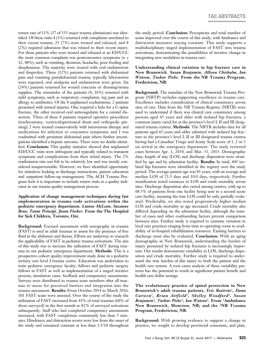return rate of 11% (37 of 335 major trauma admissions) was identified. Of these visits 4 (1%) returned with complaints unrelated to their recent trauma, 25 (7%) were treated and released, and 8 (2%) required admission that was related to their recent injury. For those patients who were treated and released at an ED/UCC the most common complaint was postconcussive symptoms (*n* = 12, 48%), such as vomiting, dizziness, headache, poor feeding and sleeplessness. The majority were treated with oral ondansetron and ibuprofen. Three (12%) patients returned with abdominal pain and vomiting postabdominal trauma; typically laboratories were repeated, oral analgesia and ondansetron were given. Six (24%) patients returned for wound concerns or dressing/stoma supplies. The remainder of the patients (4, 16%) returned with mild symptoms, such as respiratory complaints, leg pain and an allergy to antibiotics. Of the 8 unplanned readmissions, 2 patients presented with missed injuries. One required a halo for a C-spine fracture, the other received oral anticoagulants for a carotid dissection. Three of these 8 patients required operative procedures (tracheostomy, ventriculoperitoneal shunt and orthopedic pinning); 2 were treated conservatively with intravenous therapy and medications for infection or concussive symptoms; and 1 was readmitted with persistent abdominal pain where further investigations identified a hepatic sarcoma. There were no deaths identified. **Conclusion:** This quality initiative showed that unplanned ED/UCC visits were infrequent and typically related to transient symptoms and complications from their initial injury. The 2% readmission rate was felt to be relatively low and was mostly considered nonpreventable. However, we have identified opportunity for initiatives looking at discharge instructions, patient education and outpatient follow-up management. The ACH Trauma Program feels it is important to include return visits as a quality indicator in our trauma quality management process.

# **Application of change management techniques during fast implementation in trauma code activations within the pediatric emergency department.** *Lianne McLean, Suzanne Beno, Tania Principi, Jason Fischer.* **From the The Hospital for Sick Children, Toronto, Ont.**

**Background:** Focused assessment with sonography in trauma (FAST) is used in adult traumas to assess for the presence of free fluid in the abdomen and thorax. Efforts are underway to research the applicability of FAST in pediatric trauma activations. The aim of this study was to increase the utilization of FAST during traumas in our pediatric emergency department. **Methods:** This is a prospective cohort quality improvement study done in a pediatric tertiary care level I trauma centre. Education was undertaken to train pediatric emergency faculty, fellows and pediatric surgery fellows in FAST as well as implementation of a staged iterative process, simulation cases, feedback and competency assessments. Surveys were distributed to trauma team members after all traumas to assess for perceived barriers and integration into the trauma assessment. **Results:** From October 2014 to March 2016, 101 FAST scans were assessed. Over the course of the study the utilization of FAST increased from 43% of total traumas (60% of those surveyed) in the first month to 82% of surveyed activations subsequently. Staff who had completed competency assessments increased, with FAST completion consistently less than 5 minutes. Hindrance and distraction scores were low from the onset of the study and remained constant at less than 3.5/10 throughout

the study period. **Conclusion:** Perceptions and total number of scans improved over the course of this study, with hindrance and distraction measures staying constant. This study supports a multidisciplinary staged implementation of FAST into trauma activations, demonstrating the possibilities of iterative change in integrating new modalities in trauma care.

# **Understanding clinical variation in hip fracture care in New Brunswick.** *Susan Benjamin, Allison Chisholm, Ian Watson, Tushar Pishe.* **From the NB Trauma Program, Fredericton, NB.**

**Background:** The mandate of the New Brunswick Trauma Program (NBTP) includes supporting excellence in trauma care. Excellence includes consideration of clinical consistency across sites of care. Data from the NB Trauma Registry (NBTR) were used to understand if there was clinical care consistency among persons aged 65 years and older with isolated hip fractures, a common injury cared for at the province's level I, II and III designated trauma centres. **Methods:** The NBTR includes data for all patients aged 65 years and older admitted with isolated hip fracture to the province's level I, II or III designated trauma centres having had a Canadian Triage and Acuity Scale score of 1, 2 or 3 on arrival in the emergency department. The study reviewed cases between Apr. 1, 2014, and Mar. 31, 2015. Demographic data, length of stay (LOS) and discharge disposition were stratified by age and by admission facility. **Results:** In total, 445 isolated hip fractures were identified in the registry over the study period. The average patient age was 83 years, with an average and median LOS of 21.5 days and 10.0 days, respectively. Further stratification noted variances in LOS and crude mortality across sites. Discharge disposition also varied among centres, with up to 68.5% of patients from one facility being sent to a second acute care facility, meaning the true LOS could be only partially evaluated. Predictably, we also noted progressively higher median LOS and crude mortality as age increased. Crude mortality also differed depending on the admission facility, although the number of cases and other confounding factors prevent comparison between sites. Further study is required to examine variation in local care practices ranging from time to operating room to availability of in-hospital rehabilitation resources. Existing barriers to discharge must also be evaluated. **Conclusion:** With an aging demographic in New Brunswick, understanding the burden of injury presented by isolated hip fractures is increasingly important. Our results demonstrate variability in LOS, discharge disposition and crude mortality. Further study is required to understand the true burden of this injury to both the patient and the health care system. A root cause analysis of these variability patterns has the potential to result in significant patient benefit and health care dollar savings.

**The evolutionary practice of spinal protection in New Brunswick's adult trauma patients.** *Eric Beairsto1, Dana Curwen1, Brian Attfield1, Shelley Woodford2, Susan Benjamin2, Tushar Pishe2, Ian Watson2.* **From 1Ambulance New Brunswick, Moncton, NB; and the 2NB Trauma Program, Fredericton, NB.**

**Background:** With growing evidence to support a change in practice, we sought to develop provincial consensus, and plan,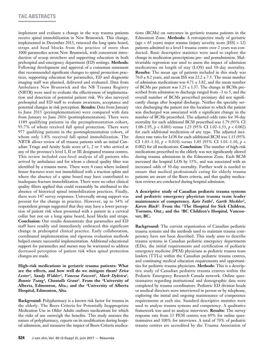implement and evaluate a change in the way trauma patients receive spinal immobilization in New Brunswick. This change, implemented in December 2015, removed the long spine board, straps and head blocks from the practice of more than 1000 paramedics across New Brunswick, with concurrent introduction of scoop stretchers and supporting education in both prehospital and emergency department (ED) settings. **Methods:** Following development and approval of a consensus statement that recommended significant changes to spinal protection practices, supporting education for paramedics, ED and diagnostic imaging staff was planned, delivered and evaluated. Data from Ambulance New Brunswick and the NB Trauma Registry (NBTR) were used to evaluate the effectiveness of implementation and detection of potential patient risk. We also surveyed prehospital and ED staff to evaluate awareness, acceptance and potential changes in risk perception. **Results:** Data from January to June 2015 (preimplementation) were compared with data from January to June 2016 (postimplementation). There were 1189 qualifying patients in the preimplementation cohort, 93.7% of whom received full spinal protection. There were 977 qualifying patients in the postimplementation cohort, of whom only 1.8% received full spinal immobilization. The NBTR allows review of all trauma patients with an initial Canadian Triage and Acuity Scale score of 1, 2 or 3 who arrived at any of the province's level I, II or III designated trauma centres. This review included case-level analysis of all patients who arrived by ambulance and for whom a clinical quality filter was identified by a trauma nurse. There were 4 cases where isolated femur fractures were not immobilized with a traction splint and where the absence of a spine board may have contributed to inadequate fracture immobilization. There were no other clinical quality filters applied that could reasonably be attributed to the absence of historical spinal immobilization practices. Finally, there were 147 survey responses. Universally strong support was present for the change in practice. However, up to 34% of respondent groups suggested that they may have a lower perception of patient risk when presented with a patient in a cervical collar but not on a long spine board, head blocks and straps. **Conclusion:** Our results demonstrate that paramedics and ED staff have readily and immediately embraced this significant change in prehospital clinical practice. Early collaboration, coordinated implementation and rigorous evaluation methods helped ensure successful implementation. Additional educational support for paramedics and nurses may be warranted to address decreased perception of patient risk when spinal protection changes are made.

**High-risk medications in geriatric trauma patients: What are the effects, and how well do we mitigate them?** *Erica Lester1, Sandy Widder2, Vanessa Fawcett1, Mark Dykstra1, Bonnie Tsang1, Chantalle Grant1.* **From the 1University of Alberta, Edmonton, Alta.; and the 2University of Alberta Hospital, Edmonton, Alta.**

**Background:** Polypharmacy is a known risk factor for trauma in the elderly. The Beers Criteria for Potentially Inappropriate Medication Use in Older Adults outlines medications for which the risks of use outweigh the benefits. This study assesses the nature of polypharmacy, reports on its modification during hospital admission, and measures the impact of Beers Criteria medications (BCMs) on outcomes in geriatric trauma patients in the Edmonton Zone. **Methods:** A retrospective study of geriatric (age > 65 years) major trauma (injury severity score [ISS] > 12) patients admitted to a level I trauma centre over 2 years was conducted. Basic descriptive statistics were used to explore the change in medication prescriptions pre- and postadmission. Multivariable regression was used to assess the impact of admission medications on length of stay (LOS) and 30-day mortality. **Results:** The mean age of patients included in this study was  $76.0 \pm 8.2$  years, and mean ISS was  $22.2 \pm 7.5$ . The mean number of admission medications was  $4.71 \pm 3.82$ , and the mean number of BCMs per patient was  $1.25 \pm 1.37$ . The change in BCMs prescribed from admission to discharge ranged from –3 to 5, and the overall number of BCMs prescribed preinjury did not significantly change after hospital discharge. Neither the specialty service discharging the patient nor the location to which the patient was discharged was associated with a significant change in the number of BCMs prescribed. The adjusted odds ratio for 30-day mortality for each additional BCM prescribed was 1.79 (95% CI 1.08–2.95, *p* < 0.001) versus 1.25 (95% CI 1.02–1.53, *p* < 0.002) for each additional medication of any type. The adjusted incidence rate ratio for LOS for each additional BCM was 1.15 (95% CI 1.03–1.30, *p* < 0.010) versus 1.05 (95% CI 1.01–1.10, *p* < 0.002) for all medications. **Conclusion:** The number of high-risk medications prescribed to the elderly was not significantly altered during trauma admissions in the Edmonton Zone. Each BCM increased the hospital LOS by 15%, and was associated with an increased odds of 30-day mortality. Further work is needed to ensure that medical professionals caring for elderly trauma patients are aware of the Beers criteria, and that quality medication reviews are conducted during hospital admission.

**A descriptive study of Canadian pediatric trauma systems and pediatric emergency physician trauma team leader maintenance of competency.** *Kate Fathi1, Garth Meckler2, Karen Black2.* **From the 1The Hospital for Sick Children, Toronto, Ont.; and the 2BC Children's Hospital, Vancouver, BC.**

**Background:** The current organization of Canadian pediatric trauma systems and the methods used to maintain trauma competency have not been described. This study aims to describe trauma systems in Canadian pediatric emergency departments (EDs), the initial requirements and certification of pediatric emergency medicine (PEM) physicians as pediatric trauma team leaders (TTLs) within the Canadian pediatric trauma centres, and continuing medical education requirements and opportunities for pediatric trauma physicians. **Methods:** This is a descriptive study of Canadian pediatric trauma centres within the Pediatric Emergency Research Canada network. Online questionnaires regarding institutional and demographic data were completed by trauma coordinators. Pediatric ED division heads or medical directors were interviewed in person or by telephone, exploring the initial and ongoing maintenance of competence requirements at each site. Standard descriptive statistics were used to analyze trauma systems and competency. A qualitative framework was used to analyze interviews. **Results:** The survey response rate from 13 PEM centres was 69% for online questionnaires and 100% for interviews. A total of 70% of pediatric trauma centres are accredited by the Trauma Association of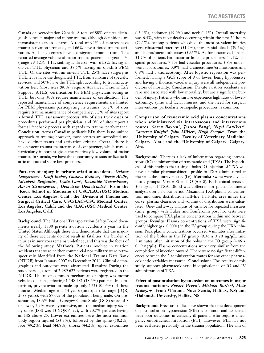Canada or Accreditation Canada. A total of 88% of sites distinguish between major and minor trauma, although definitions are inconsistent across centres. A total of 92% of centres have trauma activation protocols, and 66% have a tiered trauma activation. All but 2 centres have a designated trauma team. The reported average volume of major trauma patients per year is 70 (range 29–123). TTL staffing is diverse, with 61.5% having an on-call TTL physician and 38.5% having an on-shift PEM TTL. Of the sites with an on-call TTL, 25% have surgery as TTL, 25% have the designated TTL from a mixture of specialty services, and 50% have the TTL split according to trauma activation tier. Most sites (80%) require Advanced Trauma Life Support (ATLS) certification for PEM physicians acting as TTL, but only 30% require maintenance of certification. The reported maintenance of competency requirements are limited for PEM physicians participating in trauma: 16.7% of sites require trauma maintenance of competency, 7.7% of sites report a formal TTL assessment process, 0% of sites track cases or procedures performed per physician, and 0% of sites report a formal feedback process with regards to trauma performance. **Conclusion:** Across Canadian pediatric EDs there is no unified approach to trauma; however, most centres are accredited and have distinct teams and activation criteria. Overall there is inconsistent trauma maintenance of competency, which may be particularly important given the relatively low volume of major trauma. In Canada, we have the opportunity to standardize pediatric trauma and share best practices.

**Patterns of injury in private aviation accidents.** *Oriane*  Longerstaey<sup>1</sup>, Kenji Inaba<sup>2</sup>, Gustavo Recinos<sup>2</sup>, Alberto Aiolfi<sup>2</sup>, *Elizabeth Benjamin2, Lydia Lam3, Kazuhide Matsushima2, Aaron Strumwasser2, Demetrios Demetriades3.* **From the 1Keck School of Medicine of USC/LAC+USC Medical Center, Los Angeles, Calif.; the 2Division of Trauma and Surgical Critical Care, USC/LAC+USC Medical Center, Los Angeles, Calif.; and the 3LAC+USC Medical Center, Los Angeles, Calif.**

**Background:** The National Transportation Safety Board documents nearly 1500 private aviation accidents a year in the United States. Although these data demonstrate that the majority of these accidents do not result in fatalities, the burden of injuries in survivors remains undefined, and this was the focus of the following study. **Methods:** Patients involved in aviation accidents that were neither commercial nor military were retrospectively identified from the National Trauma Data Bank (NTDB) from January 2007 to December 2014. Clinical demographics and outcomes were abstracted. **Results:** During the study period, a total of 2 989 627 patients were registered in the NTDB. The most common mechanism of injury was motor vehicle collisions, affecting 1 148 281 (38.4%) patients. In comparison, private aviation made up only 1335 (0.04%) of these injuries. Median age was 54 years (interquartile range [IQR] 2–88 years), with 87.0% of the population being male. On presentation, 13.6% had a Glasgow Coma Scale (GCS) score of 8 or lower, 7.2% were hypotensive, and the median injury severity score (ISS) was 13 (IQR 6–22), with 20.7% patients having an ISS above 25. Lower extremities were the most common body region injured (53.3%), followed by the spine (50.2%), face (49.2%), head (44.8%), thorax (44.2%), upper extremities

(43.1%), abdomen (19.9%) and neck (4.1%). Overall mortality was 6.4%, with most deaths occurring within the first 24 hours (72.1%). Among patients who died, the most prevalent injuries were rib/sternal fractures (51.2%), intracranial bleeds (39.7%), and hemo/pneumothoraxes (39.5%). As for operative burden, 31.7% of patients had major orthopedic procedures, 11.1% had spinal procedures, 7.5% had vascular procedures, 3.8% underwent laparotomies, 0.9% had craniectomies/craniotomies and 0.8% had a thoracotomy. After logistic regression was performed, having a GCS score of 8 or lower, being hypotensive and having a thoracic vascular injury were all independent predictors of mortality. **Conclusion:** Private aviation accidents are rare and associated with low mortality, but are a significant burden of injury. Patients who survive experience high rates of lowerextremity, spine and facial injuries; and the need for surgical interventions, particularly orthopedic procedures, is common.

**Comparison of tranexamic acid plasma concentrations when administered via intraosseous and intravenous routes.** *Soren Boysen1, Jessica Pang2, Nigel Caulkett2, Cameron Knight2, John Mikler2, Hugh Semple2.* **From the 1University of Calgary, Faculty of Veterinary Medicine, Calgary, Alta.; and the 2University of Calgary, Calgary, Alta.**

**Background:** There is a lack of information regarding intraosseous (IO) administration of tranexamic acid (TXA). The hypothesis of this study is that a single bolus IO injection of TXA will have a similar pharmacokinetic profile to TXA administered at the same dose intravenously (IV). **Methods:** Swine were divided into 2 groups: IV  $(n = 8)$  and IO  $(n = 8)$ . Each animal received 30 mg/kg of TXA. Blood was collected for pharmacokinetic analysis over a 3-hour period. Maximum TXA plasma concentration and time, distribution half-life, half-life, area under the curve, plasma clearance and volume of distribution were calculated. One- and 2-way analysis of variance for repeated measures (time, group) with Tukey and Bonferonni post hoc tests were used to compare TXA plasma concentrations within and between groups. **Results:** Plasma concentrations of TXA were significantly higher  $(p < 0.0001)$  in the IV group during the TXA infusion. Peak plasma concentrations occurred 4 minutes after initiation of the bolus in the IV group  $(9.36 \pm 3.20 \text{ ng/µL})$  and 5 minutes after initiation of the bolus in the IO group  $(4.46 \pm 1)$ 0.49 ng/µL). Plasma concentrations were very similar from the completion of injection onward. There were no significant differences between the 2 administration routes for any other pharmacokinetic variables measured. **Conclusion:** The results of this study support pharmacokinetic bioequivalence of IO and IV administration of TXA.

**Effect of postintubation hypotension on outcomes in major trauma patients.** *Robert Green1, Michael Butler2, Mete Erdogan1.* **From 1Trauma Nova Scotia, Halifax, NS; and 2Dalhousie University, Halifax, NS.**

**Background:** Previous studies have shown that the development of postintubation hypotension (PIH) is common and associated with poor outcomes in critically ill patients who require emergency endotracheal intubation (ETI). However, PIH has not been evaluated previously in the trauma population. The aim of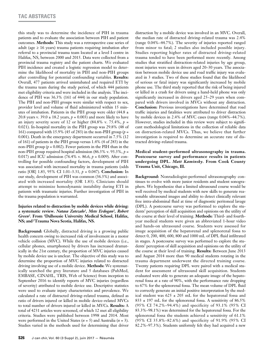this study was to determine the incidence of PIH in trauma patients and to evaluate the association between PIH and patient outcomes. **Methods:** This study was a retrospective case series of adult (age  $\geq 16$  years) trauma patients requiring intubation after referral to a provincial trauma team located at a level I centre in Halifax, NS, between 2000 and 2015. Data were collected from a provincial trauma registry and the patient charts. We evaluated PIH incidence and created a logistic regression model to determine the likelihood of mortality in PIH and non-PIH groups after controlling for potential confounding variables. **Results:** Overall, 477 patients arrived unintubated and required ETI by the trauma team during the study period, of which 444 patients met eligibility criteria and were included in the analysis. The incidence of PIH was 36.3% (161 of 444) in our study population. The PIH and non-PIH groups were similar with respect to sex, provider level and volume of fluid administered within 15 minutes of intubation. Patients in the PIH group were older  $(44.8 \pm 1)$ 20.8 years v.  $39.0 \pm 18.2$  years,  $p = 0.003$ ) and more likely to have an injury severity score of 12 or higher  $(84.8\% \text{ v. } 75.4\%, p =$ 0.021). In-hospital mortality in the PIH group was 29.8% (48 of 161) compared with 15.9% (45 of 283) in the non-PIH group (*p* = 0.001). Death in the emergency department occurred in 7.5% (12 of 161) of patients in the PIH group versus 1.4% (4 of 283) in the non-PIH group  $(p = 0.002)$ . Fewer patients in the PIH than in the non-PIH group required hospital admission (86.3% v. 93.3%, *p* = 0.017) and ICU admission (76.4% v. 86.6, *p* = 0.009). After controlling for possible confounding factors, development of PIH was associated with increased mortality in trauma patients (odds ratio [OR] 1.83, 95% CI 1.01–3.31, *p* = 0.047). **Conclusion:** In our study, development of PIH was common (36.3%) and associated with increased mortality (OR 1.83). Clinicians should attempt to minimize hemodynamic instability during ETI in patients with traumatic injuries. Further investigation of PIH in the trauma population is warranted.

# **Injuries related to distraction by mobile devices while driving: a systematic review.** *Natasa Zatezalo1 , Mete Erdogan2 , Robert Green2 .* **From 1 Dalhousie University Medical School, Halifax, NS; and 2Trauma Nova Scotia, Halifax, NS.**

**Background:** Globally, distracted driving is a growing public health concern owing to increased risk of involvement in a motor vehicle collision (MVC). While the use of mobile devices (i.e., cellular phones, smartphones) by drivers has increased dramatically in the 21st century, the proportion of MVC injuries caused by mobile device use is unclear. The objective of this study was to determine the proportion of MVC injuries related to distracted driving involving use of a mobile device. **Methods:** We systematically searched the grey literature and 5 databases (PubMed, EMBASE, CINAHL, TRIS, Web of Science) from inception to September 2016 to identify reports of MVC injuries (regardless of severity) attributed to mobile device use. Descriptive statistics were used to evaluate injury characteristics and prevalence. We calculated a rate of distracted driving–related trauma, defined as ratio of drivers injured or killed in mobile device–related MVCs to total number of drivers injured or killed in MVCs. **Results:** A total of 4231 articles were screened, of which 12 met all eligibility criteria. Studies were published between 1998 and 2014. Most were performed in the United States (*n* = 5) and Australia (*n* = 3). Studies varied in the methods used for determining that driver

distraction by a mobile device was involved in an MVC. Overall, the median rate of distracted driving–related trauma was 2.4% (range 0.04%–44.7%). The severity of injuries reported ranged from minor to fatal; 2 studies also included possible injury. Studies reporting higher rates of distracted driving–related trauma tended to have been performed more recently. Among studies that stratified distraction-related injuries by age group, most injuries were seen in drivers aged 20–30 years. The association between mobile device use and road traffic injury was evaluated in 3 studies. Two of these studies found that the likelihood of serious or fatal injury was significantly increased by mobile phone use. The third study reported that the risk of being injured or killed in a crash for drivers using a hand-held phone was only significantly increased in drivers aged 25–29 years when compared with drivers involved in MVCs without any distraction. **Conclusion:** Previous investigations have determined that road traffic injuries and fatalities were attributed to driver distraction by mobile devices in 2.4% of MVC cases (range 0.04%–44.7%). However, studies included in this review were subject to significant methodological limitations in the collection of reliable data on distraction-related MVCs. Thus, we believe that further investigation is required to determine an accurate rate of distracted driving–related trauma.

# **Medical student–performed ultrasonography in trauma. Postcourse survey and performance results in patients undergoing DPL.** *Matt Kaminsky.* **From Cook County Trauma Unit, Chicago, Ill.**

**Background:** Nonradiologist-performed ultrasonography continues to evolve with more junior residents and student sonographers. We hypothesize that a limited ultrasound course would be well received by medical students with new skills to generate reasonable ultrasound images and ability to detect clinically relevant free intra-abdominal fluid at time of diagnostic peritoneal lavage (DPL). A postcourse survey was performed to explore the students' perception of skill acquisition and opinions on the utility of the course at their level of training. **Methods:** Third- and fourthyear medical students were given an abbreviated 1-hour video and hands-on ultrasound course. Students were assessed for image acquisition of the hepatorenal and splenorenal fossa to detect 0, 200, 400, 600, 800 and 1000 mL of DPL fluid infiltrated in stages. A postcourse survey was performed to explore the students' perception of skill acquisition and opinions on the utility of the course at their level of training. **Results:** Between June 2013 and August 2014 more than 90 medical students rotating in the trauma department underwent the directed training course. Twenty patients requiring DPL were paired with a medical student for assessment of ultrasound skill acquisition. Students evaluated were able to generate an adequate image of the hepatorenal fossa at a rate of 90%, with the performance rate dropping to 67% for the splenorenal fossa. The mean volume of DPL fluid to correctly generate an initial positive interpretation by the medical student was  $625 \pm 205$  mL for the hepatorenal fossa and 833 ± 197 mL for the splenorenal fossa. A sensitivity of 86.5% (95% CI 74.2%–94.4%) and specificity of 93.1% (95% CI 83.3%–98.1%) was determined for the hepatorenal fossa. For the splenorenal fossa the students achieved a sensitivity of 61.1% (95% CI 35.8%–82.6%) and specificity of 91.9% (95% CI 82.2%–97.3%). Students uniformly felt they had acquired a new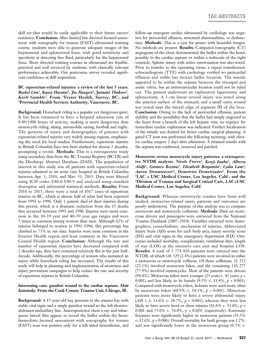skill set that would be easily applicable to their future career/ residency. **Conclusion:** After limited but directed focused assessment with sonography for trauma (FAST) ultrasound training course, students were able to generate adequate images of the hepatorenal and splenorenal fossa, with good sensitivity and specificity at detecting free fluid, particularly for the hepatorenal fossa. Short directed training courses in ultrasound are feasible, practical and well received by students, with clinically relevant performance achievable. Our postcourse survey revealed significant confidence at skill acquisition.

# **BC equestrian-related injuries: a review of the last 5 years.** *Rachel Lim1, Kasra Hassani1, Joe Haegert2, Jaimini Thakore2, Karli Gamble2.* **From 1Fraser Health, Surrey, BC; and 2Provincial Health Services Authority, Vancouver, BC.**

**Background:** Horseback riding is a popular yet dangerous sport. It has been estimated to have a hospital admission rate of 0.49/1000 hours of activity, making it more dangerous than motorcycle riding, skiing, automobile racing, football and rugby. The patterns of injury and demographics of patients with equestrian-related injuries vary widely among regions, emphasizing the need for local studies. Furthermore, equestrian injuries in British Columbia have not been studied for almost 2 decades, prompting a revisit. **Methods:** This is a retrospective study using secondary data from the BC Trauma Registry (BCTR) and the Discharge Abstract Database (DAD). The population of interest in this study was all patients with equestrian-related injuries admitted to an acute care hospital in British Columbia between Apr. 1, 2010, and Mar. 31, 2015. Data were filtered using ICD codes V80.0-V80.9 and analyzed using standard descriptive and inferential statistical methods. **Results:** From 2010 to 2015, there were a total of 1017 cases of equestrian injuries in BC, which is almost half of what had been reported from 1991 to 1996. Only 1 patient died of their injuries during this period, which is a dramatic reduction from the 15 deaths that occurred between 1991 and 1996. Injuries were more common in the 10–19 year and 40–59 year age ranges and were 3 times as common among women than men. Although 62% of injuries belonged to women in 1991–1996, this percentage has climbed to 73% in our data. Injuries were most common in the Interior Health region and least common in the Vancouver Coastal Health region. **Conclusion:** Although the rate and number of equestrian injuries have decreased compared with 2 decades ago, they have remained relatively flat in the past halfdecade. Additionally, the percentage of women who sustained an injury while horseback riding has increased. The results of this study will help in planning and implementation of awareness and injury prevention campaigns to help reduce the rate and severity of equestrian injuries in British Columbia.

# **Interesting case: gunshot wound to the cardiac septum.** *Matt Kaminsky.* **From the Cook County Trauma Unit, Chicago, Ill.**

**Background:** A 17-year-old boy presents to the trauma bay with stable vital signs and a single gunshot wound to the left thoracoabdomen midaxillary line. Anteroposterior chest x-ray and subsequent lateral film appear to reveal the bullet within the heart. Immediate focused assessment with sonography for trauma (FAST) scan was positive only for a left-sided hemothorax, and follow-up emergent cardiac ultrasound by cardiology was negative for pericardial effusion, structural abnormalities, or dysfunction. **Methods:** This is a case for poster with beautiful images. No methods are present. **Results:** Computed tomography (CT) angiogram of the chest demonstrated the bullet within the heart, possibly in the cardiac septum or within a trabecula of the right ventricle. Splenic injury with active extravasation was also noted. Prior to transfer to the operating room, a repeat transthoracic echocardiogram (TTE) with cardiology verified no pericardial effusion and stable but inexact bullet location. The missile appeared to be within the septum between the tricuspid and aortic valves, but an intraventricular location could not be ruled out. The patient underwent an exploratory laparotomy and splenectomy. A 3 cm linear serosal injury was noted along the anterior surface of the stomach, and a small entry wound was noted near the lateral edge of segment III of the liver. **Conclusion:** Owing to the lack of pericardial effusion, patient stability and the possibility that the bullet had simply migrated to the heart from a branch of the left hepatic vein, no urgency for immediate cardiac exploration was indicated. Further localization of the missile was desired for better cardiac surgical planning. A gated CT scan was performed the following morning, with elective cardiac surgery 2 days after admission. A retained missile with the septum was confirmed, removed and patched.

**Motocross versus motorcycle injury patterns: a retrospective NTDB analysis.** *Nicole Fierro1, Kenji Inaba2, Alberto Aiolfi2, Gustavo Recinos2, Elizabeth Benjamin2, Lydia Lam2, Aaron Strumwasser2, Demetrios Demetriades2.* **From the 1LAC + USC Medical Center, Los Angeles, Calif.; and the 2Division of Trauma and Surgical Critical Care, LAC+USC Medical Center, Los Angeles, Calif.**

**Background:** Whereas motorcycle crashes have been well studied, motocross-related injury patterns and outcomes are poorly understood. The purpose of this analysis was to compare motocross and motorcycle collisions. **Methods:** Data on motocross drivers and passengers were extracted from the National Trauma Databank (2007–2014). Variables extracted were demographics, comorbidities, mechanism of injuries, Abbreviated Injury Scale (AIS) score for each body area, injury severity score (ISS) and vital signs in the emergency department (ED). Outcomes included mortality, complications, ventilation days, length of stay (LOS) in the intensive care unit and hospital LOS. **Results:** A total of 5 774 836 patients were entered into the NTDB, of which 141 529 (2.4%) patients were involved in either a motocross or motorcycle collision. Of those collisions, 31 252 (22.1%) involved motocross bikes, and the remaining 110 277 (77.9%) involved motorcycles. Most of the patients were drivers (94.4%). Motocross riders were younger (23 years v. 42 years, *p* < 0.001) and less likely to be female (9.5% v. 13.4%, *p* < 0.001). Compared with motorcycle riders, helmets were used more often by motocross riders (68.9% v. 54.1%, *p* < 0.001). Motocross patients were more likely to have a severe abdominal injury (AIS ≥ 3; 31.6% v. 28.7%,  $p$  < 0.001), whereas they were less likely to have severe head or chest injuries (43.6% v. 53.8%, *p* < 0.001 and 75.0% v. 76.0%,  $p = 0.029$ , respectively). Extremity fractures were significantly higher in motocross patients (33.5% v.  $32.6\%$ ,  $p = 0.006$ ). Overall mortality for both groups was  $1.2\%$ , and was significantly lower in the motocross group (0.3% v.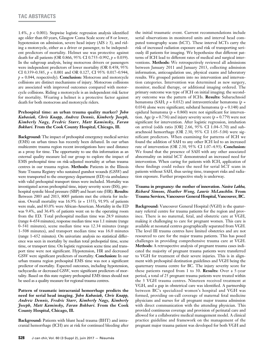1.4%, *p* < 0.001). Stepwise logistic regression analysis identified age older than 60 years, Glasgow Coma Scale score of 8 or lower, hypotension on admission, severe head injury (AIS ≥ 3), and riding a motorcycle, either as a driver or passenger, to be independent predictors of mortality. Helmet use was protective against death for all patients (OR 0.866, 95% CI 0.755–0.992, *p* = 0.039). In the subgroup analysis, being motocross drivers or passengers were independent predictors of lower mortality (OR 0.458, 95% CI 0.359–0.585, *p* < 0.001 and OR 0.127, CI 95% 0.017–0.944, *p* = 0.044, respectively). **Conclusion:** Motocross and motorcycle collisions are distinct mechanisms of injury. Motocross collisions are associated with improved outcomes compared with motorcycle collisions. Riding a motorcycle is an independent risk factor for mortality. Wearing a helmet is a protective factor against death for both motocross and motorcycle riders.

# **Prehospital time: an urban trauma quality marker?** *John Kubasiak, Chris Knapp, Andrew Dennis, Kimberly Joseph, Kimberly Nagy, Fredric Starr, Matt Kaminsky, Faran Bokhari.* **From the Cook County Hospital, Chicago, Ill.**

**Background:** The impact of prehospital emergency medical service (EMS) on urban times has recently been debated. In our urban multicentre trauma region recent investigations have used distance as a proxy for time. The opportunity to use this information as an external quality measure led our group to explore the impact of EMS prehospital time on risk-adjusted mortality at urban trauma centres in our trauma region. **Methods:** Patients in the Illinois State Trauma Registry who sustained gunshot wounds (GSW) and were transported to the emergency department (ED) via ambulance with valid prehospital transport times were included. Mortality was investigated across prehospital time, injury severity score (ISS), prehospital systolic blood pressure (SBP) and heart rate (HR). **Results:**  Between 2003 and 2013, 8005 patients met the criteria for inclusion. Overall mortality was 16.9% (*n* = 1355), 91.9% of patients were male, and 83.0% were African-American. Mortality in the ED was 9.4%, and 36.4% of patients went on to the operating room from the ED. Total prehospital median time was 28.9 minutes (range 4–654 minutes), response median time was 1.1 minute (range 0–541 minutes), scene median time was 12.34 minutes (range 1–508 minutes), and transport median time was 16.0 minutes (range 1–652 minutes). On univariate analysis no statistical difference was seen in mortality by median total prehopstial time, scene time, or transport time. On logistic regression scene time and transport time were not significant. Hypotension, HR and decreased GSW were significant predictors of mortality. **Conclusion:** In our urban trauma region prehospital EMS time was not a significant predictor of mortality. Expected outcomes, including hypotension, tachycardia or decreased GSW, were significant predictors of mortality. Based on this state registry prehospital EMS times should not be used as a quality measure for regional trauma centres.

# **Pattern of traumatic intracranial hemorrhage predicts the need for serial head imaging.** *John Kubasiak, Chris Knapp, Andrew Dennis, Fredric Starr, Kimberly Nagy, Kimberly Joseph, Matt Kaminsky, Faran Bokhari.* **From the Cook County Hospital, Chicago, Ill.**

**Background:** Patients with blunt head trauma (BHT) and intracranial hemorrhage (ICH) are at risk for continued bleeding after the initial traumatic event. Current recommendations include serial observations in monitored units and interval head computed tomography scans (hCT). These interval hCTs carry the risk of increased radiation exposure and risk of transporting seriously ill patients for imaging. We hypothesize that different patterns of ICH lead to different rates of medical and surgical interventions. **Methods:** We retrospectively reviewed all admissions between January 2011 and January 2013, collecting admission information, anticoagulation use, physical exams and laboratory results. We grouped patients into no intervention and intervention categories. Intervention was determined as new surgery, monitor, medical therapy, or additional imaging ordered. The primary outcome was type of ICH on initial imaging; the secondary outcome was the pattern of ICHs. **Results:** Subarachnoid hematoma (SAH;  $p = 0.032$ ) and intraventricular hematoma ( $p =$ 0.034) alone were significant; subdural hematoma ( $p = 0.148$ ) and epidural hematoma ( $p = 0.860$ ) were not significant for intervention. Age  $(p = 0.756)$  and injury severity score  $(p = 0.779)$  were not significant for intervention. After logistic regression, intubation on arrival (odds ratio [OR] 2.66, 95% CI 1.04–5.70) and subarachnoid hemorrhage (OR 2.30, 95% CI 1.05–5.04) were significant predictors. When examining for patterns of ICH we found the addition of SAH to any other ICH led to an increased rate of intervention (OR 2.30, 95% CI 1.07–4.93). **Conclusion:** We found that the presence of SAH with any other associated abnormality on initial hCT demonstrated an increased need for intervention. When caring for patients with ICH, application of these findings could reduce the need for serial hCT scans in patients without SAH, thus saving time, transport risks and radiation exposure. Further prospective study is underway.

# **Trauma in pregnancy: the mother of innovation.** *Nasira Lakha, Richard Simons, Heather Wong, Laurie McLauchlin.* **From Trauma Services, Vancouver General Hospital, Vancouver, BC.**

**Background:** Vancouver General Hospital (VGH) is the quaternary referral centre for trauma patients for the region and province. There is no maternal, fetal, and obstetric care at VGH, making it challenging to care for pregnant women. This care is available at neonatal centres geographically separated from VGH. The level III trauma centres have limited obstetrics and are not resourced to care for the major trauma patients. This has posed challenges in providing comprehensive trauma care at VGH. **Methods:** A retrospective analysis of pregnant trauma cases indicated the majority of pregnant trauma patients were transferred to VGH for treatment of their severe injuries. This is in alignment with prehospital destination guidelines and VGH being the quaternary trauma centre for BC. The injury severity score for these patients ranged from 1 to 30. **Results:** Over a 5-year period, a total of 25 pregnant trauma patients were treated within the 3 VGH trauma centres. Nineteen received treatment at VGH, and a gap in obstetrical care was identified. A partnership between BC's specialized women's hospital and VGH was formed, providing on-call coverage of maternal fetal medicine physicians and nurses for all pregnant major trauma admission with direct communication with the attending physician. This provided continuous coverage and provision of perinatal care and allowed for a collaborative medical management model. A clinical practice guideline and framework on the management of the pregnant major trauma patient was developed for both VGH and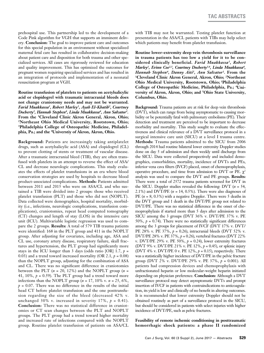prehospital use. This partnership led to the development of a Code Pink algorithm for VGH that supports an imminent delivery. **Conclusion:** The goal to improve patient care and outcomes for this special population in an environment without specialized maternal fetal care has resulted in collaborative decision-making about patient care and disposition for both trauma and other specialized services. All cases are rigorously reviewed for education and quality improvement. This has optimized the outcomes for pregnant women requiring specialized services and has resulted in an integration of protocols and implementation of a neonatal resuscitation program at VGH.

**Routine transfusion of platelets to patients on acetylsalicylic acid or clopidogrel with traumatic intracranial bleeds does not change craniotomy needs and may not be warranted.**  *Farid Muakkassa1, Robert Marley1, Ayah El-Khatib2, Courtney Docherty3 , Hannah Stephen4 , Linda Muakkassa4 , Ann Salvator1 .*  From the <sup>1</sup>Cleveland Clinic Akron General, Akron, Ohio; <sup>2</sup>Northeast Ohio Medical University, Rootstown, Ohio; **3Philadelphia College of Osteopathic Medicine, Philadelphia, Pa.; and the 4Universtiy of Akron, Akron, Ohio.**

**Background:** Patients are increasingly taking antiplatelet drugs, such as acetylsalicylic acid (ASA) and clopidogrel (CL) to prevent clotting of stents or treatment of vascular disease. After a traumatic intracranial bleed (TIB), they are often transfused with platelets in an attempt to reverse the effect of ASA/ CL and decrease neurologic complications. This study evaluates the effects of platelet transfusions in an era where blood conservation strategies are used by hospitals to decrease blood product–associated complications. **Methods:** Patients admitted between 2011 and 2015 who were on ASA/CL and who sustained a TIB were divided into 2 groups: those who received platelet transfusion (PLT) and those who did not (NOPLT). Data collected were demographics, hospital mortality, morbidity (i.e., infections, neurologic complications, transfusion complications), craniotomies, repeat head computed tomography (CT) changes and length of stay (LOS) in the intensive care unit (ICU). Multivariable logistic regression was used to compare the 2 groups. **Results:** A total of 579 TIB trauma patients were identified: 168 in the PLT group and 411 in the NOPLT group. After adjusting for covariates, including age, ASA and CL use, coronary artery disease, respiratory failure, skull fractures and hypertension, the PLT group had significantly more stays in the ICU longer than 3 days (odds ratio [OR]  $1.7, p =$ 0.03) and a trend toward increased mortality (OR 2.1,  $p = 0.08$ ) than the NOPLT group, adjusting for the combination of ASA and CL. There was no significant difference in craniotomies between the PLT  $(n = 20, 12\%)$  and the NOPLT group  $(n = 12\%)$ 41, 10%,  $p = 0.59$ ). The PLT group had a trend toward more infections than the NOPLT group  $(n = 17, 10\% \text{ v. } n = 25, 6\%,$  $p = 0.07$ . There was no difference in the results of the initial head CT before platelet transfusion and the one posttransfusion regarding the size of the bleed (decreased 42% v. unchanged 30% v. increased in severity 17%,  $p = 0.41$ ). **Conclusion:** There was no statistical difference in craniotomies or CT scan changes between the PLT and NOPLT groups. The PLT group had a trend toward higher mortality and increased rate of infections compared with the NOPLT group. Routine platelet transfusion of patients on ASA/CL

with TIB may not be warranted. Testing platelet function at presentation in the ASA/CL patients with TIBs may help select which patients may benefit from platelet transfusion.

**Routine lower-extremity deep vein thrombosis surveillance in trauma patients has too low a yield for it to be considered clinically beneficial.** *Farid Muakkassa1, Robert*  Marley<sup>1</sup>, Erinn Coe<sup>2,3</sup>, Courtney Docherty<sup>3,4</sup>, Linda Muakkassa<sup>4</sup>, *Hannah Stephen4, Danny Aiti5, Ann Salvator1.* **From the 1Cleveland Clinic Akron General, Akron, Ohio; 2Northeast Ohio Medical University, Rootstown, Ohio; 3Philadelphia College of Osteopathic Medicine, Philadelphia, Pa.; 4University of Akron, Akron, Ohio; and 5Ohio State University, Columbus, Ohio.**

**Background:** Trauma patients are at risk for deep vein thrombosis (DVT), which can range from being asymptomatic to causing morbidity or be potentially fatal with pulmonary embolisms (PE). Their detection and treatment are perceived to be important to decrease morbidity and mortality. This study sought to evaluate the effectiveness and clinical relevance of a DVT surveillance protocol in a surgical intensive care unit (SICU) at a level I trauma centre. **Methods:** Trauma patients admitted to the SICU from 2006 through 2014 had routine bilateral lower extremity Doppler studies done on day 5 of admission and then weekly until discharge from the SICU. Data were collected prospectively and included demographics, comorbidities, mortality, incidence of DVTs and PEs, inferior vena cava filters (IVCF) placed, onset of chemoprophylaxis, operative procedure, and time from admission to DVT or PE.  $χ²$ analysis was used to compare the DVT and PE groups. **Results:**  There were a total of 2572 trauma patients screened for DVT in the SICU. Doppler studies revealed the following: DVT (*n* = 54, 2.1%) and DVT/PE ( $n = 14, 0.5\%$ ). There were also diagnoses of PE  $(n = 8, 0.3\%)$  with a negative Doppler. There were 5 deaths in the DVT group and 1 death in the DVT/PE group not related to DVT/PE. There was no statistical difference in the onset of chemoprophylaxis if started more than 5 days after admission to the SICU among the 3 groups (DVT 36% v. DVT/PE 37% v. PE 50%,  $p = 0.74$ ). There were no statistically significant differences among the 3 groups for placement of IVCF (DVT 17% v. DVT/ PE 28% v. PE 37%, *p* = 0.26), intracranial bleeds (DVT 52% v. DVT/PE 28% v. PE 37%, *p* = 0.26), vertebral fractures (DVT 22% v. DVT/PE 29% v. PE 50%,  $p = 0.24$ ), lower extremity fractures (DVT 9% v. DVT/PE 21% v. PE 12%, *p* = 0.45), or splenic injury (DVT 4% v. DVT/PE 0 v. PE 12%,  $p = 0.15$ ), respectively. There was a statistically higher incidence of DVT/PE in the pelvic fracture group (DVT 2% v. DVT/PE 29% v. PE 37%, *p* = 0.001). All patients had compression devices and chemoprophylaxis with unfractionated heparin or low molecular-weight heparin initiated depending on physician preference. **Conclusion:** Although a DVT surveillance protocol may detect asymptomatic DVTs and prompt insertion of IVCF in patients with contraindications to anticoagulation, its yield is low and clinically of no benefit in altering outcomes. It is recommended that lower extremity Doppler should not be obtained routinely as part of a surveillance protocol in the SICU, but should be considered in patients with select injuries with higher incidence of DVT/PE, such as pelvic fractures.

**Feasibility of remote ischemic conditioning in posttraumatic hemorrhagic shock patients: a phase II randomized**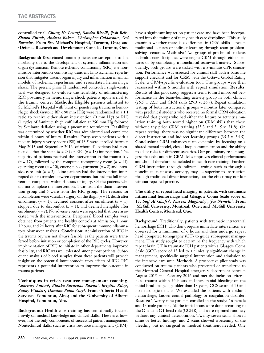# **controlled trial.** *Chung Ho Leung1 , Sandro Rizoli1 , Josh Bell1 , Shawn Rhind2, Andrew Baker1, Christopher Caldarone1, Ori Rotstein1 .* **From 1 St. Michael's Hospital, Toronto, Ont.; and 2 Defense Research and Development Canada, Toronto, Ont.**

**Background:** Resuscitated trauma patients are susceptible to late morbidity due to the development of systemic inflammation and organ dysfunction. Remote ischemic conditioning (RIC) is a noninvasive intervention comprising transient limb ischemia reperfusion that mitigates distant organ injury and inflammation in animal models of ischemia reperfusion and resuscitated hemorrhagic shock. The present phase II randomized controlled single-centre trial was designed to evaluate the feasibility of administering RIC postinjury in hemorrhagic shock patients upon arrival to the trauma centre. **Methods:** Eligible patients admitted to St. Michael's Hospital with blunt or penetrating trauma in hemorrhagic shock (systolic BP < 90 mm HG) were randomized in a 1:1 ratio to receive either sham intervention (0 mm Hg) or RIC (4 cycles of 5-minute thigh cuff inflation at 250 mm Hg followed by 5-minute deflation using a pneumatic tourniquet). Feasibility was determined by whether RIC was administered and completed within 4 hours of injury. **Results:** Forty-seven patients with a median injury severity score (ISS) of 13.5 were enrolled between May 2015 and September 2016, of whom 41 patients had completed either the sham  $(n = 23)$  or RIC  $(n = 18)$  intervention. The majority of patients received the intervention in the trauma bay  $(n = 17)$ , followed by the computed tomography room  $(n = 11)$ , operating room  $(n = 10)$ , emergency department  $(n = 2)$  and intensive care unit  $(n = 2)$ . Nine patients had the intervention interrupted due to transfer between departments, but had the full intervention completed within 4 hours of injury. Of the patients who did not complete the intervention, 1 was from the sham intervention group and 5 were from the RIC group. The reasons for incompletion were vascular surgery on the thigh (*n* = 1), death after enrolment (*n* = 1), declined consent after enrolment (*n* = 1), stopped due to discomfort  $(n = 1)$ , and deemed ineligible after enrolment (*n* = 2). No adverse events were reported that were associated with the interventions. Peripheral blood samples were obtained from patients and healthy controls at admission, 1 hour, 3 hours, and 24 hours after RIC for subsequent immunoinflammatory biomarker analyses. **Conclusion:** Administration of RIC in the trauma bay was not always feasible, as the patients were transferred before initiation or completion of the RIC cycles. However, implementation of RIC to initiate in other departments improved feasibility, and RIC was well tolerated among most patients. Subsequent analysis of blood samples from these patients will provide insight on the potential immunomodulatory effects of RIC. RIC represents a potential intervention to improve the outcome in trauma patients.

# **Techniques in crisis resource management teaching.**  *Courtney Fulton1, Bianka Saravana-Bawan1, Brigitta Riley1, Sandy Widder2, Damian Paton-Gay2.* **From 1Alberta Health Services, Edmonton, Alta.; and the 2University of Alberta Hospital, Edmonton, Alta.**

**Background:** Health care training has traditionally focused heavily on medical knowledge and clinical skills. These are, however, not the only components of successful patient management. Nontechnical skills, such as crisis resource management (CRM), have a significant impact on patient care and have been incorporated into the training of many health care disciplines. This study examines whether there is a difference in CRM skills between traditional lectures or indirect learning through team problemsolving scenarios. **Methods:** Two groups of preclinical students in health care disciplines were taught CRM through either lectures or by completing a nonclinical teamwork activity. Subsequently, both groups were tasked with a 5-minute CPR simulation. Performance was assessed for clinical skill with a basic life support checklist and for CRM with the Ottawa Global Rating Scale, a CRM-specific evaluation tool. The groups were then reassessed within 6 months with repeat simulation. **Results:**  Results of this pilot study suggest a trend toward improved performance in the team-building activity group in both clinical (26.5 v. 22.1) and CRM skills (29.3 v. 26.7). Repeat simulation testing of both instructional groups 4 months later compared with preclinical students who received no formal CRM education revealed that groups who had either the lecture or activity simulation training both scored higher on CRM skills than those without any prior CRM training (35.3 and 34.5 v. 31.8). On repeat testing, there was no significant difference between the direct instruction and indirect learning groups (35.3 v. 34.5). **Conclusion:** CRM enhances team dynamics by focusing on a shared mental model, closed loop communication and the ability to adapt roles for different scenarios. Our preliminary results suggest that education in CRM skills improves clinical performance and should therefore be included in health care training. Further, CRM instruction through indirect learning, such as through a nonclinical teamwork activity, may be superior to instruction through traditional direct instruction, but the effect may not last without repeated practice.

**The utility of repeat head imaging in patients with traumatic intracranial hemorrhage and Glasgow Coma Scale score of 15.** *Saif Al Ghafri<sup>1</sup> , Nisreen Maghraby2 , Joe Nemeth2 .* **From 1 McGill University, Montreal, Que.; and 2 McGill University Health Centre, Montreal, Que.**

**Background:** Traditionally, patients with traumatic intracranial hemorrhage (ICH) who don't require immediate intervention are observed for a minimum of 6 hours and then undergo repeat head computed tomography (CT) to guide subsequent management. This study sought to determine the frequency with which repeat brain CT in traumatic ICH patients with a Glasgow Coma Scale (GCS) score of 15 led to a clinically significant change in management, specifically surgical intervention and admission to the intensive care unit. **Methods:** A prospective pilot study was conducted on trauma patients who presented or transferred to the Montreal General Hospital emergency department between August 2015 and February 2016 and met the inclusion criteria: head trauma within 24 hours and intracranial bleeding on the initial head image, age older than 18 years, GCS score of 15 and no neurologic deficits. We excluded the patients with epidural hemorrhage, known cranial pathology or coagulation disorder. **Results:** Twenty-nine patients enrolled in the study: 16 female and 13 male patients. All the initial scans were done according to the Canadian CT head rule (CCHR) and were repeated routinely without any clinical deterioration. Twenty-seven scans showed same or better findings, and 2 scans showed worsening of the bleeding but no surgical or medical treatment needed. One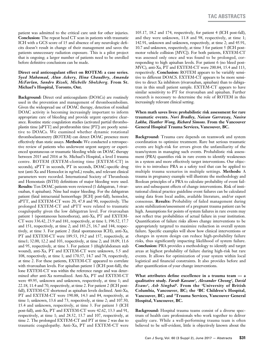patient was admitted to the critical care unit for other injuries. **Conclusion:** The repeat head CT scan in patients with traumatic ICH with a GCS score of 15 and absence of any neurologic deficits doesn't result in change of their management and saves the patients unnecessary radiation exposure. This is a pilot project that is ongoing; a larger number of patients need to be enrolled before definitive conclusions can be made.

# **Direct oral anticoagulant effect on ROTEM: a case series.**  *Syed Mahamad, Alun Ackery, Hina Chaudhry, Amanda McFarlan, Sandro Rizoli, Michelle Sholzberg.* **From St. Michael's Hospital, Toronto, Ont.**

**Background:** Direct oral anticoagulants (DOACs) are routinely used in the prevention and management of thromboembolism. Given the widespread use of DOAC therapy, detection of residual DOAC activity is becoming increasingly important to inform appropriate care of bleeding and provide urgent operative clearance. Routine static coagulation studies (activated partial thromboplastin time [aPTT] and prothrombin time [PT]) are poorly sensitive to DOACs. We examined whether dynamic rotational thromboelastometry (ROTEM) can detect DOAC presence more effectively than static assays. **Methods:** We conducted a retrospective review of patients who underwent urgent surgery or experienced spontaneous or traumatic bleeding while on DOAC therapy between 2015 and 2016 at St. Michael's Hospital, a level I trauma centre. ROTEM (EXTEM-clotting time [EXTEM-CT] in seconds), aPTT in seconds, PT in seconds, DOAC-specific drug test (anti-Xa and Hemoclot in ng/mL) results, and relevant clinical parameters were recorded. International Society of Thrombosis and Hemostasis (ISTH) definitions of major bleeding were used. **Results:** Ten DOAC patients were reviewed (1 dabigatran, 3 rivaroxaban, 6 apixaban). Nine had major bleeding. For the dabigatran patient (fatal intracranial hemorrhage [ICH] post-fall), hemoclot, aPTT, and EXTEM-CT were 20, 47.8 and 90, respectively. The prolonged EXTEM-CT and aPTT were related to traumatic coagulopathy given the low dabigatran level. For rivaroxaban patient 1 (spontaneous hemothorax), anti-Xa, PT and EXTEM-CT were 336.42, 23.9 and 181, respectively, at time 1; 196.52, 17.7 and 151, respectively, at time 2; and 183.25, 16.7 and 144, respectively, at time 3. For patient 2 (fatal spontaneous ICH), anti-Xa, PT and EXTEM-CT were 189.53, 19.2 and 157, respectively, at time1; 32.00, 12.2 and 103, respectively, at time 2; and 18.09, 11.6 and 95, respectively, at time 3. For patient 3 (thigh/abdomen stab wound), anti-Xa, PT and EXTEM-CT were unknown, 5.5 and 108, respectively, at time 1; and 170.57, 14.7 and 78, respectively, at time 2. For these patients, EXTEM-CT appeared to correlate with rivaroxaban levels. For apixaban patient 1 (ICH post-fall), the lone EXTEM-CT was within the reference range and was determined after anti-Xa normalized. Anti-Xa, PT and EXTEM-CT were 49.95, unknown and unknown, respectively, at time 1; and 22.18, 11.4 and 70, respectively, at time 2. For patient 2 (ICH postfall), EXTEM-CT shortened as apixaban levels declined. Anti-Xa, PT and EXTEM-CT were 190.88, 14.3 and 84, respectively, at time 1; unknown, 13.6 and 73, respectively, at time 2; and 107.50, 15.4 and unknown, respectively, at time 3. For patient 3 (ICH post-fall), anti-Xa, PT and EXTEM-CT were 42.62, 13.3 and 91, respectively, at time 1; and 28.52, 13.7 and 107, respectively, at time 2. The prolonged EXTEM-CT and PT at time 2 was due to traumatic coagulopathy. Anti-Xa, PT and EXTEM-CT were

105.17, 18.2 and 174, respectively, for patient 4 (ICH post-fall), and they were unknown, 11.8 and 98, respectively, at time 1; 142.91, unknown and unknown, respectively, at time 2; and 45.91, 10.7 and unknown, respectively, at time 3 for patient 5 (ICH postmotor vehicle collision [MVC]). For both patients, EXTEM-CT was assessed only once and was found to be prolonged, corresponding to high apixaban levels. For patient 6 (no bleed post-MVC), anti-Xa, PT and EXTEM-CT were 200.84, 15.4 and 113, respectively. **Conclusion:** ROTEM appears to be variably sensitive to different DOACS. EXTEM-CT appears to be more sensitive to direct Xa inhibitors (rivaroxaban, apixaban) than to dabigatran in this small patient sample. EXTEM-CT appears to have similar sensitivity to PT for rivaroxaban and apixaban. Further research is necessary to determine the role of ROTEM in this increasingly relevant clinical setting.

# **When math saves lives: probabilistic risk assessment for rare traumatic events.** *Nori Bradley, Naisan Garraway, Nasira Lakha, Heather Wong, Richard Simons.* **From the Vancouver General Hospital Trauma Services, Vancouver, BC.**

**Background:** Trauma care depends on teamwork and system coordination to optimize treatment. Rare but serious traumatic events are high-risk for errors given the unfamiliarity of the team/system in managing such events. Probabilistic risk assessment (PRA) quantifies risk in rare events to identify weaknesses in a system and more effectively target interventions. Our objective is to introduce PRA as a safety tool that can be applied to multiple trauma scenarios in multiple settings. **Methods:** A trauma in pregnancy example will illustrate the methodology and Boolean principles of a PRA to calculate probability of event failures and subsequent effects of change interventions. Risk of institutional clinical practice guideline event failures can be calculated using data from local audits, available literature, and/or expert consensus. **Results:** Probability of failed management during acute stabilization/assessment of a pregnant trauma patient can be high. Assumptions for points of system failures in rare events may not reflect true probabilities of actual failure in your institution. Quantification of failure risks allows change interventions to be appropriately targeted to maximize reduction in overall system failure. Specific examples will show how clinical interventions or changes in system design can reduce high-probability failure risks, thus significantly impacting likelihood of system failure. **Conclusion:** PRA provides a methodology to identify and target areas at highest probability of failure during high-risk but rare events. It allows for optimization of your system within local logistical and financial constraints. It also provides before and after quantification of your change interventions.

**What attributes define excellence in a trauma team — a qualitative study.** *Farah Kassam1, Alexander Cheong2, David Evans3, Ash Singhal2.* **From the 1University of British Columbia, Vancouver, BC; the 2BC Children's Hospital, Vancouver, BC; and 3Trauma Services, Vancouver General Hospital, Vancouver, BC.**

**Background:** Hospital trauma teams consist of a diverse spectrum of health care professionals who work together to deliver quality care. While a well-performing trauma team is often believed to be self-evident, little is objectively known about the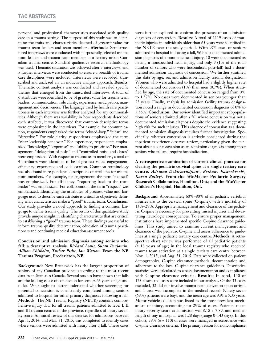personal and professional characteristics associated with quality care in a trauma setting. The purpose of this study was to determine the traits and characteristics deemed of greatest value for trauma team leaders and team members. **Methods:** Semistructured interviews were conducted with purposefully selected trauma team leaders and trauma team members at a tertiary urban Canadian trauma centre. Standard qualitative research methodology was used. Thematic saturation was achieved after 5 interviews, and 5 further interviews were conducted to ensure a breadth of trauma care disciplines were included. Interviews were recorded, transcribed and analyzed via an inductive analysis approach. **Results:**  Thematic content analysis was conducted and revealed specific themes that emerged from the transcribed interviews. A total of 6 attributes were identified to be of greatest value for trauma team leaders: communication, role clarity, experience, anticipation, management and decisiveness. The language used by health care practitioners in each interview was further analyzed for any commonalities. Although there was variability in how respondents described each attribute, it was discovered that common descriptive terms were emphasized in the interviews. For example, for communication, respondents emphasized the terms "closed-loop," "clear" and "directive." For role clarity, respondents emphasized the term "clear leadership handover." For experience, respondents emphasized "knowledge," "expertise" and "ability to prioritize." For management, "delegation of tasks" and "controlled noise and chaos" were emphasized. With respect to trauma team members, a total of 4 attributes were identified to be of greatest value: engagement, efficiency, experience and collaboration. Common terminology was also found in respondents' descriptions of attributes for trauma team members. For example, for engagement, the term "focused" was emphasized. For efficiency, "reporting back to the team leader" was emphasized. For collaboration, the term "respect" was emphasized. Identifying the attributes of greatest value and language used to describe each attribute is critical to objectively defining what characteristics make a "good" trauma team. **Conclusion:**  Our study provides a novel approach to finding a common language to define trauma quality. The results of this qualitative study provide unique insight in identifying characteristics that are critical to establishing a "good" trauma team. These findings are useful to inform trauma quality determination, education of trauma practitioners and continuing medical education assessment tools.

# **Concussion and admission diagnosis among seniors who fall: a descriptive analysis.** *Richard Louis, Susan Benjamin, Allison Chisholm, Tushar Pishe, Ian Watson.* **From the NB Trauma Program, Fredericton, NB.**

**Background:** New Brunswick has the largest proportion of seniors of any Canadian province according to the most recent data from Statistics Canada. Several studies have shown that falls are the leading cause of concussion for seniors 65 years of age and older. We sought to better understand whether screening for potential concussion is consistently completed among seniors admitted to hospital for other primary diagnoses following a fall. **Methods:** The NB Trauma Registry (NBTR) contains comprehensive injury data for all trauma patients admitted to level I, II and III trauma centres in the province, regardless of injury severity score. An initial review of this data set for admissions between Apr. 1, 2014, and Mar. 31, 2015, was completed to identify cases where seniors were admitted with injury after a fall. These cases

were further explored to confirm the presence of an admission diagnosis of concussion. **Results:** A total of 1119 cases of traumatic injuries in individuals older than 65 years were identified in the NBTR over the study period. With 975 cases of seniors admitted to hospital following a fall, 96 had a documented admission diagnosis of a traumatic head injury, 10 were documented as having a nonspecified head injury, and only 9 (1% of the total number of seniors who were hospitalised post-fall) had a documented admission diagnosis of concussion. We further stratified this data by age, sex and admission facility trauma designation. Women who were admitted to hospital had a slightly higher rate of documented concussion (1%) than men (0.7%). When stratified by age, the rate of documented concussion ranged from 0% to 1.57%. No cases were documented in seniors younger than 75 years. Finally, analysis by admission facility trauma designation noted a range in documented concussion diagnosis of 0% to 5.36%. **Conclusion:** Our review identified important subpopulations of seniors admitted after a fall where concussion was not a documented admission diagnosis despite the evidence suggesting high risk for such injuries. This absence of concussion as a documented admission diagnosis requires further investigation. Specifically, whether concussion is actively considered during the inpatient experience deserves review, particularly given the current absence of concussion as an admission diagnosis among most seniors who fall and require hospitalization.

# **A retrospective examination of current clinical practice for clearing the pediatric cervical spine at a single tertiary care centre.** *Adriana Dekirmendjian1, Bethany Easterbrook1, Karen Bailey2.* **From the 1McMaster Pediatric Surgery Research Collaborative, Hamilton, Ont.; and the 2 McMaster Children's Hospital, Hamilton, Ont.**

**Background:** Approximately 60%–80% of all pediatric vertebral injuries are to the cervical spine (C-spine), with a mortality of 13%–28%. Appropriate management and clearance of the pediatric C-spine is necessary for preventing missed injuries and devastating neurologic consequences. To ensure proper management, institutions have implemented specific C-spine clearance guidelines. This study aimed to examine current management and clearance of the pediatric C-spine and assess adherence to guidelines at a single pediatric tertiary care centre. **Methods:** A retrospective chart review was performed of all pediatric patients (≤ 18 years of age) in the local trauma registry who received trauma team activation at a single tertiary care centre between Nov. 1, 2013, and Aug. 31, 2015. Data were collected on patient demographics, C-spine clearance methods, documentation and adherence to the local C-spine clearance guidelines. Descriptive statistics were calculated to assess documentation and compliance with C-spine clearance criteria. **Results:** In total, 140 of 173 abstracted cases were included in our analysis. Of the 33 cases excluded, 32 did not involve trauma team activation upon arrival, and 1 case was incomplete in the medical record. Ninety-seven (69%) patients were boys, and the mean age was  $9.91 \pm 5.35$  years. Motor vehicle collision was listed as the most prevalent mechanism of injury, accounting for 29% of cases. Patients' mean injury severity score at admission was 8.18 + 7.89, and median length of stay in hospital was 1.28 days (range 0–143 days). In this cohort, 79% (*n* = 110) of cases were managed in accordance with C-spine clearance criteria. The primary reason for noncompliance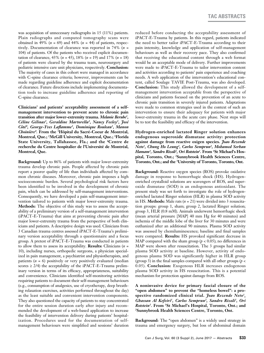was acquisition of unnecessary radiographs in 15 (11%) patients. Plain radiographs and computed tomography scans were obtained in 49% (*n* = 69) and 44% (*n* = 44) of patients, respectively. Documentation of clearance was reported in 74% (*n* = 104) of patients. Of the patients who received explicit documentation of clearance, 43% (*n* = 45), 18% (*n* = 19) and 17% (*n* = 18) of patients were cleared by the trauma team, neurosurgery and pediatric intensive care unit physicians, respectively. **Conclusion:** The majority of cases in this cohort were managed in accordance with C-spine clearance criteria; however, improvements can be made regarding guideline adherence and explicit documentation of clearance. Future directions include implementing documentation tools to increase guideline adherence and reporting of C-spine clearance.

**Clinicians' and patients' acceptability assessment of a selfmanagement intervention to prevent acute to chronic pain transition after major lower-extremity trauma.** *Melanie Berube1 , Céline Gélinas2, Geraldine Martorella3, Nancy Feeley2, José Côté4, George-Yves Laflamme1, Dominique Rouleau1, Manon Choinière4 .* **From the 1 Hôpital du Sacré-Coeur de Montréal, Montreal, Que.; 2 McGill University, Montreal, Que.; 3 Florida State University, Tallahassee, Fla.; and the 4Centre de recherche du Centre hospitalier de l'Université de Montréal, Montreal, Que.**

**Background:** Up to 86% of patients with major lower-extremity trauma develop chronic pain. People affected by chronic pain report a poorer quality of life than individuals affected by common chronic diseases. Moreover, chronic pain imposes a high socioeconomic burden. Several psychological risk factors have been identified to be involved in the development of chronic pain, which can be addressed by self-management interventions. Consequently, we have developed a pain self-management intervention tailored to patients with major lower-extremity trauma. **Methods:** The objective of this study was to assess the acceptability of a preliminary version of a self-management intervention (iPACT-E-Trauma) that aims at preventing chronic pain after major lower-extremity trauma from the perspective of both clinicians and patients. A descriptive design was used. Clinicians from 3 Canadian trauma centres assessed iPACT-E-Trauma's preliminary version acceptability through a questionnaire and a focus group. A pretest of iPACT-E-Trauma was conducted in patients to allow them to assess its acceptability. **Results:** Clinicians (*n* = 10), including nurses, orthopedic surgeons, a physician specialized in pain management, a psychiatrist and physiotherapists, and patients (*n* = 6) positively or very positively evaluated (median scores  $\geq$  2/4) the acceptability of the iPACT-E-Trauma preliminary version in terms of its efficacy, appropriateness, suitability and convenience. Clinicians identified self-monitoring activities requiring patients to document their self-management behaviours (e.g., consumption of analgesics, use of cryotherapy, deep breathing relaxation exercises, activities performed throughout the day) as the least suitable and convenient intervention components. They also questioned the capacity of patients to stay concentrated for the entire session duration early after injury and recommended the development of a web-based application to increase the feasibility of intervention delivery during patients' hospitalization. Procedures used for the documentation of selfmanagement behaviours were simplified and sessions' duration

reduced before conducting the acceptability assessment of iPACT-E-Trauma by patients. In this regard, patients indicated the need to better tailor iPACT-E-Trauma according to their pain intensity, knowledge and application of self-management behaviours as well as their recovery pace. They also confirmed that receiving the educational content through a web format would be an acceptable mode of delivery. Further improvements were made to iPACT-E-Trauma to tailor intervention content and activities according to patients' pain experience and coaching needs. A web application of the intervention's educational content, called Soulage TAVIE Post-Trauma, was also developed. **Conclusion:** This study allowed the development of a selfmanagement intervention acceptable from the perspective of clinicians and patients focused on the prevention of an acute to chronic pain transition in severely injured patients. Adaptations were made to common strategies used in the context of such an intervention to ensure their adequacy for patients with major lower-extremity trauma in the acute care phase. Next steps will be to test the feasibility and efficacy of the intervention.

**Hydrogen-enriched lactated Ringer solution enhances endogenous superoxide dismutase activity: protection against damage from reactive oxigen species.** *Joao Rezende Neto1 , Chung Ho Leung1 , Carlos Semprun2 , Mohamed Serhan Hamam3 , Sandro Rizoli1 , Ori Rotstein1 .* **From 1 St Michael's Hospital, Toronto, Ont.; 2 Sunnybrook Health Sciences Centre, Toronto, Ont.; and the 3 University of Toronto, Toronto, Ont.**

**Background:** Reactive oxygen species (ROS) provoke oxidative damage in response to hemorrhagic shock (HS). Hydrogenenriched crystalloid solutions are scavengers of ROS, and superoxide dismutase (SOD) is an endogenous antioxidant. The present study was set forth to investigate the role of hydrogenenriched lactated Ringer solution (HLR) in plasma SOD activity in HS. **Methods:** Male rats (*n* = 21) were divided into 3 resuscitation groups: group 1, sham; group 2, lactated Ringer solution; group 3, HLR (0.8 mM). Animals underwent hemorrhagic shock (mean arterial pressure [MAP] 40 mm Hg for 40 minutes) and ischemia of the middle lobe of the liver for 30 minutes and were euthanized after an additional 90 minutes. Plasma SOD activity was assessed by chemiluminescence; baseline and final samples were compared. **Results:** HS provoked significant decrease in MAP compared with the sham group  $(p < 0.05)$ ; no differences in MAP were shown after resuscitation. The 3 groups had similar plasma SOD activity at baseline. However, activity of endogenous plasma SOD was significantly higher in HLR group (group 3) in the final samples compared with all other groups (*p* < 0.05). **Conclusion:** Exogenous HLR increases endogenous plasma SOD activity in HS resuscitation. This is a potential mechanism for protection against damage from ROS.

**A noninvasive device for primary fascial closure of the "open abdomen" to prevent the "homeless bowel": a prospective randomized clinical trial.** *Joao Rezende Neto1, Ghassan Al Kefeiri1, Carlos Semprun2, Sandro Rizoli1, Ori Rotstein1.* **From 1St Michael's Hospital, Toronto, Ont.; and 2Sunnybrook Health Sciences Centre, Toronto, Ont.**

**Background:** The "open abdomen" is a widely used strategy in trauma and emergency surgery, but loss of abdominal domain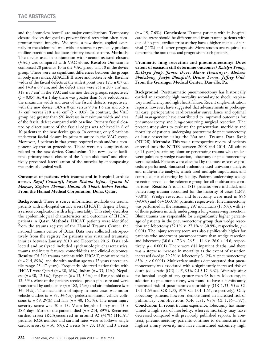and the "homeless bowel" are major complications. Temporary closure devices designed to prevent fascial retraction often compromise fascial integrity. We tested a new device applied externally to the abdominal wall without sutures to gradually produce midline traction and facilitate primary fascial closure. **Methods:**  The device used in conjunction with vacuum-assisted closure (VAC) was compared with VAC alone. **Results:** Our sample comprised 20 patients: 10 in the VAC group and 10 in the device group. There were no significant differences between the groups in body mass index, APACHE II score and lactate levels. Baseline width of the fascial defects at the widest point were  $12.3 \pm 0.7$  cm and  $14.9 \pm 0.9$  cm, and the defect areas were  $251 \pm 20.7$  cm<sup>2</sup> and  $315 \pm 37$  cm<sup>2</sup> in the VAC and the new device groups, respectively  $(p > 0.05)$ . At  $4 \pm 1$  day there was greater than 65% reduction in the maximum width and area of the fascial defects, respectively, with the new device:  $14.9 \pm 0$  cm versus  $9.8 \pm 1.6$  cm and  $315 \pm 1.6$ 37 cm<sup>2</sup> versus  $218 \pm 48$  cm<sup>2</sup> ( $p < 0.05$ ). In contrast, the VAC group had greater than 5% increase in maximum width and area of the fascial defect compared with baseline. Primary fascial closure by direct suture of the fascial edges was achieved in 8 of 10 patients in the new device group. In contrast, only 5 patients underwent fascial closure by primary suture in the VAC group. Moreover, 5 patients in that group required mesh and/or a component separation procedure. There were no complications related to the new device. **Conclusion:** The new device facilitated primary fascial closure of the "open abdomen" and effectively prevented lateralization of the muscles by encompassing the entire abdominal wall.

# **Outcomes of patients with trauma and in-hospital cardiac arrest.** *Reyaf Consunji, Fayez Bishma Irfan, Ayman El Menyar, Stephen Thomas, Hassan Al Thani, Ruben Peralta.*  **From the Hamad Medical Corporation, Doha, Qatar.**

**Background:** There is scarce information available on trauma patients with in-hospital cardiac arrest (IHCAT), despite it being a serious complication with a high mortality. This study describes the epidemiological characteristics and outcomes of IHCAT patients in Qatar. **Methods:** IHCAT patients were identified from the trauma registry of the Hamad Trauma Center, the national trauma centre of Qatar. Data were collected retrospectively from the registry for patients who sustained traumatic injuries between January 2010 and December 2015. Data collected and analyzed included epidemiologic characteristics, trauma and injury features, comorbidities and clinical outcomes. **Results:** Of 240 trauma patients with IHCAT, most were male (*n* = 214, 89%), and the with median age was 32 years (interquartile range 23–47 years). Frequently observed nationalities with IHCAT were Qatari (*n* = 38, 16%), Indian (*n* = 33, 14%), Nepalese (*n* = 30, 12.5%), Egyptian (*n* = 13, 5.4%) and Bangladeshi (*n* = 12, 5%). Most of the patients received prehospital care and were transported by ambulance  $(n = 182, 76%)$  and air ambulance  $(n = 182)$ 34, 14%). The mechanism of injury in most cases was motor vehicle crashes (*n* = 83, 34.6%), pedestrian–motor vehicle collisions (*n* = 69, 29%) and falls (*n* = 40, 16.7%). The mean injury severity score was 30  $\pm$  13. Mean length of stay was 13  $\pm$ 28.6 days. Most of the patients died  $(n = 214, 89\%)$ . Recurrent cardiac arrest (RCA)occurred in around 92 (41%) IHCAT patients; RCA number and survival rates were as follows: single cardiac arrest (*n* = 50, 6%), 2 arrests (*n* = 23, 13%) and 3 arrests

(*n* = 19, 7.6%). **Conclusion:** Trauma patients with in-hospital cardiac arrest should be differentiated from trauma patients with out-of-hospital cardiac arrest as they have a higher chance of survival (11%) and better prognosis. More studies are required to determine the outcomes and prognosis in such patients.

**Traumatic lung resection and pneumonectomy: Does extent of excision still determine outcomes?** *Katelyn Young, Kathryn Jaap, James Dove, Marie Hunsinger, Mohsen Shabahang, Joseph Blansfield, Denise Torres, Jeffrey Wild.*  **From the Geisinger Medical Center, Danville, Pa.**

**Background:** Posttraumatic pneumonectomy has historically carried an extremely high mortality secondary to shock, respiratory insufficiency and right heart failure. Recent single-institution reports, however, have suggested that advancements in prehospital care, perioperative cardiovascular surveillance and optimal fluid management have contributed to improved outcomes for pneumonectomy and lung-conserving surgical resection. The present study aims to evaluate the presentation, morbidity and mortality of patients undergoing posttraumatic pneumonectomy or lung resection using the National Trauma Data Bank (NTDB). **Methods:** This was a retrospective review of patients entered into the NTDB between 2008 and 2014. All adults (≥ 15 years) sustaining blunt or penetrating trauma who underwent pulmonary wedge resection, lobectomy or pneumonectomy were included. Patients were classified by the most extensive procedure performed. Statistical evaluation used univariate analysis and multivariate analysis, which used multiple imputations and controlled for clustering by facility. Patients undergoing wedge resection served as the reference group for all multivariate comparisons. **Results:** A total of 1813 patients were included, and penetrating trauma accounted for the majority of cases (1269, 70.0%). Wedge resection and lobectomy were used in 896 (49.4%) and 634 (35.0%) patients, respectively. Pneumonectomy was performed in the remaining 297 individuals (15.6%), with 27 of those patients initially undergoing a lung-conserving resection. Blunt trauma was responsible for a significantly higher percentage of patients in the pneumonectomy group than wedge resection and lobectomy (37.1% v. 27.1% v. 30.9%, respectively, *p* < 0.001). The injury severity score was also significantly higher for patients who underwent pneumonectomy than wedge resection and lobectomy  $(30.6 \pm 17.3 \text{ v. } 26.5 \pm 14.6 \text{ v. } 26.0 \pm 14.6 \text{, respectively})$ tively,  $p < 0.0001$ ). There were 644 inpatient deaths, and there was a stepwise increase in mortality as the extent of resection increased (wedge 29.2% v. lobectomy 31.2% v. pneumonectomy 65%,  $p < 0.0001$ ). Multivariate analysis demonstrated that pneumonectomy was associated with a significantly increased risk of death (odds ratio [OR] 4.45, 95% CI 3.17–6.62). After adjusting for hospital length of stay greater than 48 hours, lobectomy, in addition to pneumonectomy, was found to have a significantly increased risk of postoperative morbidity (OR 1.33, 95% CI 1.07–1.64 and OR 1.35, 95% CI 1.01–1.65, respectively). Only lobectomy patients, however, demonstrated an increased risk of pulmonary complications (OR 1.51, 95% CI 1.16–1.97). **Conclusion:** In recent trauma experience, lobectomy has maintained a high risk of morbidity, whereas mortality may have decreased compared with previously published reports. In contrast, pneumonectomy patients continue to demonstrate the highest injury severity and have maintained extremely high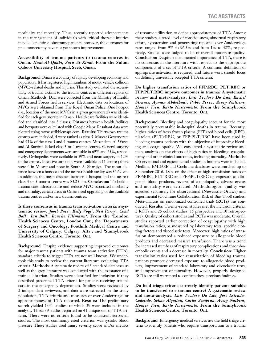morbidity and mortality. Thus, recently reported advancements in the management of individuals with critical thoracic injuries may be benefiting lobectomy patients; however, the outcomes for pneumonectomy have not yet shown improvement.

# **Accessibility of trauma patients to trauma centres in Oman.** *Hani Al-Qadhi, Sara Al-Kindi.* **From the Sultan Qaboos University Hospital, Seeb, Oman.**

**Background:** Oman is a country of rapidly developing economy and population. It has registered high numbers of motor vehicle collision (MVC)–related deaths and injuries. This study evaluated the accessibility of trauma victims to the trauma centres in different regions of Oman. **Methods:** Data were collected from the Ministry of Health and Armed Forces health services. Electronic data on locations of MVCs were obtained from The Royal Oman Police. One hotspot (i.e., location of the most MVCs in a given governorate) was identified for each governorate in Oman. Health care facilities were identified and classified into 5 classes. Distances between health facilities and hotspots were calculated with Google Maps. Resultant data were plotted using www.scribblemaps.com. **Results:** Thirty-two trauma centres were included, 4 were ranked as class 5. Muscat Governorate had 43% of the class 5 and 4 trauma centres. Musandam, Al-Wusta and Al-Buraimi lacked class 5 or 4 trauma centres. General surgery and emergency departments were available in 69% and 75%, respectively. Orthopedics were available in 59% and neurosurgery in 12% of the centres. Intensive care units were available in 11 centres; there were 4 in Muscat and none in South Al-Sharqiya. The mean distance between a hotspot and the nearest health facility was 34.69 km. In addition, the mean distance between a hotspot and the nearest class 4 or 5 trauma centre was 83.25 km. **Conclusion:** To build a trauma care infrastructure and reduce MVC-associated morbidity and mortality, certain areas in Oman need upgrading of the available trauma centres and/or new trauma centres.

**Is there consensus in trauma team activation criteria: a systematic review.** *Jaocb Pace1, Kelly Vogt1, Neil Parry1, Chad Ball2, Ian Ball1, Bourke Tillmann3.* **From the 1London Health Sciences Centre, London Ont.; the 2Departments of Surgery and Oncology, Foothills Medical Centre and University of Calgary, Calgary, Alta.; and 3Sunnybrook Health Sciences Centre, Toronto, Ont.**

**Background:** Despite evidence supporting improved outcomes for major trauma patients with trauma team activation (TTA), standard criteria to trigger TTA are not well known. We undertook this study to review the current literature evaluating TTA criteria. **Methods:** A systematic review of 3 standard databases as well as the grey literature was conducted with the assistance of a trained librarian. Studies were identified for inclusion if they described predefined TTA criteria for patients receiving trauma care in the emergency department. Studies were reviewed by 2 independent reviewers, and data were extracted on the study population, TTA criteria and measures of over-/undertriage or appropriateness of TTA reported. **Results:** The preliminary search yielded 1331 studies, of which 39 were included in the analysis. These 39 studies reported on 41 unique sets of TTA criteria. There were no criteria found to be consistent across all studies. The most commonly cited criterion was systolic blood pressure These studies used injury severity score and/or metrics

of resource utilization to define appropriateness of TTA. Among these studies, altered level of consciousness, abnormal respiratory effort, hypotension and penetrating reported over-/undertriage rates ranged from 9% to 96.5% and from 1% to 42%, respectively. Studies were judged to be of overall moderate quality. **Conclusion:** Despite a documented importance of TTA, there is no consensus in the literature with respect to the appropriate components of a set of TTA criteria. A common definition of appropriate activation is required, and future work should focus on defining universally accepted TTA criteria.

**Do higher transfusion ratios of FFP:RBC, PLT:RBC or FFP:PLT:RBC improve outcomes in trauma? A systematic review and meta-analysis.** *Luis Teodoro Da Luz, Rachel Strauss, Ayman Abdelhadi, Pablo Perez, Avery Nathens, Homer Tien, Barto Nascimento.* **From the Sunnybrook Health Sciences Centre, Toronto, Ont.**

**Background:** Bleeding and coagulopathy account for the most potentially preventable in-hospital deaths in trauma. Recently, higher ratios of fresh frozen plasma (FFP):red blood cells (RBC), platelets (PLT):RBC, or FFP:PLT:RBC have been used in bleeding trauma patients with the objective of improving bleeding and coagulopathy. We conducted a systematic review and meta-analysis on the effects of high ratios in bleeding, coagulopathy and other clinical outcomes, including mortality. **Methods:** Observational and experimental studies in humans were included. Medline, EMBASE and Cochrane databases were searched up to September 2016. Data on the effect of high transfusion ratios of FFP:RBC, PLT:RBC and FFP:PLT:RBC on exposure to allogeneic blood products, reversal of coagulopathy, adverse events and mortality were extracted. Methodological quality was assessed separately for observational (Newcastle–Ottawa) and experimental (Cochrane Collaboration Risk of Bias Tool) studies. Meta-analysis on randomized controlled trials (RCTs) was conducted. **Results:** Twenty-seven studies met the inclusion criteria: 2 RCTs and 25 cohort studies (15 prospective and 10 retrospective). Quality of cohort studies and RCTs was moderate. Overall, studies reported earlier correction of coagulopathy with high transfusion ratios, as measured by laboratory tests, specific clotting factors and viscoelastic tests. Moreover, high ratios of transfusion demonstrated a reduced exposure to allogeneic blood products and decreased massive transfusion. There was a trend for increased numbers of respiratory complications and thromboembolic events and a decrease in mortality. **Conclusion:** Higher transfusion ratios used for resuscitation of bleeding trauma patients promote decreased exposure to allogeneic blood products, improvement of standard laboratory and viscoelastic tests, and improvement of mortality. However, properly designed RCTs are still warranted to confirm these previous findings.

**Do field triage criteria correctly identify patients suitable to be transferred to a trauma centre? A systematic review and meta-analysis.** *Luis Teodoro Da Luz, Jose Estrada-Codecido, Selma Alqattan, Carlos Semprun, Avery Nathens, Homer Tien, Barto Nascimento.* **From the Sunnybrook Health Sciences Centre, Toronto, Ont.**

**Background:** Emergency medical services use the field triage criteria to identify patients who require transportation to a trauma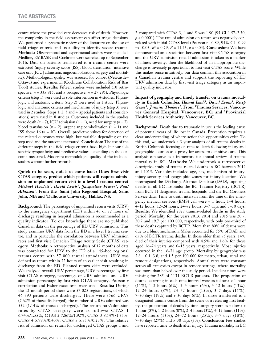centre where the provided care decreases risk of death. However, the complexity in the field assessment can affect triage decisions. We performed a systematic review of the literature on the use of field triage criteria and its ability to identify severe trauma. **Methods:** Observational and experimental studies were included. Medline, EMBASE and Cochrane were searched up to September 2016. Data on patients transferred to a trauma centre were extracted (injury severity score [ISS], blood transfusion, intensive care unit [ICU] admission, angioembolization, surgery and mortality). Methodological quality was assessed for cohort (Newcastle– Ottawa) and experimental (Cochrane Collaboration Risk of Bias Tool) studies. **Results:** Fifteen studies were included (10 retrospective,  $n = 335, 815$ , and 5 prospective,  $n = 27, 295$ ). Physiologic criteria (step 1) were used as sole intervention in 4 studies. Physiologic and anatomic criteria (step 2) were used in 1 study. Physiologic and anatomic criteria and mechanism of injury (step 3) were used in 2 studies. Steps 1, 2, 3 and 4 (special patients and considerations) were used in 8 studies. Outcomes included in the studies were death  $(n = 7)$ , ICU admission  $(n = 4)$ , need for surgery  $(n = 7)$ , blood transfusion  $(n = 2)$ , urgent angioembolization  $(n = 1)$  and ISS above 16 (*n* = 10). Overall, predictive values for detection of the related outcomes were high, but variable depending on the step used and the outcome measured. **Conclusion:** The use of the different steps in the field triage criteria have high but variable sensitivity/specificity and predictive values depending on the outcome measured. Moderate methodologic quality of the included studies warrant further research.

**Quick to be seen, quick to come back: Does first visit CTAS category predict which patients will require admission on unplanned return visit in a level I trauma centre?**  *Michael Howlett1, David Lewis1, Jacqueline Fraser1, Paul Atkinson2.* **From the 1Saint John Regional Hospital, Saint John, NB; and 2Dalhousie University, Halifax, NS.**

**Background:** The percentage of unplanned return visits (URV) to the emergency department (ED) within 48 or 72 hours of discharge resulting in hospital admission is recommended as a quality indicator. To our knowledge there are no published Canadian data on the percentage of ED URV admissions. This study examines URV data from the ED in a level I trauma centre, and in particular the correlation between URV admission rates and first visit Canadian Triage Acuity Scale (CTAS) category. **Methods:** A retrospective analysis of 12 months of data was completed for URV to the ED of a 445-bed regional trauma centre with 57 000 annual attendances. URV was defined as return within 72 hours of an earlier visit resulting in discharge from the ED. Planned return visits were excluded. We analyzed overall URV percentage, URV percentage by first visit CTAS category, percentage of URV admitted and URV admission percentage by first visit CTAS category. Pearson *r*  correlation and Fisher exact tests were used. **Results:** During the 12-month period there were 57 025 registrations, of which 46 793 patients were discharged. There were 3566 URVs (7.62% of those discharged); the number of URVs admitted was 532 (1.14% of those discharged). The return rate/admission rates by CTAS category were as follows: CTAS 1 6.74%/1.55%, CTAS 2 7.86%/1.92%, CTAS 3 8.54%/1.35%, CTAS 4 5.99%/0.40%, CTAS 5 5.55%/0.27%. The relative risk of admission on return for discharged CTAS groups 1 and

2 compared with CTAS 3, 4 and 5 was 1.90 (95 CI 1.57–2.30,  $p < 0.0001$ ). The rate of admission on return was negatively correlated with initial CTAS level (Pearson *r* –0.89, 95% CI –0.99 to  $-0.03$ ,  $R^2 = 0.79$ ,  $F = 11.25$ ,  $p = 0.04$ ). **Conclusion:** We have demonstrated an association between first visit CTAS category and the URV admission rate. If admission is taken as a marker of illness severity, then the likelihood of an inappropriate discharge is inversely proportional to first visit CTAS score. While this makes sense intuitively, our data confirm this association in a Canadian trauma centre and support the reporting of ED URV admission data by first visit triage category as an important quality indicator.

**Impact of geography and timely transfer on trauma mortality in British Columbia.** *Hamid Izadi1, David Evans1, Recep Gezer1, Jaimini Thakore2.* **From 1Trauma Services, Vancouver General Hospital, Vancouver, BC; and 2Provincial Health Services Authority, Vancouver, BC.**

**Background:** Death due to traumatic injury is the leading cause of potential years of life lost in Canada. Prevention requires a clear understanding of where actionable opportunities exist. To this end, we undertook a 3-year analysis of all trauma deaths in British Columbia focusing on time to death following injury and geographic location as a proxy for access to definitive care. This analysis can serve as a framework for annual review of trauma mortality in BC. **Methods:** We undertook a retrospective descriptive study of trauma-related deaths in BC between 2012 and 2015. Variables included age, sex, mechanism of injury, injury severity and geographic zones for injury location. We interrogated the Discharge Abstract Database (DAD), capturing deaths in all BC hospitals; the BC Trauma Registry (BCTR) from BC's 11 designated trauma hospitals; and the BC Coroners Service data. Time to death intervals from the time of the emergency medical services (EMS) call were < 1 hour, 1–4 hours, 4–12 hours, 12–24 hours, 24–72 hours, 3–7 days and 7–30 days. **Results:** We identified 2827 trauma-related deaths in the study period. Mortality for the years 2013, 2014 and 2015 was 20.7, 20.7 and 19.7 per 100 000, respectively, with only one-third of these deaths captured by BCTR. More than 80% of deaths were due to a blunt mechanism. Males accounted for 55% of DAD and 65% of BCTR trauma deaths. In those older than 75 years, 14% died of their injuries compared with 4.5% and 1.6% for those aged 16–74 years and 0–15 years, respectively. Most injuries occurred in the 16–74 age group. Mortality by geography was 7.8, 10.1, 3.8, and 1.5 per 100 000 for metro, urban, rural and remote designations, respectively. Annual rates were constant across all categories except in remote settings, where mortality was more than halved over the study period. Incident times were missing for 285 of 1131 BCTR patients. The proportion of deaths occurring in each time interval were as follows: < 1 hour (11%), 1–2 hours (6%), 2–4 hours (6%), 4–12 hours (13%), 12–24 hours (8%), 24–72 hours (15%), 3–7 days (15%),  $7-30$  days (19%) and  $> 30$  days (6%). In those transferred to a designated trauma centre from the scene or a referring first facility, the proportion of deaths by time category were as follows: < 1 hour (0%), 1–2 hours (0%), 2–4 hours (3%), 4–12 hours (11%), 12–24 hours (13%), 24–72 hours (25%), 3–7 days (18%), 7–30 days (27%) and > 30 days (3%). **Conclusion:** Few studies have reported time to death after injury. Trauma mortality in BC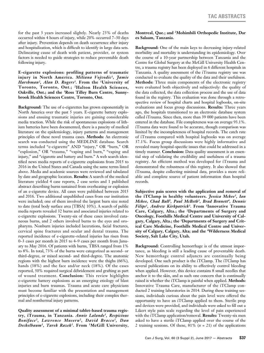for the past 3 years increased slightly. Nearly 23% of deaths occurred within 4 hours of injury, while 20% occurred 7–30 days after injury. Prevention depends on death occurrence after injury and hospitalization, which is difficult to identify in large data sets. Delineating cause of death with patient, provider, or system factors is needed to guide strategies to reduce preventable death following injury.

**E-cigarette explosions: profiling patterns of traumatic injury in North America.** *Miliana Vojvodic1, Jamie Harshman2, Alan D. Rogers3.* **From the 1University of Toronto, Toronto, Ont.; 2Halton Health Sciences, Oakville, Ont.; and the 3Ross Tilley Burn Centre, Sunnybrook Health Sciences Centre, Toronto, Ont.**

**Background:** The use of e-cigarettes has grown exponentially in North America over the past 5 years. E-cigarette battery explosions and ensuing traumatic injuries are gaining considerable media traction. While the risk of spontaneous explosions of lithium batteries have been documented, there is a paucity of medical literature on the epidemiology, injury patterns and management principles of these novel trauma cases. **Methods:** An electronic search was conducted using the MEDLINE database. Search terms included "e-cigarette" AND "injury," OR "burn," OR "explosion," OR "trauma," "vaping and burn," "vaping and injury," and "cigarette and battery and burn." A web search identified news media reports of e-cigarette explosions from 2015 to 2016 in the United States and Canada using the same terms listed above. Media and academic sources were reviewed and tabulated by date and geographic location. **Results:** A search of the medical literature yielded 4 case reports, 2 case series and 1 published abstract describing burns sustained from overheating or explosion of an e-cigarette device. All cases were published between 2015 and 2016. Two additional unpublished cases from our institution were included; one of them involved the largest burn size noted to date (total body surface area [TBSA] 10%). A search of public media reports revealed 32 burns and associated injuries related to e-cigarette explosions. Twenty-six of these cases involved cutaneous burns, and 2 others involved burns to the eyes and oropharynx. Nonburn injuries included lacerations, facial fractures, cervical spine fractures and ocular and dental trauma. The reported incidence of e-cigarette–related injuries has risen from 0–3 cases per month in 2015 to 4–9 cases per month from January to May 2016. Of patients with burns, TBSA ranged from 1% to 8%. In total, 73% of the burns were categorized as second- or third-degree, or mixed second- and third-degree. The anatomic regions with the highest burn incidence were the thighs (66%), hands (38%) and the face and/or neck (18%). Of the cases reported, 50% required surgical débridement and grafting as part of wound treatment. **Conclusion:** This review highlights e-cigarette battery explosions as an emerging etiology of blast injuries and burn traumas. Trauma and acute care physicians must become familiar with the presentation and management principles of e-cigarette explosions, including their complex thermal and nonthermal injury patterns.

**Quality assessment of a minimal tablet-based trauma registry, iTrauma, in Tanzania.** *Annie Lalande1, Respicious Boniface 2, Lawrence Museru2, David Bracco1, Dan Deckelbaum1, Tarek Razek1.* **From 1McGill University,** 

# **Montreal, Que.; and 2Mohimbili Orthopedic Institute, Dar es Salaam, Tanzania.**

**Background:** One of the main keys to decreasing injury-related morbidity and mortality is understanding its epidemiology. Over the course of a 10-year partnership between Tanzania and the Centre for Global Surgery at the McGill University Health Centre, a trauma registry has been deployed in 6 different hospitals in Tanzania. A quality assessment of the iTrauma registry use was conducted to evaluate the quality of the data and their usefulness. **Methods:** Three main components of the electronic registry were evaluated both objectively and subjectively: the quality of the data collected, the data collection process and the use of data found in the registry. This evaluation was done through a retrospective review of hospital charts and hospital logbooks, on-site evaluations and focus group discussions. **Results:** Three years ago, the hospitals transitioned to an electronic database system called iTrauma. Since then, more than 39 000 patients have been entered in the database. File completeness was on average 93.1%. iTrauma data were found to be accurate, though comparison was limited by the incompleteness of hospital records. The catch rate of iTrauma compared with hospital logbooks was on average 37.1%. Focus group discussions were highly informative and revealed many hospital-specific issues that could be addressed in a timely manner. **Conclusion:** Data quality assessment is an essential step of validating the credibility and usefulness of a trauma registry. An efficient method was developed for iTrauma and demonstrated the robustness of this registry. It also showed that iTrauma, despite collecting minimal data, provides a more reliable and complete source of patient information than hospital records.

**Subjective pain scores with the application and removal of the iTClamp in healthy volunteers.** *Jessica Mckee1, Ian Mckee, Chad Ball2, Paul McBeth3, Brad Bennett4, Dennis Filips1, Andrew Kirkpatrick3.* **From 1Innovative Trauma Care, Calgary, Alta.; the 2Departments of Surgery and Oncology, Foothills Medical Centre and University of Calgary, Calgary, Alta.; the 3Departments of Surgery and Critical Care Medicine, Foothills Medical Centre and University of Calgary, Calgary, Alta; and the 4Wilderness Medical Society, Salt Lake City, Utah.**

**Background:** Controlling hemorrhage is of the utmost importance, as bleeding is still a leading cause of preventable death. New hemorrhage control adjuncts are continually being developed. One such product is the iTClamp. The iTClamp has several publications on its ability to effectively control bleeding when applied. However, this device contains 8 small needles that anchor it to the skin, and as such one concern that is continually raised is whether the iTClamp is painful when applied. **Methods:** Innovative Trauma Care, manufacturer of the iTClamp conducted 2 training laboratories in 2014. During these training sessions, individuals curious about the pain level were offered the opportunity to have an iTClamp applied to them. Sterile prep and devices were provided, and individuals were asked to fill out a Likert style pain scale regarding the level of pain experienced with the iTClamp application/removal. **Results:** Twenty-six men asked to have a sterile iTClamp applied over the course of the 2 training sessions. Of these, 81% (*n* = 21) of the applications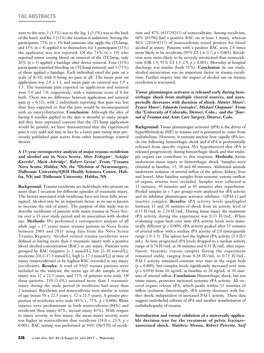were to the arm, 1 (3.5%) was to the leg, 1 (3.5%) was to the back of the hand, and for 3 (11%) the location is unknown. Among the participants, 73% (*n* = 19) had someone else apply the iTClamp, and 15%  $(n = 4)$  applied it to themselves; for 3 participants  $(11\%)$ the applicator was not reported. Of the  $73\%$  ( $n = 19$ ) who reported minor oozing blood on removal of the iTClamp, only 26% (*n* = 5) applied a bandage after device removal. Four (15%) participants reported bleeding on iTClamp removal, and 3 (75%) of them applied a bandage. Each individual rated the pain on a scale of 0–10, with 0 being no pain at all. The mean pain on application was  $2.0 \pm 1.1$ , and mean pain on removal was  $1.9 \pm 1.1$ 1.5. The maximum pain reported on application and removal were 5.0 and 7.0, respectively, with a minimum score of 0 for both. There was no difference between application and removal pain  $(p = 0.52)$ , with 2 individuals reporting that pain was less than they expected or that the pain would be inconsequential with an injury/distraction. **Conclusion:** Although the idea of having 8 needles applied to the skin is stressful to many people and they have expressed concern that the iTClamp application would be painful, we have demonstrated that the experienced pain is very mild and may in fact be a lower pain rating than previously published pain scores from other hemorrhage control devices.

**A 15-year retrospective analysis of major trauma recidivism and alcohol use in Nova Scotia.** *Mete Erdogan1, Nelofar Kureshi2, Mark Asbridge3, Robert Green1.* **From 1Trauma Nova Scotia, Halifax, NS; the 2Division of Neurosurgery, Dalhousie University/QEII Health Sciences Centre, Halifax, NS; and 3Dalhousie University, Halifax, NS.**

**Background:** Trauma recidivists are individuals who present on more than 1 occasion for different episodes of traumatic injury. The factors associated with recidivism have not been fully investigated. Alcohol may be an important factor, as its use is known to increase the risk of injury. The purpose of this study was to describe recidivism of patients with major trauma in Nova Scotia over a 15-year study period and its association with alcohol use. **Methods:** We performed a retrospective analysis of all adult (age > 17 years) major trauma patients in Nova Scotia between 2001 and 2015 using data from the Nova Scotia Trauma Registry. Alcohol-related trauma recidivists were defined as having more than 1 traumatic injury with a positive blood alcohol concentration (BAC) at any injury. Patients were grouped by BAC (negative [< 2 mmol/L], low [2–10 mmol/L], moderate [10.1–17.3 mmol/L], high [> 17.3 mmol/L]) at time of injury (nonrecidivists) or by highest BAC recorded at any injury (recidivists). **Results:** A total of 9365 trauma patients were included in the analysis; the mean age of the sample at first injury was  $52 \pm 21.5$  years, and 73% of patients were male. Of these patients, 150 (1.6%) sustained more than 1 traumatic injury during the study period (6 recidivists had more than 2 traumas). Recidivists and nonrecidivists were similar in terms of age (mean  $50 \pm 22.5$  years v.  $52 \pm 21.5$  years). A greater proportion of recidivists were male  $(83\% \text{ v. } 73\%, p = 0.008)$ . Blunt injuries were predominant in both nonrecidivists (84%) and recidivists (first injury 87%, second injury 83%). With respect to injury severity at first injury, the mean injury severity score was higher in nonrecidivists than recidivists (18.0 v. 21.9, *p* < 0.001). BAC testing was performed in 64% (96/150) of recidivists and 47% (4337/9215) of nonrecidivists. Among recidivists, 68% (65/96) had a positive BAC on at least 1 injury, whereas 46% (2010/4337) of nonrecidivists tested positive for blood alcohol at injury. Patients with a positive BAC were 2.4 times more likely to be recidivists (95% CI 1.6–3.7, *p* < 0.001). Recidivists were more likely to be severely intoxicated than nonrecidivists (OR 1.9, 95% CI 1.3–2.9, *p* = 0.001). Mortality at hospital discharge was similar (both 31%). **Conclusion:** In our study, alcohol intoxication was an important factor in trauma recidivism. Further inquiry into the impact of alcohol use on trauma recidivism is warranted.

**Tissue plasminogen activator is released early during hemorrhagic shock from multiple visceral sources, and unexpectedly decreases with duration of shock.** *Hunter Moore1, Ernest Moore2, Eduardo Gonzalez1, Michael Chapman1.* **From the 1University of Colorado, Denver, Colo.; and the 2***Journal of Trauma and Acute Care Surgery***, Denver, Colo.**

**Background:** Tissue plasminogen activator (tPA) is the driver of hyperfibrinolysis (HF) in trauma and is presumed to come from endothelium. However, it remains unclear how rapidly tPA levels rise following hemorrhagic shock and if tPA is preferentially released from specific organs. We hypothesized that tPA is released progressively during hemorrhagic shock and that multiple organs can contribute to this response. **Methods:** Swine underwent tissue injury or hemorrhagic shock. Samples were obtained at baseline, 15, 30 and 60 minutes. Additional animals underwent isolation of arterial inflow of the spleen, kidney, liver and bowel. After baseline samples from systemic venous outflow of organs, arteries were occluded. Samples were collected at 15 minutes, 30 minutes and at 45 minutes after reperfusion. Pooled samples (*n* = 5 per group) were analyzed for tPA activity and its inhibitor plasminogen activator inhibitor -1(PAI-1) and inactive complex. **Results:** tPA activity levels quadrupled between 15 and 30 minutes of shock from an activity level of 0.55 IU/mL to 2.24 IU/mL. During tissue injury the maximum tPA activity during the experiment was 0.33 IU/mL. When evaluating organ beds over time tPA activity levels were statistically different ( $p = 0.009$ ). tPA activity peaked after 15 minutes of arterial inflow with a median tPA activity of 2.0 (interquartile range 1.9–3.5). The spleen had the highest tPA activity (3.9 IU/ mL). As time progressed tPA levels dropped to a median activity range of 0.74 IU/mL at 30 minutes and 0.31 IU/mL after reperfusion. Systemic venous samples during the experiment remained stable, ranging from 0.28 IU/mL to 0.75 IU/mL. PAI-1 activity remained constant over time in the organ beds  $(p = 0.809)$ , but complex levels significantly increased over time  $(p = 0.034)$  from 10 ng/mL at baseline to 26 ng/mL at 30 minutes of arterial inflow. **Conclusion:** Hemorrhagic shock, but not tissue injury, promotes increased systemic tPA activity. All visceral organs release tPA, which peaks within 15 minutes of inflow occlusion. Interestingly, tPA activity decreases with further shock, independent of increased PAI-1 activity. These data suggest endothelial exhaust of tPA and another manifestation of endotheliopathy of trauma.

**Introduction and virtual validation of a universally applicable decision tree for the treatment of pelvic fracture– associated shock.** *Matthew Menon, Robert Petretta, Saif*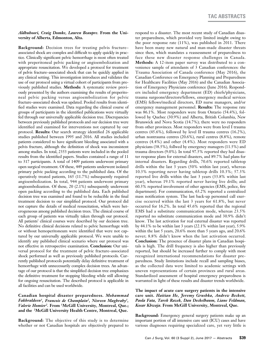#### *Aldhuhoori, Craig Domke, Lauren Beaupre.* **From the University of Alberta, Edmonton, Alta.**

**Background:** Decision trees for treating pelvis fracture– associated shock are complex and difficult to apply quickly in practice. Clinically significant pelvic hemorrhage is most often treated with preperitoneal pelvic packing or angioembolization and appropriate resuscitation. We developed a protocol for treatment of pelvis fracture–associated shock that can be quickly applied in any clinical setting. This investigation introduces and validates the use of our protocol using a virtual cohort of participants from previously published studies. **Methods:** A systematic review previously presented by the authors examining the results of preperitoneal pelvic packing versus angioembolization for pelvic fracture–associated shock was updated. Pooled results from identified studies were examined. Data regarding the clinical course of groups of participants in the identified publications were virtually fed through our universally applicable decision tree. Discrepancies between previously published protocols and our decision tree were identified and examined for interventions not captured by our protocol. **Results:** Our search strategy identified 26 applicable studies published between 1995 and 2016. All studies included patients considered to have significant bleeding associated with a pelvis fracture, although the definition of shock was inconsistent among studies. In total, 2353 patients were included in the pooled results from the identified papers. Studies contained a range of 11 to 317 participants. A total of 1409 patients underwent primary open surgical treatment. Of these, 449 patients underwent isolated primary pelvic packing according to the published data. Of the operatively treated patients, 165 (11.7%) subsequently required angioembolization. In total, 944 patients underwent primary angioembolization. Of these, 20 (2.1%) subsequently underwent open packing according to the published data. Each published decision tree was examined and found to be reducible in the final treatment decision to our simplified protocol. Our protocol did not capture the details of medical resuscitation, which were heterogeneous among published decision trees. The clinical course of each group of patients was virtually taken through our protocol. All patients' clinical courses were described by our decision tree. No definitive clinical decisions related to pelvic hemorrhage with or without hemoperitoneum were identified that were not captured by our universally applicable protocol. We were unable to identify any published clinical scenario where our protocol was not effective in retrospective examination. **Conclusion:** Our universal protocol for the treatment of pelvic fracture–associated shock performed as well as previously published protocols. Currently published protocols potentially delay definitive treatment of hemorrhage with unnecessarily complex decision trees. An advantage of our protocol is that the simplified decision tree emphasizes the definitive treatment for stopping bleeding while still allowing for ongoing resuscitation. The described protocol is applicable in all facilities and can be used worldwide.

# **Canadian hospital disaster preparedness.** *Mohammad Fakhraldeen1, Francois de Champlain2, Nisreen Maghraby1, Valerie Homier2.* **From 1McGill University, Montreal, Que.; and the 2McGill University Health Centre, Montreal, Que.**

**Background:** The objective of this study is to determine whether or not Canadian hospitals are objectively prepared to respond to a disaster. The most recent study of Canadian disaster preparedness, which provided very limited insight owing to the poor response rate (11%), was published in 2011. There have been many new natural and man-made disaster threats since then, which mandates a reassessment of preparedness to face these new disaster response challenges in Canada. **Methods:** A 12-item paper survey was distributed to a convenience sample of attendants of 3 Canadian conferences: the Trauma Association of Canada conference (May 2016), the Canadian Conference on Emergency Planning and Preparedness for Healthcare Facilities (May 2016) and the Canadian Association of Emergency Physicians conference (June 2016). Responders included emergency department (ED) chiefs/physicians, trauma surgeons/directors/fellows, emergency medical services (EMS) fellows/medical directors, ED nurse managers, and/or emergency management personnel. **Results:** The response rate was 86.1%. Most responders were from Ontario (54.4%), followed by Quebec (30.9%) and Alberta, British Columbia, New Brunswick and Nova Scotia (14.7%); there were no responders from other provinces. Most responders were from level I trauma centres (45.6%), followed by level II trauma centres (16.2%), urban nontrauma centres (20.6%), rural centres (8.8%), remote centres (4.4%) and other (4.4%). Most responders were ED physicians (38.5%), follwed by emergency managers (11.5%) and trauma directors (9.0%). In total 97.5% reported they had disaster response plans for external disasters, and 89.7% had plans for internal disasters. Regarding drills, 70.6% reported tabletop drills within the last 3 years (50% within last year), whereas 10.3% reporting never having tabletop drills 10.3%; 57.3% reported live drills within the last 3 years (33.8% within last year), whereas 19.1% reported never having live drills; and 60.3% reported involvement of other agencies (EMS, police, fire department). For communication, 63.2% reported a centralized mass notification system. The last back-up personnel call exercise occurred within the last 3 years for 61.8%, but never occurred for 16.2%. In total 45.6% reported that the regional EMS had a substitute communication mode, whereas 23.5% reported no substitute communication mode and 30.9% didn't know. The last activation for real external disaster was reported by 44.1% to be within last 3 years (22.1% within last year), 5.9% within the last 5 years, 20.6% more than 5 years ago, and 20.6% never; 8.8% didn't know when the last activation occurred. **Conclusion:** The presence of disaster plans in Canadian hospitals is high. The drill frequency is also higher than previously reported, but should be increased further to comply with most recognized international recommendations for disaster preparedness. Study limitations include recall and sampling biases, as the collected data were limited to academic settings with uneven representations of certain provinces and rural areas. Standardized assessment of hospital emergency preparedness is warranted in light of these results and disaster trends worldwide.

# **The impact of acute care surgery patients in the intensive care unit.** *Haitian He, Jeremy Grushka, Andrew Beckett, Paola Fata, Tarek Razek, Dan Deckelbaum, Liane Feldman, Kosar Khwaja.* **From McGill University, Montreal, Que.**

**Background:** Emergency general surgery patients make up an important portion of all intensive care unit (ICU) cases and have various diagnoses requiring specialized care, yet very little is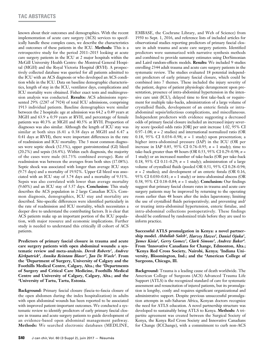known about their outcomes and demographics. With the recent implementation of acute care surgery (ACS) services to specifically handle these complex cases, we describe the characteristics and outcomes of these patients in the ICU. **Methods:** This is a retrospective study for the period 2011–2015 looking at acute care surgery patients in the ICU at 2 major hospitals within the McGill University Health Centre: the Montreal General Hospital (MGH) and the Royal Victoria Hospital (RVH). A prospectively collected database was queried for all patients admitted to the ICU with an ACS diagnosis or who developed an ACS condition while in the ICU. Data on baseline demographic characteristics, length of stay in the ICU, ventilator days, complications and ICU mortality were obtained. Fisher exact tests and multiregression analysis was conducted. **Results:** ACS admissions represented 29% (2287 of 7924) of total ICU admissions, comprising 1913 individual patients. Baseline demographics were similar between the 2 hospitals: age at admission was  $64.2 \pm 0.49$  years at MGH and  $63.9 \pm 0.59$  years at RVH, and percentage of female patients was 40.3% at MGH and 40.5% at RVH. Proportion of diagnoses was also similar. Although the length of ICU stay was similar at both sites (6.41  $\pm$  0.38 days at MGH and 6.47  $\pm$ 0.41 days at RVH), there were important differences in the rate of readmission and ICU mortality. The 3 most common diagnoses were septic shock (32.5%), upper gastrointestinal (GI) bleed (20.2%) and sepsis (16.4%). Within each diagnosis, the majority of the cases were male (61.73% combined average). Rate of readmission was between the averages from both sites (17.08%). Septic shock was associated with longer than average ICU stays (9.75 days) and a mortality of 19.92%. Upper GI bleed was associated with an ICU stay of 3.74 days and a mortality of 9.51%. Sepsis was also correlated with lower than average mortality (9.60%) and an ICU stay of 5.57 days. **Conclusion:** This study describes the ACS population in 2 large Canadian ICUs. Common diagnosis, demographics, ICU stay and mortality are described. Site-specific differences were identified particularly in the rate of readmission and ICU mortality, which necessitates a deeper dive to understand the contributing factors. It is clear that ACS patients make up an important portion of the ICU population, with major resource and economic implications. Further study is needed to understand this critically ill cohort of ACS patients.

**Predictors of primary fascial closure in trauma and acute care surgery patients with open abdominal wounds: a systematic review and meta-analysis.** *Derek Roberts1, Andrew Kirkpatrick2, Annika Reintam Blaser3, Jan De Waele3.* **From the 1Department of Surgery, University of Calgary and the Foothills Medical Centre, Calgary, Alta.; the 2Departments of Surgery and Critical Care Medicine, Foothills Medical Centre and University of Calgary, Calgary, Alta.; and the 3University of Tartu, Tartu, Estonia.**

**Background:** Primary fascial closure (fascia-to-fascia closure of the open abdomen during the index hospitalization) in adults with open abdominal wounds has been reported to be associated with improved patient-important outcomes. We conducted a systematic review to identify predictors of early primary fascial closure in trauma and acute surgery patients to guide development of an evidence-based open abdominal management pathway. **Methods:** We searched electronic databases (MEDLINE,

EMBASE, the Cochrane Library, and Web of Science) from 1950 to Sept. 1, 2016, and reference lists of included articles for observational studies reporting predictors of primary fascial closure in adult trauma and acute care surgery patients. Identified predictors were summarized with narrative synthesis methods and combined to provide summary estimates using DerSimonian and Laird random-effects models. **Results:** We included 9 studies enrolling 2344 adult trauma and acute care surgery patients in the systematic review. The studies evaluated 18 potential independent predictors of early primary fascial closure, which could be combined into 7 themes. These included the injury severity of the patient, degree of patient physiologic derangement upon presentation, presence of intra-abdominal hypertension in the intensive care unit (ICU), delayed time to first take-back or requirement for multiple take-backs, administration of a large volume of crystalloid fluids, development of an enteric fistula or intraabdominal sepsis/infectious complications, and miscellaneous. Independent predictors with evidence suggesting a decreased odds of primary fascial closure included an increased injury severity score (pooled odds ratio [OR] per unit increase 1.02, 95% CI 0.97–1.08; *n* = 2 studies) and international normalized ratio (OR 0.18, 95% CI 0.034–0.98; *n* = 1 study) upon presentation; a higher intra-abdominal pressure (IAP) in the ICU (OR per increase in IAP 0.85, 95% CI 0.76–0.95; *n* = 1 study); time to take-back greater than 48 hours (OR 0.53, 95% CI 0.29–0.98; *n* = 1 study) or an increased number of take-backs (OR per take-back 0.18, 95% CI 0.11–0.29; *n* = 1 study); administration of a large volume of crystalloid fluids (pooled OR 0.51, 95% CI 0.28–0.94; *n* = 2 studies); and development of an enteric fistula (OR 0.16, 95% CI 0.030–0.81; *n* = 1 study) or intra-abdominal abscess (OR 0.38, 95% CI 0.18–0.84; *n* = 1 study). **Conclusion:** Our findings suggest that primary fascial closure rates in trauma and acute care surgery patients may be improved by returning to the operating room earlier than 48 hours after the index laparotomy; limiting the use of crystalloid fluids perioperatively; and preventing and/ or treating intra-abdominal hypertension, enteric fistulae, and intra-abdominal collections postoperatively. These findings should be confirmed by randomized trials before they are used to inform practice.

**Successful ATLS promulgation in Kenya: a novel partnership model.** *Abdullah Saleh1, Harvey Hawes2, Daniel Ojuka1, James Kisia2, Gerry Gomez3, Clark Simons3, Andrew Baker4.* From <sup>1</sup>Innovative Canadians for Change, Edmonton, Alta.;<br><sup>2</sup>Kenya Red Cross Society, Nairobi, Kenya; <sup>3</sup>Indiana Uni**versity, Bloomington, Ind.; and the 4American College of Surgeons, Chicago, Ill.**

**Background:** Trauma is a leading cause of death worldwide. The American College of Surgeons (ACS) Advanced Trauma Life Support (ATLS) is the recognized standard of care for systematic assessment and resuscitation of injured patients, but its promulgation is lengthy, costly and requires significant organizational and administrative support. Despite previous unsuccessful promulgation attempts in sub-Saharan Africa, Kenyan doctors recognize the need for ATLS education. A novel partnership structure was developed to sustainably bring ATLS to Kenya. **Methods:** A tripartite agreement was created between the Surgical Society of Kenya, the Kenya Red Cross Society and Innovative Canadians for Change (ICChange), with a commitment to curb non-ACS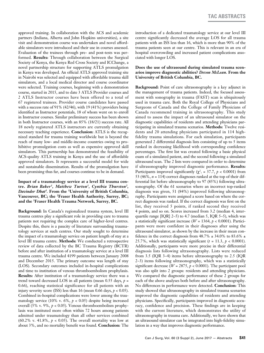approved training. In collaboration with the ACS and academic partners (Indiana, Alberta and John Hopkins universities), a site visit and demonstration course was undertaken and novel affordable simulators were introduced and their use in courses assessed. Evaluation of the trainees through pre- and post-tests was performed. **Results:** Through collaboration between the Surgical Society of Kenya, the Kenya Red Cross Society and ICChange, a novel partnership structure for supporting ATLS promulgation in Kenya was developed. An official ATLS approved training site in Nairobi was selected and equipped with affordable trauma skill simulators, and a local medical director and course coordinator were selected. Training courses, beginning with a demonstration course, started in 2015, and to date 3 ATLS Provider courses and 2 ATLS Instructor courses have been offered to a total of 67 registered trainees. Provider course candidates have passed with a success rate of 91% (42/46), with 19 (41%) providers being identified as Instructor potentials, 18 of whom went on to enroll in Instructor courses. Similar preliminary success has been shown in both Instructor courses, with an 85% (18/21) success rate. All 18 newly registered ATLS instructors are currently obtaining necessary teaching experience. **Conclusion:** ATLS is the recognized standard for trauma training worldwide but is beyond the reach of many low- and middle-income countries owing to prohibitive promulgation costs as well as expensive approved skill simulators. This partnership has demonstrated the feasibility of ACS-quality ATLS training in Kenya and the use of affordable approved simulators. It represents a successful model for wide and sustainable dissemination. Results of the promulgation have been promising thus far, and courses continue to be in demand.

# **Impact of a traumatology service at a level III trauma centre.** *Brian Baker1, Matthew Turton1, Cynthia Thurston2, Davinder Dhat3.* **From the 1University of British Columbia, Vancouver, BC; the 2Fraser Health Authority, Surrey, BC; and the 3Fraser Health Trauma Network, Surrey, BC.**

**Background:** In Canada's regionalized trauma system, level III trauma centres play a significant role in providing care to trauma patients not requiring the complex care of higher-level centres. Despite this, there is a paucity of literature surrounding traumatology services at such centres. Our study sought to determine the impact of a traumatology service on patient length of stay at a level III trauma centre. **Methods:** We conducted a retrospective review of data collected by the BC Trauma Registry (BCTR) before and after institution of a traumatology service at a level III trauma centre. We included 4199 patients between January 2008 and December 2015. The primary outcome was length of stay (LOS). Secondary outcomes included in-hospital complications and time to institution of venous thromboembolism prophylaxis. **Results:** After institution of a traumatology service there was a trend toward decreased LOS in all patients (mean  $0.55$  days,  $p =$ 0.66), reaching statistical significance for all patients with an injury severity score (ISS) less than 16 (mean 0.66 days,  $p < 0.05$ ). Combined in-hospital complications were lower among the traumatology service (10% v. 6%, *p* < 0.05) despite being increased overall (5% v. 9%*, p* < 0.05). Venous thromboembolism prophylaxis was instituted more often within 72 hours among patients admitted under traumatology than all other services combined (60.2% v. 41.8%,  $p < 0.05$ ). The overall mortality was low at about 3%, and no mortality benefit was found. **Conclusion:** The introduction of a dedicated traumatology service at our level III centre significantly decreased the average LOS for all trauma patients with an ISS less than 16, which is more than 90% of the trauma patients seen at our centre. This is relevant in an era of hospital overcrowding and increased patient complications associated with longer LOS.

# **Does the use of ultrasound during simulated trauma scenarios improve diagnostic abilities?** *Devon McLean.* **From the University of British Columbia, BC.**

**Background:** Point of care ultrasonography is a key adjunct in the management of trauma patients. Indeed, the focused assessment with sonography in trauma (FAST) scan is ubiquitously used in trauma care. Both the Royal College of Physicians and Surgeons of Canada and the College of Family Physicians of Canada recommend training in ultrasonography. This study aimed to assess the impact of an ultrasound simulator on the diagnostic capabilities of residents and attending physicians participating in simulated trauma scenarios. **Methods:** Twelve residents and 20 attending physicians participated in 114 highfidelity trauma simulations. For each simulation, participants generated 2 differential diagnosis lists consisting of up to 5 items ranked in decreasing likelihood with corresponding confidence percentages. The first list was created following a basic physical exam of a simulated patient, and the second following a simulated ultrasound scan. The 2 lists were compared in order to determine if ultrasonography improved diagnostic performance. **Results:** Participants improved significantly ( $\chi^2$ <sub>1</sub> = 37.7,  $p < 0.0001$ ) from 53 (46%, *n* = 114) correct diagnoses ranked at the top of their differential list before ultrasonography to 97 (85%) following ultrasonography. Of the 61 scenarios where an incorrect top-ranked diagnosis was given, 51 (84%) improved following ultrasonography. Participants were assigned a score based on where the correct diagnosis was ranked. If the correct diagnosis was first on the list, they received 5 points, if ranked second they received 4 points, and so on. Scores increased from 3.2 (median 4, interquartile range  $[IQR]$  2–5) to 4.7 (median 5,  $IQR$  5–5), which was a statistically significant increase ( $W = 1364$ ,  $p < 0.0001$ ). Participants were more confident in their diagnoses after using the ultrasound simulator, as shown by the increase in their mean confidence in the correct diagnosis from  $48.7\% \pm 34.0\%$  to  $83.6\% \pm 1.0\%$ 25.7%, which was statistically significant  $(t = 11.3, p < 0.0001)$ . Additionally, participants were more precise in their differential diagnosis lists following ultrasonography. Lists were reduced from 3.5 (IQR 3–4) items before ultrasonography to 2.5 (IQR 2–3) items following ultrasonography, which was a statistically significant decrease ( $W = 2875$ ,  $p < 0.0001$ ). The participant pool was also split into 2 groups: residents and attending physicians. We compared the diagnostic performance of these 2 groups for each of the above analyses both before and after ultrasonography. No differences in performance were detected. **Conclusion:** This study showed that ultrasonography in simulated trauma scenarios improved the diagnostic capabilities of residents and attending physicians. Specifically, participants improved in diagnostic accuracy, confidence and precision. These findings are in keeping with the current literature, which demonstrates the utility of ultrasonography in trauma care. Additionally, we have shown that an ultrasound simulator can be integrated into high-fidelity simulation in a way that improves diagnostic performance.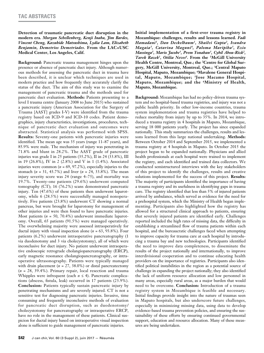**Detection of traumatic pancreatic duct disruption in the modern era.** *Morgan Schellenberg, Kenji Inaba, Jim Bardes, Vincent Cheng, Kazuhide Matsushima, Lydia Lam, Elizabeth Benjamin, Demetrios Demetriades.* **From the LAC+USC Medical Center, Los Angeles, Calif.**

**Background:** Pancreatic trauma management hinges upon the presence or absence of pancreatic duct injury. Although numerous methods for assessing the pancreatic duct in trauma have been described, it is unclear which techniques are used in modern practice and how frequently they accurately clarify the status of the duct. The aim of this study was to examine the management of pancreatic trauma and the methods used for pancreatic duct evaluation. **Methods:** Patients presenting to a level I trauma centre (January 2008 to June 2015) who sustained a pancreatic injury (American Association for the Surgery of Trauma [AAST] grades I-V) were identified from the trauma registry based on ICD-9 and ICD-10 codes. Patient demographics, injury characteristics, investigations, procedures, technique of pancreatic duct evaluation and outcomes were abstracted. Statistical analysis was performed with SPSS. **Results:** Seventy-one patients with pancreatic injuries were identified. The mean age was 35 years (range 11–87 years), and 85.9% were male. The mechanism of injury was penetrating in 71.8% and blunt in 28.2%. The AAST grade of pancreatic injuries was grade I in 25 patients (35.2%), II in 24 (33.8%), III in 19 (26.8%), IV in 2 (2.8%) and V in 1 (1.4%). Associated injuries were common (*n* = 69, 97.2%), especially injuries to the stomach (*n* = 31, 43.7%) and liver (*n* = 24, 33.8%). The mean injury severity score was 24 (range 4–75), and mortality was 19.7%. Twenty-one patients (29.6%) underwent computed tomography (CT); 16 (76.2%) scans demonstrated pancreatic injury. Ten (47.6%) of these patients then underwent laparotomy, while 6 (28.5%) were successfully managed nonoperatively. Five patients (23.8%) underwent CT showing a normal pancreas, but were brought for laparotomy for management of other injuries and were then found to have pancreatic injuries. Most patients (*n* = 50, 70.4%) underwent immediate laparotomy. Overall, 65 patients (91.5%) were managed operatively. The overwhelming majority were assessed intraoperatively for ductal injury with visual inspection alone (*n* = 63, 93.8%). Four patients (6.2%) underwent intraoperative pancreatography (1 via duodenotomy and 3 via cholecystotomy), all of which were inconclusive for duct injury. No patient underwent intraoperative endoscopic retrograde cholangiopancreatography (ERCP), early magnetic resonance cholangiopancreatography, or intraoperative ultrasonography. Patients were typically managed with drain placement ( $n = 27, 38.0\%$ ) or distal pancreatectomy (*n* = 28, 39.4%). Primary repair, local resection and trauma Whipples were infrequent (each *n* ≤ 4). Pancreatic complications (abscess, fistula, leak) occurred in 17 patients (23.9%). **Conclusion:** Patients typically sustain pancreatic injury by penetrating mechanisms and are severely injured. CT is not a sensitive test for diagnosing pancreatic injuries. Invasive, time consuming and frequently inconclusive methods of evaluation for pancreatic duct disruption, such as duodenotomy/ cholecystotomy for pancreatography or intraoperative ERCP, have no role in the management of these patients. Clinical suspicion for ductal injury based on intraoperative visual inspection alone is sufficient to guide management of pancreatic injuries.

**Initial implementation of a first-ever trauma registry in Mozambique: challenges, results and lessons learned.** *Fadi Hamadani1, Dan Deckelbaum1, Shailvi Gupta2, Ivandra Magaia3, Catarina Maguni4, Paloma Maripiha3, Ezio Massinga5, Mario Jacobe3, Prem Yonahan3, Cybil Abou-Rizk2, Tarek Razek1, Otilia Neves6.* **From the 1McGill University**  Health Centre, Montreal, Que.; the <sup>2</sup>Centre for Global Sur**gery, McGill University, Montreal, Que.; 3Central Maputo Hospital, Maputo, Mozambique; 4Mavalene General Hospital, Maputo, Mozambique; 5Jose Macamo Hospital, Maputo, Mozambique; and the 6Ministry of Health, Maputo, Mozambique.**

**Background:** Mozambique has had no policy-driven trauma system and no hospital-based trauma registries, and injury was not a public health priority. In other low-income countries, trauma system implementation and trauma registries have helped to reduce mortality from injury by up to 35%. In 2014, we introduced a trauma registry in 4 hospitals in Maputo, Mozambique, serving 18 000 patients yearly. The project has since expanded nationally. This study summarizes the challenges, results and lessons learned from this large national undertaking. **Methods:** Between October 2014 and September 2015, we implemented a trauma registry at 4 hospitals in Maputo. In October 2015 the project began to be expanded nationally. Physicians and allied health professionals at each hospital were trained to implement the registry, and each identified and trained data collectors. We conducted semistructured interviews with the key stakeholders of this project to identify the challenges, results and creative solutions implemented for the success of this project. **Results:**  The majority of participants identified the importance of having a trauma registry and its usefulness in identifying gaps in trauma care. The registry identified that less than 5% of injured patients arrived by ambulance, which served as evidence for the need for a prehospital system, which the Ministry of Health began implementing. Participants also highlighted how the registry has allowed for a structured clinical approach to patients, ensuring that severely injured patients are identified early. Challenges reported included the high rates of missing data, the difficulty in establishing a streamlined flow of trauma patients within each hospital, and the bureaucratic challenges faced when attempting to improve capacity for trauma care at each hospital by introducing a trauma bay and new technologies. Participants identified the need to improve data completeness, to disseminate the results of the project nationally and internationally, to improve interdivisional cooperation and to continue educating health providers on the importance of registries. Participants also identified political instabilities in the region as a potential source of challenge in expanding the project nationally; they also identified the lack of uniform resource allocation and low personnel in many areas, especially rural areas, as a major burden that would need to be overcome. **Conclusion:** Introduction of a trauma registry system in Mozambique is feasible and necessary. Initial findings provide insight into the nature of traumas seen in Maputo hospitals, but also underscore future challenges, especially in minimizing missing data, using data to develop evidence-based trauma prevention policies, and ensuring the sustainability of these efforts by ensuring continued governmental support, education and resource allocation. Many of these measures are being undertaken.